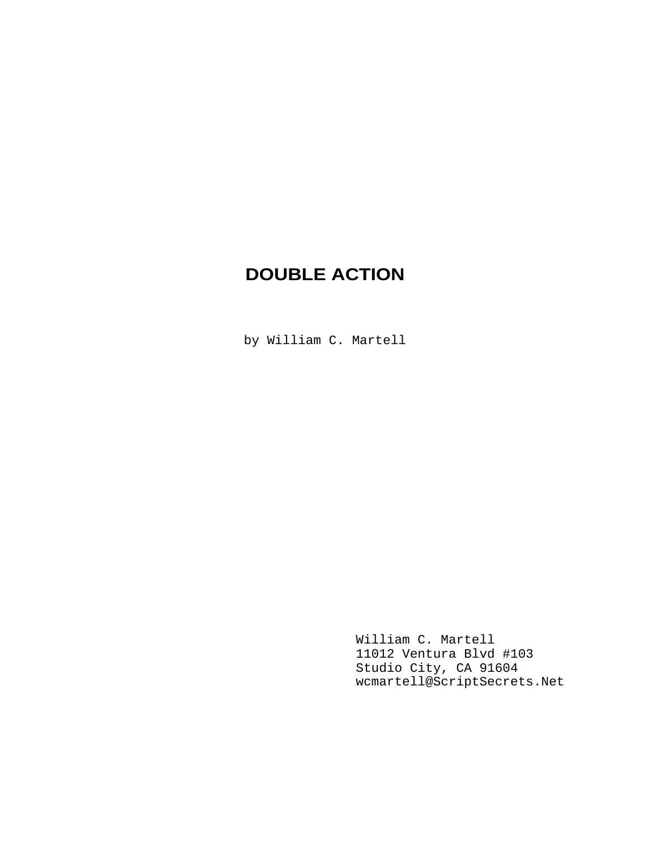# **DOUBLE ACTION**

by William C. Martell

William C. Martell 11012 Ventura Blvd #103 Studio City, CA 91604 wcmartell@ScriptSecrets.Net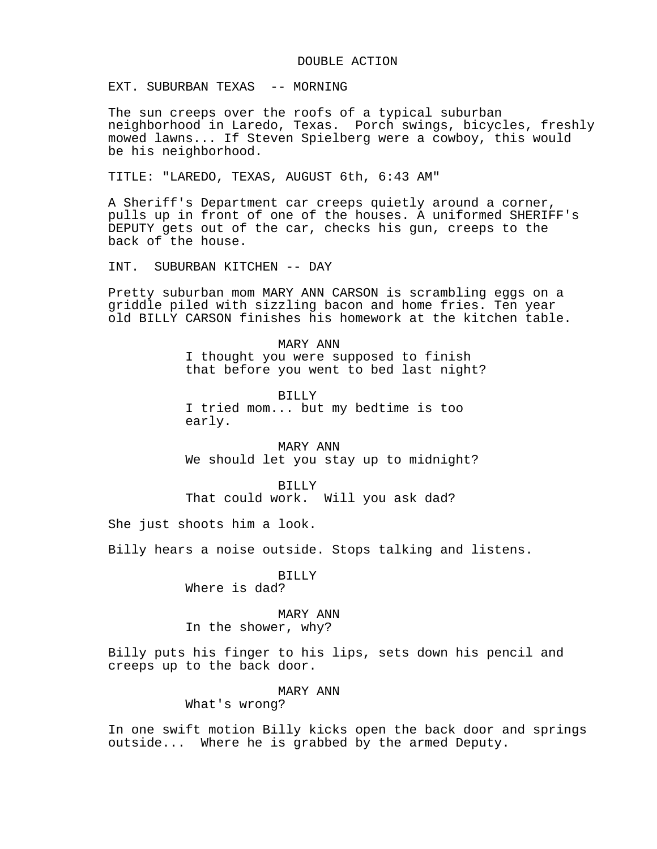#### DOUBLE ACTION

EXT. SUBURBAN TEXAS -- MORNING

The sun creeps over the roofs of a typical suburban neighborhood in Laredo, Texas. Porch swings, bicycles, freshly mowed lawns... If Steven Spielberg were a cowboy, this would be his neighborhood.

TITLE: "LAREDO, TEXAS, AUGUST 6th, 6:43 AM"

A Sheriff's Department car creeps quietly around a corner, pulls up in front of one of the houses. A uniformed SHERIFF's DEPUTY gets out of the car, checks his gun, creeps to the back of the house.

INT. SUBURBAN KITCHEN -- DAY

Pretty suburban mom MARY ANN CARSON is scrambling eggs on a griddle piled with sizzling bacon and home fries. Ten year old BILLY CARSON finishes his homework at the kitchen table.

> MARY ANN I thought you were supposed to finish that before you went to bed last night?

BILLY I tried mom... but my bedtime is too early.

MARY ANN We should let you stay up to midnight?

BILLY

That could work. Will you ask dad?

She just shoots him a look.

Billy hears a noise outside. Stops talking and listens.

BILLY Where is dad?

MARY ANN In the shower, why?

Billy puts his finger to his lips, sets down his pencil and creeps up to the back door.

MARY ANN

What's wrong?

In one swift motion Billy kicks open the back door and springs outside... Where he is grabbed by the armed Deputy.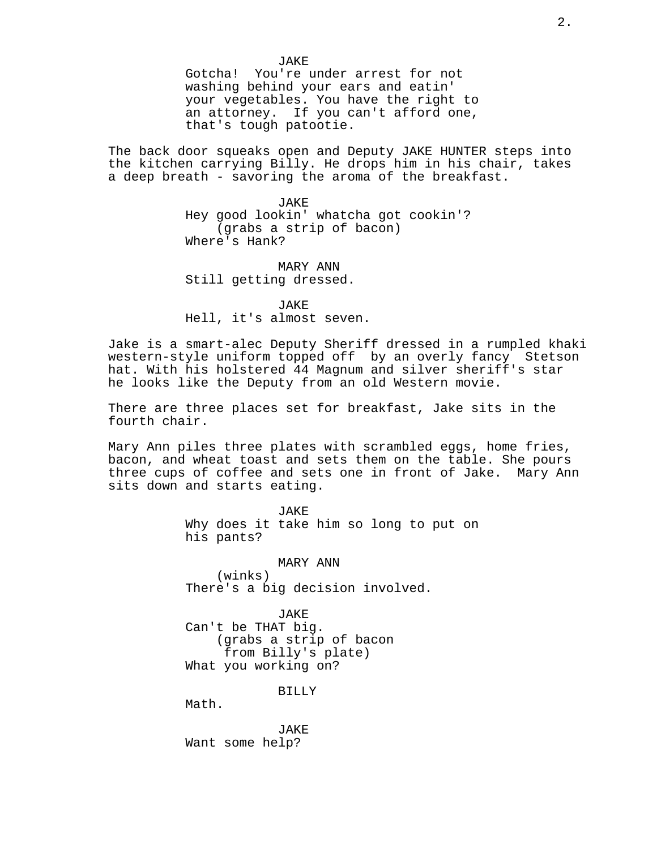JAKE Gotcha! You're under arrest for not washing behind your ears and eatin' your vegetables. You have the right to an attorney. If you can't afford one, that's tough patootie.

The back door squeaks open and Deputy JAKE HUNTER steps into the kitchen carrying Billy. He drops him in his chair, takes a deep breath - savoring the aroma of the breakfast.

> JAKE Hey good lookin' whatcha got cookin'? (grabs a strip of bacon) Where's Hank?

MARY ANN Still getting dressed.

JAKE Hell, it's almost seven.

Jake is a smart-alec Deputy Sheriff dressed in a rumpled khaki western-style uniform topped off by an overly fancy Stetson hat. With his holstered 44 Magnum and silver sheriff's star he looks like the Deputy from an old Western movie.

There are three places set for breakfast, Jake sits in the fourth chair.

Mary Ann piles three plates with scrambled eggs, home fries, bacon, and wheat toast and sets them on the table. She pours three cups of coffee and sets one in front of Jake. Mary Ann sits down and starts eating.

> JAKE Why does it take him so long to put on his pants?

MARY ANN (winks) There's a big decision involved.

JAKE Can't be THAT big. (grabs a strip of bacon from Billy's plate) What you working on?

BILLY

Math.

JAKE Want some help?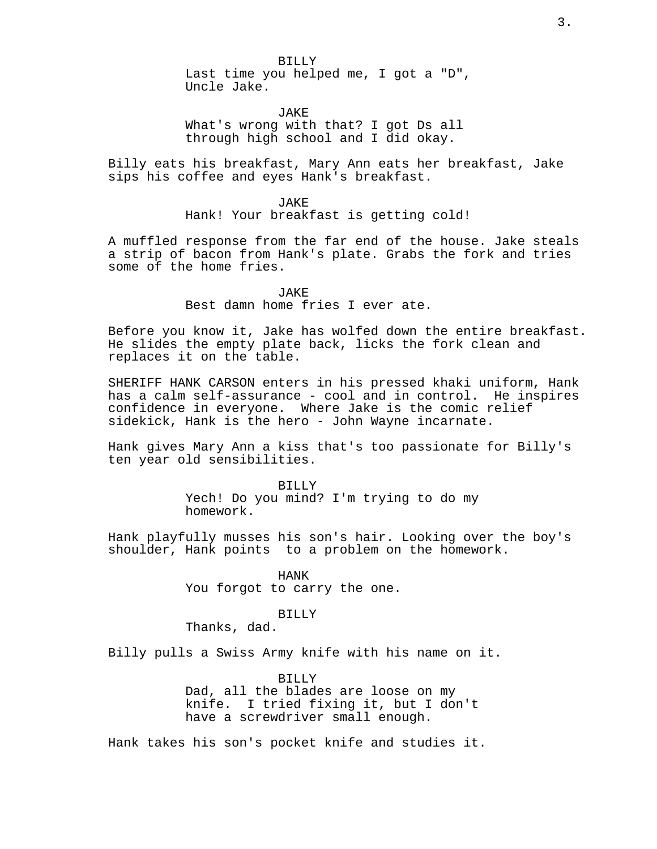BILLY Last time you helped me, I got a "D", Uncle Jake.

JAKE What's wrong with that? I got Ds all through high school and I did okay.

Billy eats his breakfast, Mary Ann eats her breakfast, Jake sips his coffee and eyes Hank's breakfast.

> JAKE Hank! Your breakfast is getting cold!

A muffled response from the far end of the house. Jake steals a strip of bacon from Hank's plate. Grabs the fork and tries some of the home fries.

> JAKE Best damn home fries I ever ate.

Before you know it, Jake has wolfed down the entire breakfast. He slides the empty plate back, licks the fork clean and replaces it on the table.

SHERIFF HANK CARSON enters in his pressed khaki uniform, Hank has a calm self-assurance - cool and in control. He inspires confidence in everyone. Where Jake is the comic relief sidekick, Hank is the hero - John Wayne incarnate.

Hank gives Mary Ann a kiss that's too passionate for Billy's ten year old sensibilities.

> BILLY Yech! Do you mind? I'm trying to do my homework.

Hank playfully musses his son's hair. Looking over the boy's shoulder, Hank points to a problem on the homework.

> HANK You forgot to carry the one.

> > BILLY

Thanks, dad.

Billy pulls a Swiss Army knife with his name on it.

BILLY Dad, all the blades are loose on my knife. I tried fixing it, but I don't have a screwdriver small enough.

Hank takes his son's pocket knife and studies it.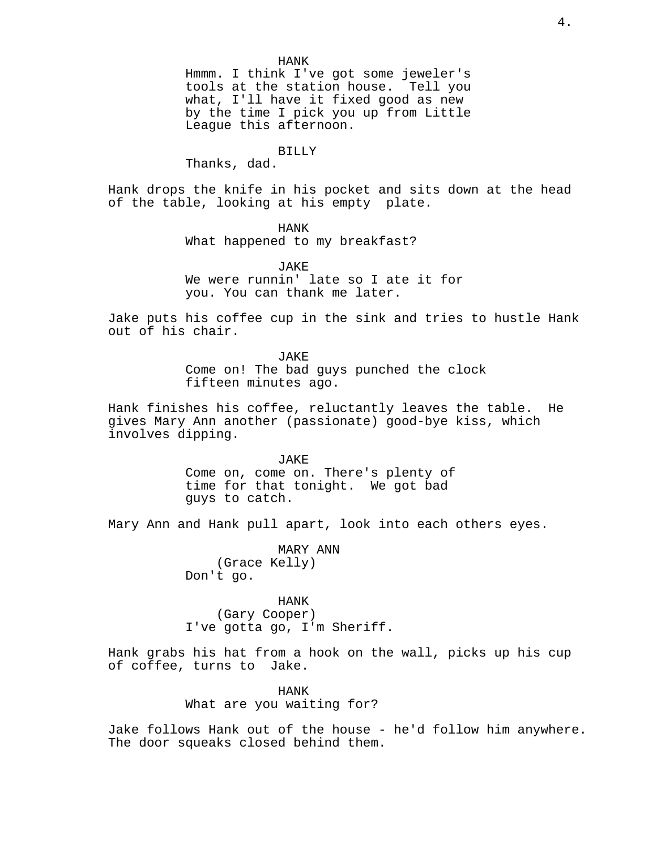HANK Hmmm. I think I've got some jeweler's tools at the station house. Tell you what, I'll have it fixed good as new by the time I pick you up from Little League this afternoon.

#### BILLY

Thanks, dad.

Hank drops the knife in his pocket and sits down at the head of the table, looking at his empty plate.

HANK

What happened to my breakfast?

JAKE We were runnin' late so I ate it for you. You can thank me later.

Jake puts his coffee cup in the sink and tries to hustle Hank out of his chair.

> JAKE Come on! The bad guys punched the clock fifteen minutes ago.

Hank finishes his coffee, reluctantly leaves the table. He gives Mary Ann another (passionate) good-bye kiss, which involves dipping.

> JAKE Come on, come on. There's plenty of time for that tonight. We got bad guys to catch.

Mary Ann and Hank pull apart, look into each others eyes.

MARY ANN (Grace Kelly) Don't go.

HANK (Gary Cooper) I've gotta go, I'm Sheriff.

Hank grabs his hat from a hook on the wall, picks up his cup of coffee, turns to Jake.

> HANK What are you waiting for?

Jake follows Hank out of the house - he'd follow him anywhere. The door squeaks closed behind them.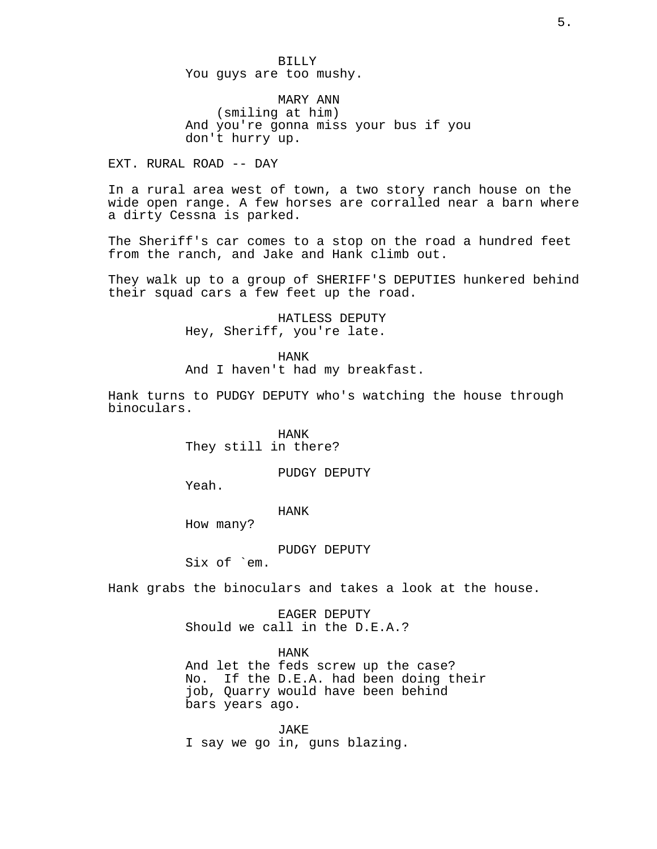BILLY You guys are too mushy.

MARY ANN

(smiling at him) And you're gonna miss your bus if you don't hurry up.

EXT. RURAL ROAD -- DAY

In a rural area west of town, a two story ranch house on the wide open range. A few horses are corralled near a barn where a dirty Cessna is parked.

The Sheriff's car comes to a stop on the road a hundred feet from the ranch, and Jake and Hank climb out.

They walk up to a group of SHERIFF'S DEPUTIES hunkered behind their squad cars a few feet up the road.

> HATLESS DEPUTY Hey, Sheriff, you're late.

HANK And I haven't had my breakfast.

Hank turns to PUDGY DEPUTY who's watching the house through binoculars.

> HANK They still in there?

> > PUDGY DEPUTY

Yeah.

HANK

How many?

PUDGY DEPUTY

Six of `em.

Hank grabs the binoculars and takes a look at the house.

EAGER DEPUTY Should we call in the D.E.A.?

HANK And let the feds screw up the case? No. If the D.E.A. had been doing their job, Quarry would have been behind bars years ago.

JAKE I say we go in, guns blazing.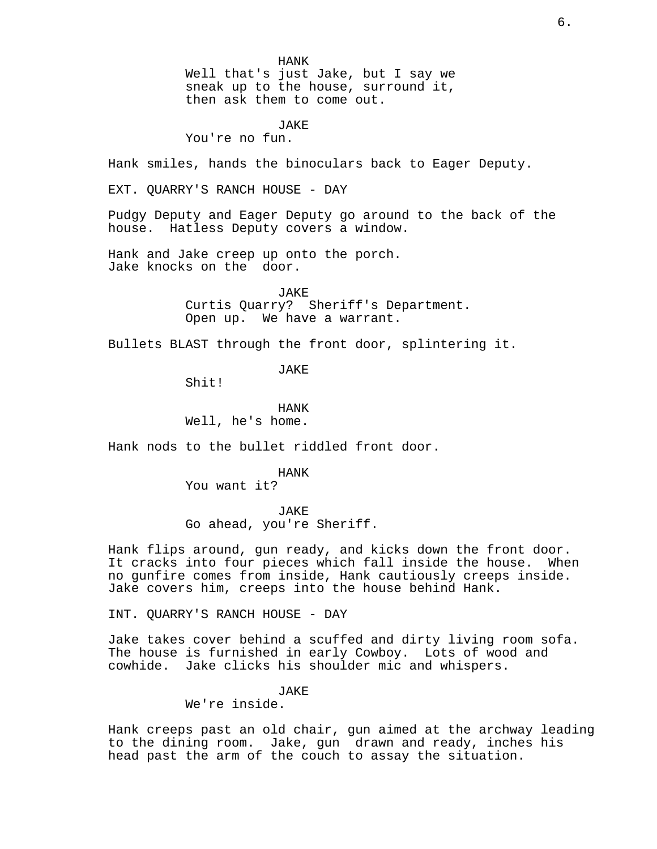HANK Well that's just Jake, but I say we sneak up to the house, surround it, then ask them to come out.

**JAKE** 

You're no fun.

Hank smiles, hands the binoculars back to Eager Deputy.

EXT. QUARRY'S RANCH HOUSE - DAY

Pudgy Deputy and Eager Deputy go around to the back of the house. Hatless Deputy covers a window.

Hank and Jake creep up onto the porch. Jake knocks on the door.

> JAKE Curtis Quarry? Sheriff's Department. Open up. We have a warrant.

Bullets BLAST through the front door, splintering it.

JAKE

Shit!

HANK Well, he's home.

Hank nods to the bullet riddled front door.

HANK You want it?

JAKE Go ahead, you're Sheriff.

Hank flips around, gun ready, and kicks down the front door. It cracks into four pieces which fall inside the house. When no gunfire comes from inside, Hank cautiously creeps inside. Jake covers him, creeps into the house behind Hank.

INT. QUARRY'S RANCH HOUSE - DAY

Jake takes cover behind a scuffed and dirty living room sofa. The house is furnished in early Cowboy. Lots of wood and cowhide. Jake clicks his shoulder mic and whispers.

JAKE

We're inside.

Hank creeps past an old chair, gun aimed at the archway leading to the dining room. Jake, gun drawn and ready, inches his head past the arm of the couch to assay the situation.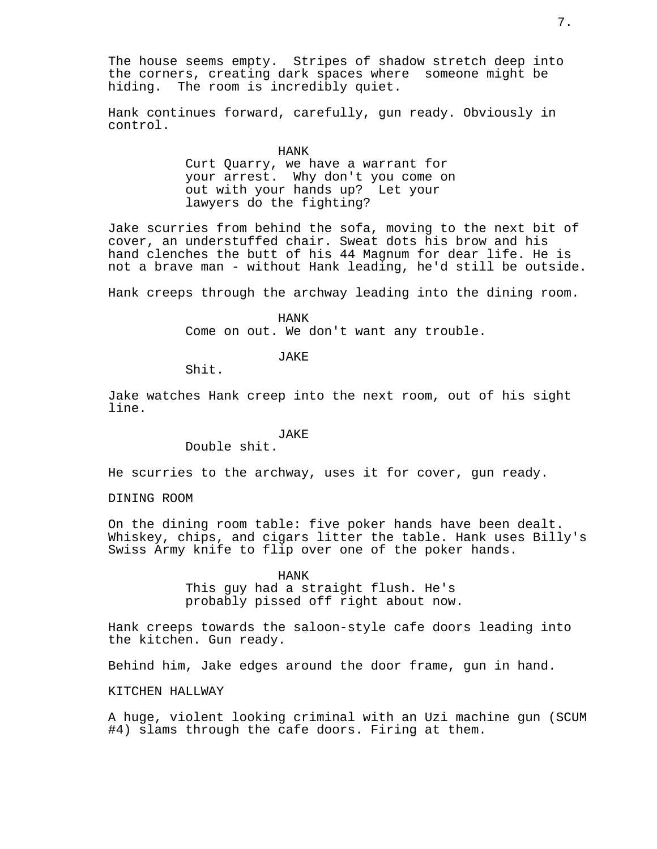Hank continues forward, carefully, gun ready. Obviously in control.

HANK

Curt Quarry, we have a warrant for your arrest. Why don't you come on out with your hands up? Let your lawyers do the fighting?

Jake scurries from behind the sofa, moving to the next bit of cover, an understuffed chair. Sweat dots his brow and his hand clenches the butt of his 44 Magnum for dear life. He is not a brave man - without Hank leading, he'd still be outside.

Hank creeps through the archway leading into the dining room.

HANK

Come on out. We don't want any trouble.

**JAKE** 

Shit.

Jake watches Hank creep into the next room, out of his sight line.

JAKE

Double shit.

He scurries to the archway, uses it for cover, gun ready.

DINING ROOM

On the dining room table: five poker hands have been dealt. Whiskey, chips, and cigars litter the table. Hank uses Billy's Swiss Army knife to flip over one of the poker hands.

> HANK This guy had a straight flush. He's probably pissed off right about now.

Hank creeps towards the saloon-style cafe doors leading into the kitchen. Gun ready.

Behind him, Jake edges around the door frame, gun in hand.

KITCHEN HALLWAY

A huge, violent looking criminal with an Uzi machine gun (SCUM #4) slams through the cafe doors. Firing at them.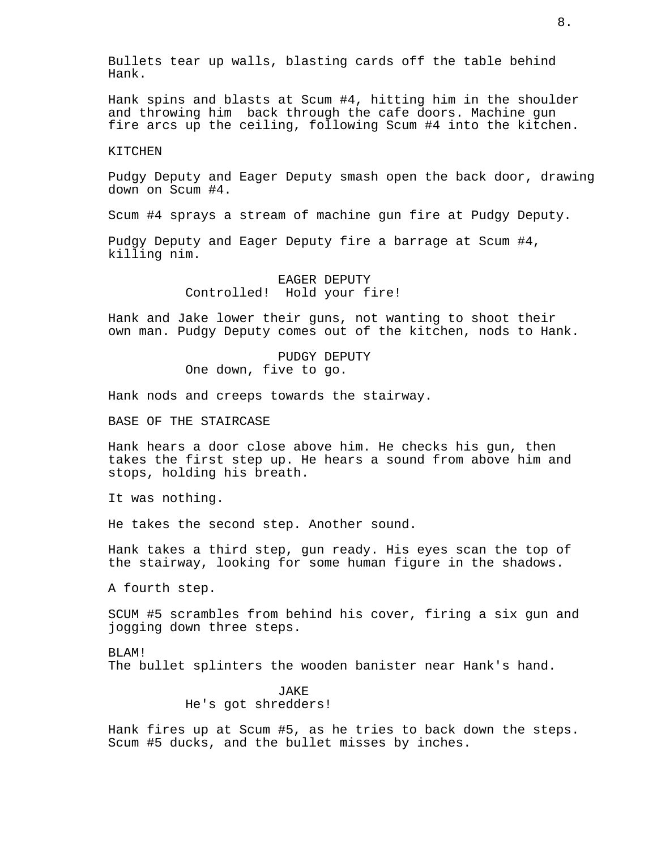Bullets tear up walls, blasting cards off the table behind Hank.

Hank spins and blasts at Scum #4, hitting him in the shoulder and throwing him back through the cafe doors. Machine gun fire arcs up the ceiling, following Scum #4 into the kitchen.

#### KITCHEN

Pudgy Deputy and Eager Deputy smash open the back door, drawing down on Scum #4.

Scum #4 sprays a stream of machine gun fire at Pudgy Deputy.

Pudgy Deputy and Eager Deputy fire a barrage at Scum #4, killing nim.

> EAGER DEPUTY Controlled! Hold your fire!

Hank and Jake lower their guns, not wanting to shoot their own man. Pudgy Deputy comes out of the kitchen, nods to Hank.

> PUDGY DEPUTY One down, five to go.

Hank nods and creeps towards the stairway.

BASE OF THE STAIRCASE

Hank hears a door close above him. He checks his gun, then takes the first step up. He hears a sound from above him and stops, holding his breath.

It was nothing.

He takes the second step. Another sound.

Hank takes a third step, gun ready. His eyes scan the top of the stairway, looking for some human figure in the shadows.

A fourth step.

SCUM #5 scrambles from behind his cover, firing a six gun and jogging down three steps.

BLAM! The bullet splinters the wooden banister near Hank's hand.

> JAKE He's got shredders!

Hank fires up at Scum #5, as he tries to back down the steps. Scum #5 ducks, and the bullet misses by inches.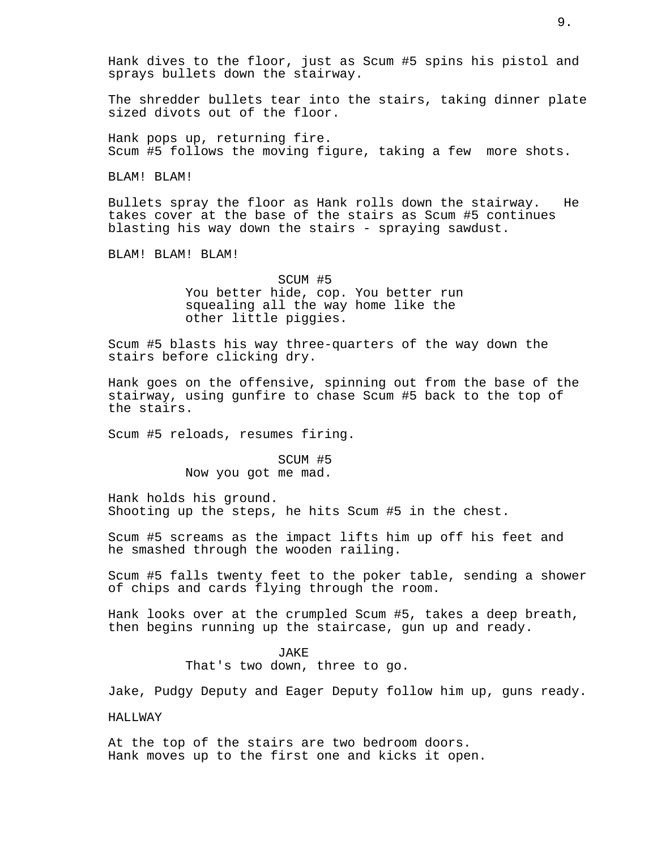Hank dives to the floor, just as Scum #5 spins his pistol and sprays bullets down the stairway.

The shredder bullets tear into the stairs, taking dinner plate sized divots out of the floor.

Hank pops up, returning fire. Scum #5 follows the moving figure, taking a few more shots.

BLAM! BLAM!

Bullets spray the floor as Hank rolls down the stairway. He takes cover at the base of the stairs as Scum #5 continues blasting his way down the stairs - spraying sawdust.

BLAM! BLAM! BLAM!

SCUM #5 You better hide, cop. You better run squealing all the way home like the other little piggies.

Scum #5 blasts his way three-quarters of the way down the stairs before clicking dry.

Hank goes on the offensive, spinning out from the base of the stairway, using gunfire to chase Scum #5 back to the top of the stairs.

Scum #5 reloads, resumes firing.

SCUM #5 Now you got me mad.

Hank holds his ground. Shooting up the steps, he hits Scum #5 in the chest.

Scum #5 screams as the impact lifts him up off his feet and he smashed through the wooden railing.

Scum #5 falls twenty feet to the poker table, sending a shower of chips and cards flying through the room.

Hank looks over at the crumpled Scum #5, takes a deep breath, then begins running up the staircase, gun up and ready.

## JAKE

That's two down, three to go.

Jake, Pudgy Deputy and Eager Deputy follow him up, guns ready.

## HALLWAY

At the top of the stairs are two bedroom doors. Hank moves up to the first one and kicks it open.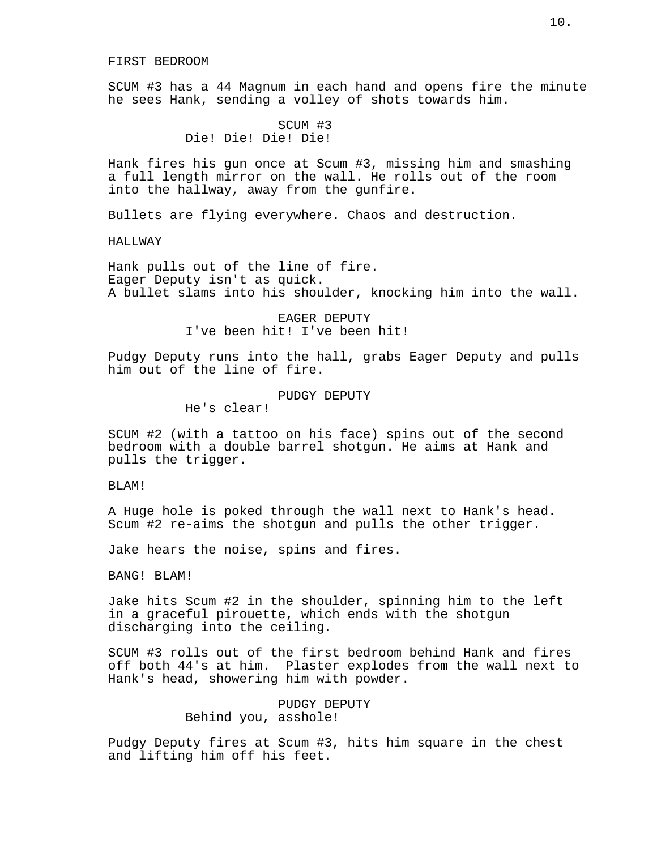SCUM #3 has a 44 Magnum in each hand and opens fire the minute he sees Hank, sending a volley of shots towards him.

# SCUM #3 Die! Die! Die! Die!

Hank fires his gun once at Scum #3, missing him and smashing a full length mirror on the wall. He rolls out of the room into the hallway, away from the gunfire.

Bullets are flying everywhere. Chaos and destruction.

#### HALLWAY

Hank pulls out of the line of fire. Eager Deputy isn't as quick. A bullet slams into his shoulder, knocking him into the wall.

## EAGER DEPUTY I've been hit! I've been hit!

Pudgy Deputy runs into the hall, grabs Eager Deputy and pulls him out of the line of fire.

# PUDGY DEPUTY

He's clear!

SCUM #2 (with a tattoo on his face) spins out of the second bedroom with a double barrel shotgun. He aims at Hank and pulls the trigger.

## BLAM!

A Huge hole is poked through the wall next to Hank's head. Scum #2 re-aims the shotgun and pulls the other trigger.

Jake hears the noise, spins and fires.

BANG! BLAM!

Jake hits Scum #2 in the shoulder, spinning him to the left in a graceful pirouette, which ends with the shotgun discharging into the ceiling.

SCUM #3 rolls out of the first bedroom behind Hank and fires off both 44's at him. Plaster explodes from the wall next to Hank's head, showering him with powder.

## PUDGY DEPUTY Behind you, asshole!

Pudgy Deputy fires at Scum #3, hits him square in the chest and lifting him off his feet.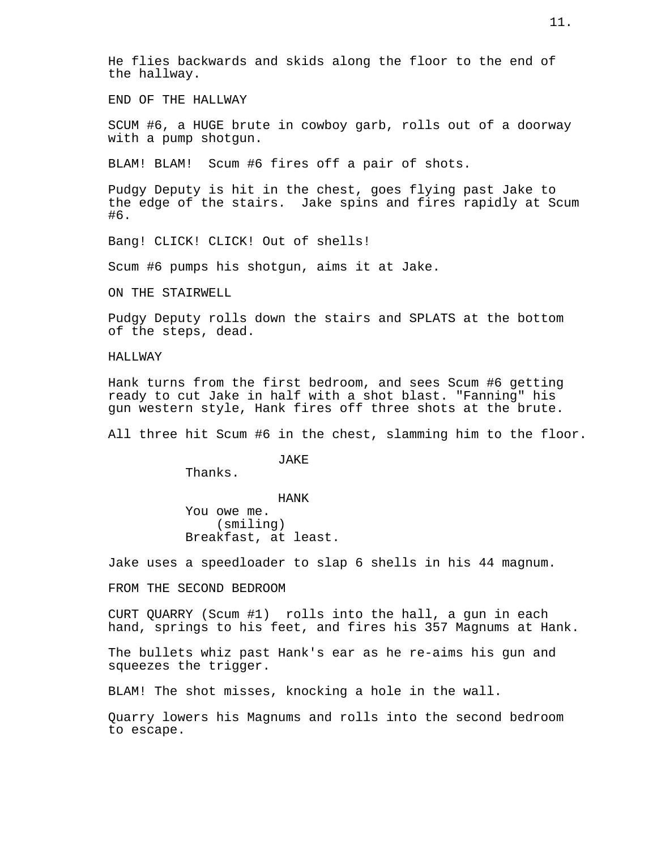He flies backwards and skids along the floor to the end of the hallway.

END OF THE HALLWAY

SCUM #6, a HUGE brute in cowboy garb, rolls out of a doorway with a pump shotgun.

BLAM! BLAM! Scum #6 fires off a pair of shots.

Pudgy Deputy is hit in the chest, goes flying past Jake to the edge of the stairs. Jake spins and fires rapidly at Scum #6.

Bang! CLICK! CLICK! Out of shells!

Scum #6 pumps his shotgun, aims it at Jake.

ON THE STAIRWELL

Pudgy Deputy rolls down the stairs and SPLATS at the bottom of the steps, dead.

HALLWAY

Hank turns from the first bedroom, and sees Scum #6 getting ready to cut Jake in half with a shot blast. "Fanning" his gun western style, Hank fires off three shots at the brute.

All three hit Scum #6 in the chest, slamming him to the floor.

JAKE

Thanks.

HANK

You owe me. (smiling) Breakfast, at least.

Jake uses a speedloader to slap 6 shells in his 44 magnum.

FROM THE SECOND BEDROOM

CURT QUARRY (Scum #1) rolls into the hall, a gun in each hand, springs to his feet, and fires his 357 Magnums at Hank.

The bullets whiz past Hank's ear as he re-aims his gun and squeezes the trigger.

BLAM! The shot misses, knocking a hole in the wall.

Quarry lowers his Magnums and rolls into the second bedroom to escape.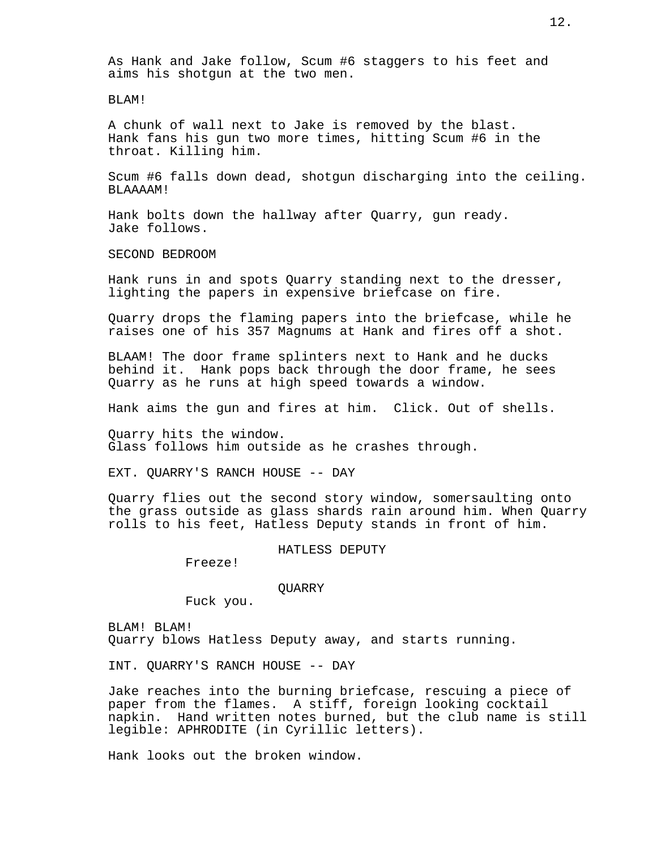As Hank and Jake follow, Scum #6 staggers to his feet and aims his shotgun at the two men.

BLAM!

A chunk of wall next to Jake is removed by the blast. Hank fans his gun two more times, hitting Scum #6 in the throat. Killing him.

Scum #6 falls down dead, shotgun discharging into the ceiling. BLAAAAM!

Hank bolts down the hallway after Quarry, gun ready. Jake follows.

SECOND BEDROOM

Hank runs in and spots Quarry standing next to the dresser, lighting the papers in expensive briefcase on fire.

Quarry drops the flaming papers into the briefcase, while he raises one of his 357 Magnums at Hank and fires off a shot.

BLAAM! The door frame splinters next to Hank and he ducks behind it. Hank pops back through the door frame, he sees Quarry as he runs at high speed towards a window.

Hank aims the gun and fires at him. Click. Out of shells.

Quarry hits the window. Glass follows him outside as he crashes through.

EXT. QUARRY'S RANCH HOUSE -- DAY

Quarry flies out the second story window, somersaulting onto the grass outside as glass shards rain around him. When Quarry rolls to his feet, Hatless Deputy stands in front of him.

HATLESS DEPUTY

Freeze!

**OUARRY** 

Fuck you.

BLAM! BLAM! Quarry blows Hatless Deputy away, and starts running.

INT. QUARRY'S RANCH HOUSE -- DAY

Jake reaches into the burning briefcase, rescuing a piece of paper from the flames. A stiff, foreign looking cocktail napkin. Hand written notes burned, but the club name is still legible: APHRODITE (in Cyrillic letters).

Hank looks out the broken window.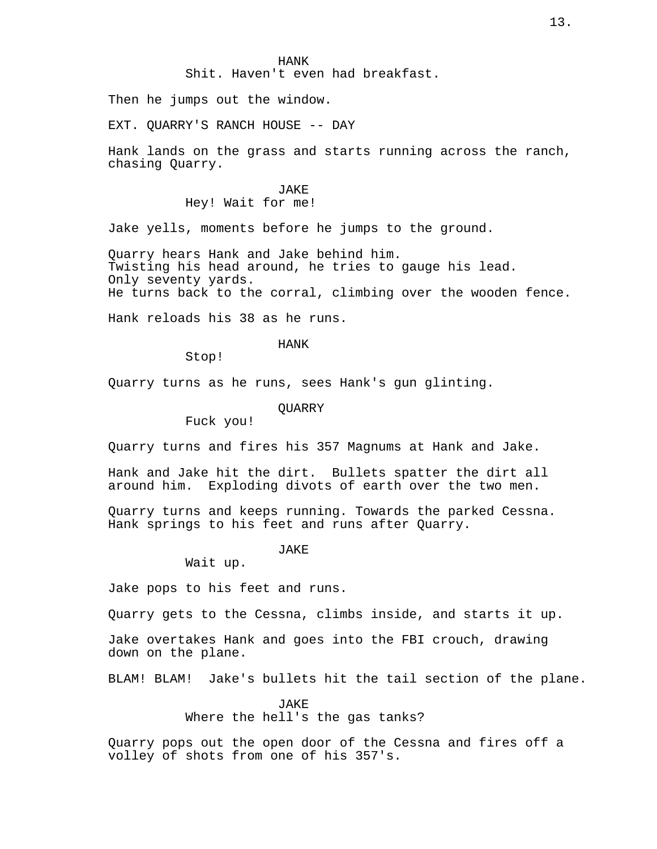Shit. Haven't even had breakfast.

Then he jumps out the window.

EXT. QUARRY'S RANCH HOUSE -- DAY

Hank lands on the grass and starts running across the ranch, chasing Quarry.

> JAKE Hey! Wait for me!

Jake yells, moments before he jumps to the ground.

Quarry hears Hank and Jake behind him. Twisting his head around, he tries to gauge his lead. Only seventy yards. He turns back to the corral, climbing over the wooden fence.

Hank reloads his 38 as he runs.

HANK

Stop!

Quarry turns as he runs, sees Hank's gun glinting.

**OUARRY** 

Fuck you!

Quarry turns and fires his 357 Magnums at Hank and Jake.

Hank and Jake hit the dirt. Bullets spatter the dirt all around him. Exploding divots of earth over the two men.

Quarry turns and keeps running. Towards the parked Cessna. Hank springs to his feet and runs after Quarry.

JAKE

Wait up.

Jake pops to his feet and runs.

Quarry gets to the Cessna, climbs inside, and starts it up.

Jake overtakes Hank and goes into the FBI crouch, drawing down on the plane.

BLAM! BLAM! Jake's bullets hit the tail section of the plane.

**JAKE** 

Where the hell's the gas tanks?

Quarry pops out the open door of the Cessna and fires off a volley of shots from one of his 357's.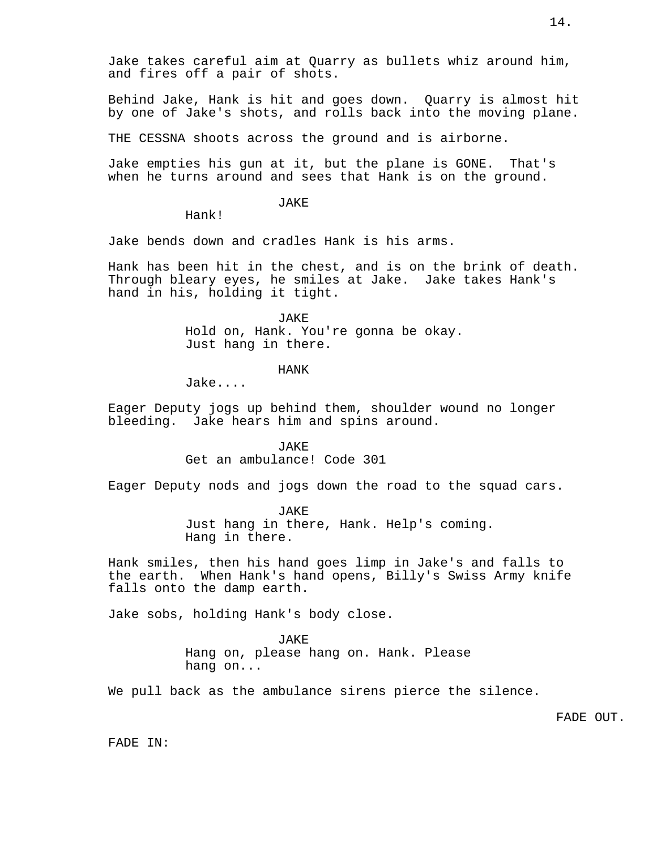Jake takes careful aim at Quarry as bullets whiz around him, and fires off a pair of shots.

Behind Jake, Hank is hit and goes down. Quarry is almost hit by one of Jake's shots, and rolls back into the moving plane.

THE CESSNA shoots across the ground and is airborne.

Jake empties his gun at it, but the plane is GONE. That's when he turns around and sees that Hank is on the ground.

JAKE

Hank!

Jake bends down and cradles Hank is his arms.

Hank has been hit in the chest, and is on the brink of death. Through bleary eyes, he smiles at Jake. Jake takes Hank's hand in his, holding it tight.

> JAKE Hold on, Hank. You're gonna be okay. Just hang in there.

> > HANK

Jake....

Eager Deputy jogs up behind them, shoulder wound no longer bleeding. Jake hears him and spins around.

> JAKE Get an ambulance! Code 301

Eager Deputy nods and jogs down the road to the squad cars.

JAKE

Just hang in there, Hank. Help's coming. Hang in there.

Hank smiles, then his hand goes limp in Jake's and falls to the earth. When Hank's hand opens, Billy's Swiss Army knife falls onto the damp earth.

Jake sobs, holding Hank's body close.

**JAKE** Hang on, please hang on. Hank. Please hang on...

We pull back as the ambulance sirens pierce the silence.

FADE OUT.

FADE IN: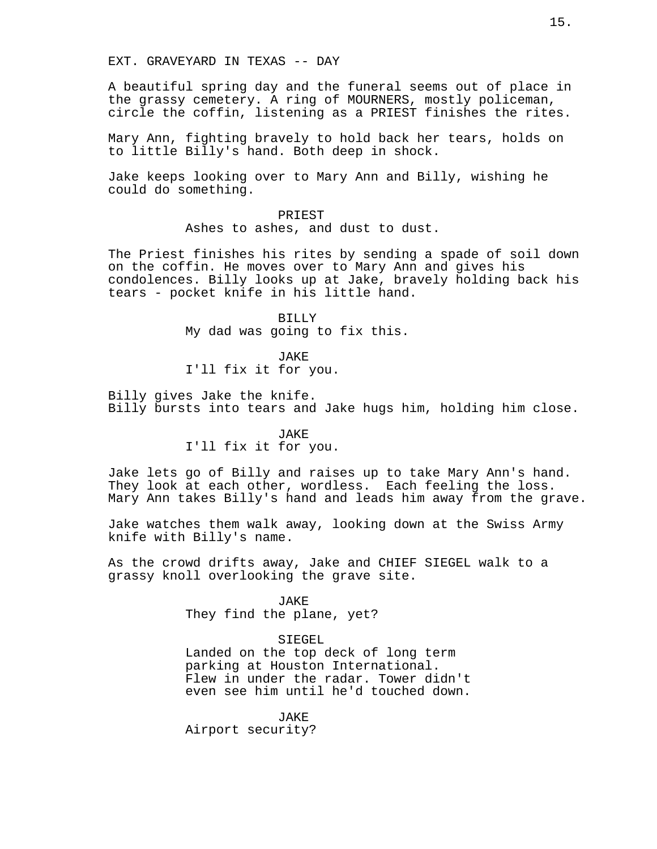EXT. GRAVEYARD IN TEXAS -- DAY

A beautiful spring day and the funeral seems out of place in the grassy cemetery. A ring of MOURNERS, mostly policeman, circle the coffin, listening as a PRIEST finishes the rites.

Mary Ann, fighting bravely to hold back her tears, holds on to little Billy's hand. Both deep in shock.

Jake keeps looking over to Mary Ann and Billy, wishing he could do something.

> PRIEST Ashes to ashes, and dust to dust.

The Priest finishes his rites by sending a spade of soil down on the coffin. He moves over to Mary Ann and gives his condolences. Billy looks up at Jake, bravely holding back his tears - pocket knife in his little hand.

> BILLY My dad was going to fix this.

JAKE I'll fix it for you.

Billy gives Jake the knife. Billy bursts into tears and Jake hugs him, holding him close.

> JAKE I'll fix it for you.

Jake lets go of Billy and raises up to take Mary Ann's hand. They look at each other, wordless. Each feeling the loss. Mary Ann takes Billy's hand and leads him away from the grave.

Jake watches them walk away, looking down at the Swiss Army knife with Billy's name.

As the crowd drifts away, Jake and CHIEF SIEGEL walk to a grassy knoll overlooking the grave site.

> JAKE They find the plane, yet?

SIEGEL Landed on the top deck of long term parking at Houston International. Flew in under the radar. Tower didn't even see him until he'd touched down.

JAKE Airport security?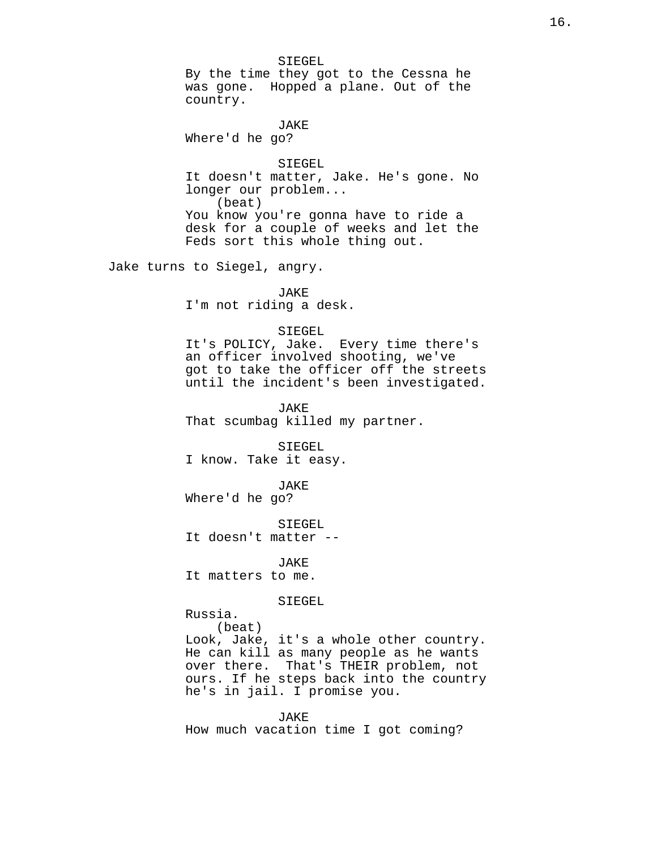SIEGEL By the time they got to the Cessna he was gone. Hopped a plane. Out of the country.

JAKE Where'd he go?

SIEGEL It doesn't matter, Jake. He's gone. No longer our problem... (beat) You know you're gonna have to ride a desk for a couple of weeks and let the Feds sort this whole thing out.

Jake turns to Siegel, angry.

JAKE I'm not riding a desk.

#### SIEGEL

It's POLICY, Jake. Every time there's an officer involved shooting, we've got to take the officer off the streets until the incident's been investigated.

JAKE That scumbag killed my partner.

SIEGEL I know. Take it easy.

#### JAKE

Where'd he go?

SIEGEL

It doesn't matter --

JAKE It matters to me.

SIEGEL

Russia.

(beat) Look, Jake, it's a whole other country. He can kill as many people as he wants over there. That's THEIR problem, not ours. If he steps back into the country he's in jail. I promise you.

JAKE How much vacation time I got coming?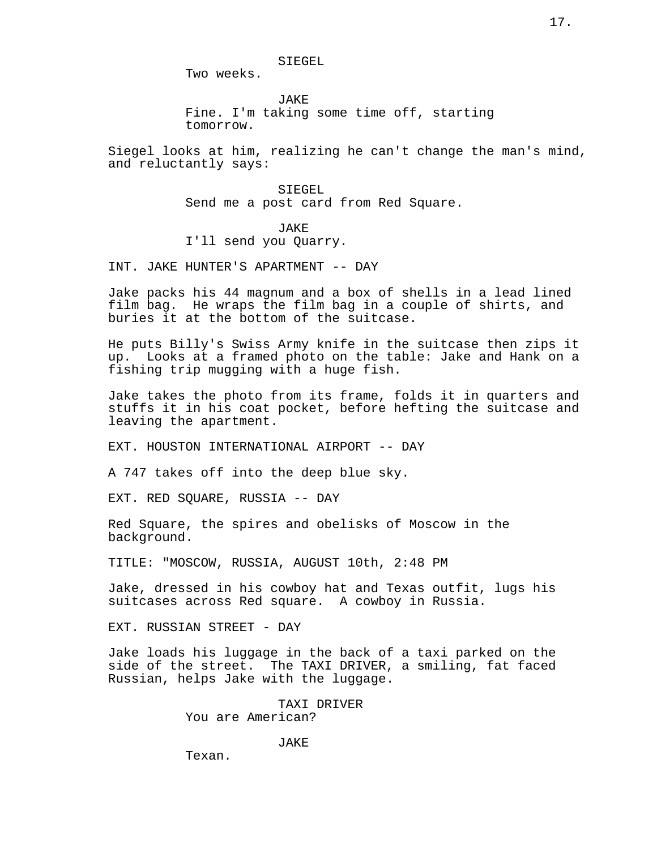SIEGEL

Two weeks.

**JAKE** Fine. I'm taking some time off, starting tomorrow.

Siegel looks at him, realizing he can't change the man's mind, and reluctantly says:

> SIEGEL Send me a post card from Red Square.

JAKE I'll send you Quarry.

INT. JAKE HUNTER'S APARTMENT -- DAY

Jake packs his 44 magnum and a box of shells in a lead lined film bag. He wraps the film bag in a couple of shirts, and buries it at the bottom of the suitcase.

He puts Billy's Swiss Army knife in the suitcase then zips it up. Looks at a framed photo on the table: Jake and Hank on a fishing trip mugging with a huge fish.

Jake takes the photo from its frame, folds it in quarters and stuffs it in his coat pocket, before hefting the suitcase and leaving the apartment.

EXT. HOUSTON INTERNATIONAL AIRPORT -- DAY

A 747 takes off into the deep blue sky.

EXT. RED SQUARE, RUSSIA -- DAY

Red Square, the spires and obelisks of Moscow in the background.

TITLE: "MOSCOW, RUSSIA, AUGUST 10th, 2:48 PM

Jake, dressed in his cowboy hat and Texas outfit, lugs his suitcases across Red square. A cowboy in Russia.

EXT. RUSSIAN STREET - DAY

Jake loads his luggage in the back of a taxi parked on the side of the street. The TAXI DRIVER, a smiling, fat faced Russian, helps Jake with the luggage.

> TAXI DRIVER You are American?

> > JAKE

Texan.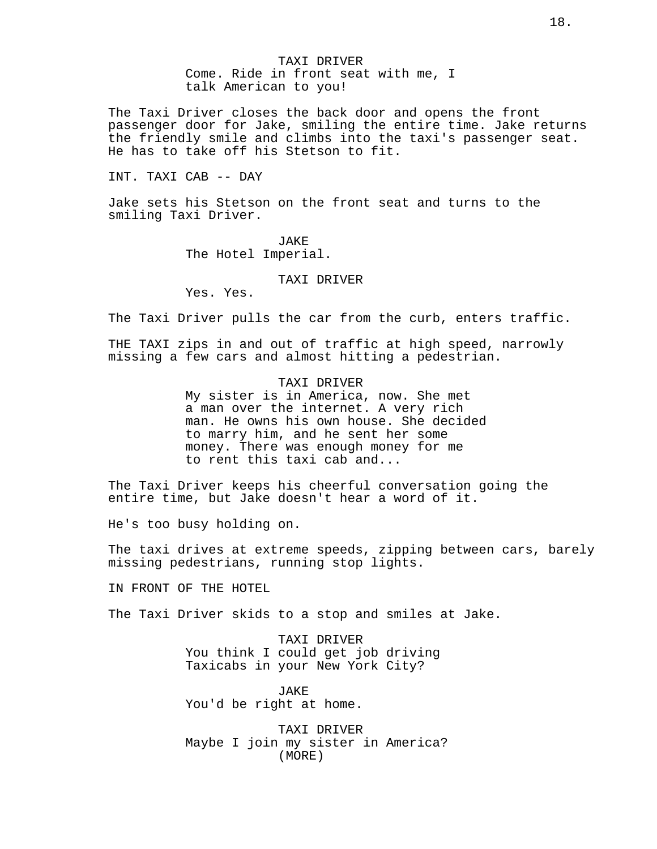TAXI DRIVER Come. Ride in front seat with me, I talk American to you!

The Taxi Driver closes the back door and opens the front passenger door for Jake, smiling the entire time. Jake returns the friendly smile and climbs into the taxi's passenger seat. He has to take off his Stetson to fit.

## INT. TAXI CAB -- DAY

Jake sets his Stetson on the front seat and turns to the smiling Taxi Driver.

> JAKE The Hotel Imperial.

#### TAXI DRIVER

Yes. Yes.

The Taxi Driver pulls the car from the curb, enters traffic.

THE TAXI zips in and out of traffic at high speed, narrowly missing a few cars and almost hitting a pedestrian.

### TAXI DRIVER

My sister is in America, now. She met a man over the internet. A very rich man. He owns his own house. She decided to marry him, and he sent her some money. There was enough money for me to rent this taxi cab and...

The Taxi Driver keeps his cheerful conversation going the entire time, but Jake doesn't hear a word of it.

He's too busy holding on.

The taxi drives at extreme speeds, zipping between cars, barely missing pedestrians, running stop lights.

IN FRONT OF THE HOTEL

The Taxi Driver skids to a stop and smiles at Jake.

TAXI DRIVER You think I could get job driving Taxicabs in your New York City?

JAKE You'd be right at home.

TAXI DRIVER Maybe I join my sister in America? (MORE)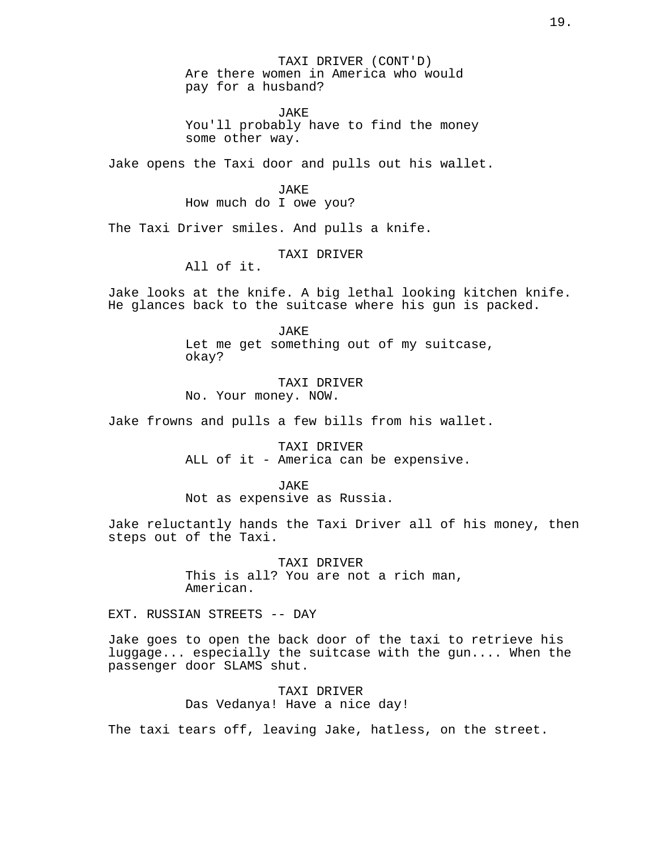TAXI DRIVER (CONT'D) Are there women in America who would pay for a husband?

JAKE You'll probably have to find the money some other way.

Jake opens the Taxi door and pulls out his wallet.

JAKE

How much do I owe you?

The Taxi Driver smiles. And pulls a knife.

TAXI DRIVER

All of it.

Jake looks at the knife. A big lethal looking kitchen knife. He glances back to the suitcase where his gun is packed.

> JAKE Let me get something out of my suitcase, okay?

TAXI DRIVER No. Your money. NOW.

Jake frowns and pulls a few bills from his wallet.

TAXI DRIVER ALL of it - America can be expensive.

JAKE

Not as expensive as Russia.

Jake reluctantly hands the Taxi Driver all of his money, then steps out of the Taxi.

> TAXI DRIVER This is all? You are not a rich man, American.

EXT. RUSSIAN STREETS -- DAY

Jake goes to open the back door of the taxi to retrieve his luggage... especially the suitcase with the gun.... When the passenger door SLAMS shut.

> TAXI DRIVER Das Vedanya! Have a nice day!

The taxi tears off, leaving Jake, hatless, on the street.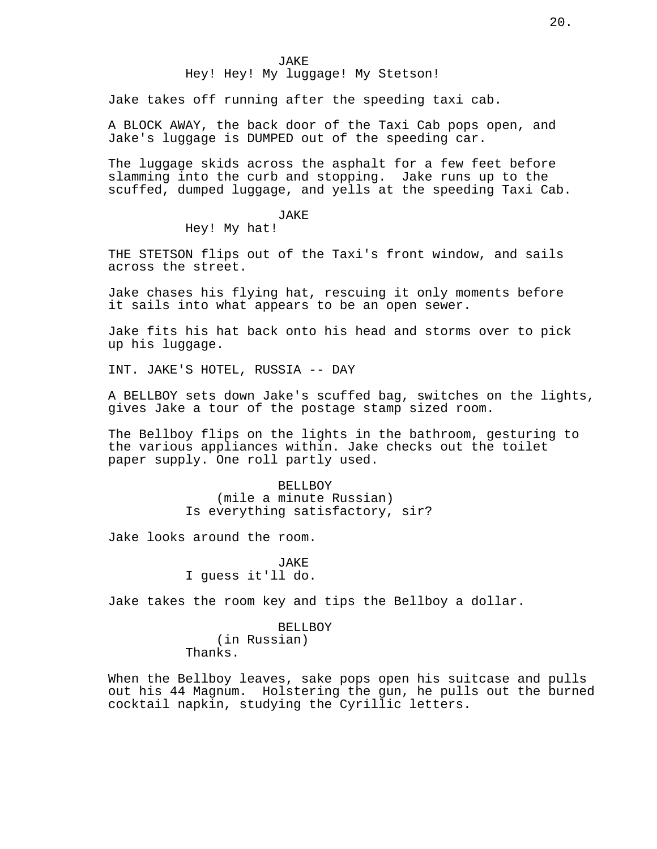# Hey! Hey! My luggage! My Stetson!

Jake takes off running after the speeding taxi cab.

A BLOCK AWAY, the back door of the Taxi Cab pops open, and Jake's luggage is DUMPED out of the speeding car.

The luggage skids across the asphalt for a few feet before slamming into the curb and stopping. Jake runs up to the scuffed, dumped luggage, and yells at the speeding Taxi Cab.

# JAKE

Hey! My hat!

THE STETSON flips out of the Taxi's front window, and sails across the street.

Jake chases his flying hat, rescuing it only moments before it sails into what appears to be an open sewer.

Jake fits his hat back onto his head and storms over to pick up his luggage.

INT. JAKE'S HOTEL, RUSSIA -- DAY

A BELLBOY sets down Jake's scuffed bag, switches on the lights, gives Jake a tour of the postage stamp sized room.

The Bellboy flips on the lights in the bathroom, gesturing to the various appliances within. Jake checks out the toilet paper supply. One roll partly used.

> BELLBOY (mile a minute Russian) Is everything satisfactory, sir?

Jake looks around the room.

JAKE I guess it'll do.

Jake takes the room key and tips the Bellboy a dollar.

BELLBOY (in Russian) Thanks.

When the Bellboy leaves, sake pops open his suitcase and pulls out his 44 Magnum. Holstering the gun, he pulls out the burned cocktail napkin, studying the Cyrillic letters.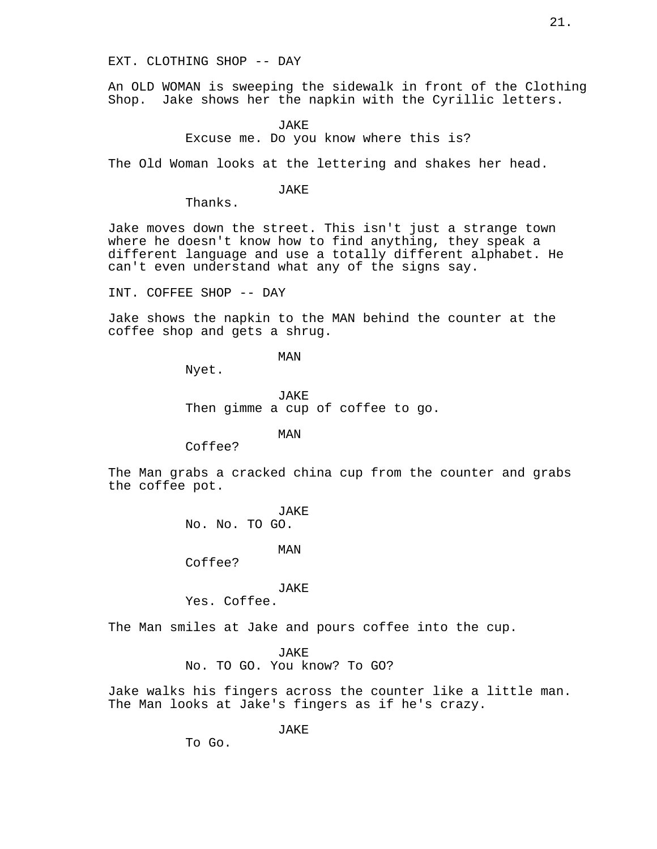## EXT. CLOTHING SHOP -- DAY

An OLD WOMAN is sweeping the sidewalk in front of the Clothing Shop. Jake shows her the napkin with the Cyrillic letters.

> JAKE Excuse me. Do you know where this is?

The Old Woman looks at the lettering and shakes her head.

JAKE

Thanks.

Jake moves down the street. This isn't just a strange town where he doesn't know how to find anything, they speak a different language and use a totally different alphabet. He can't even understand what any of the signs say.

INT. COFFEE SHOP -- DAY

Jake shows the napkin to the MAN behind the counter at the coffee shop and gets a shrug.

MAN

Nyet.

JAKE Then gimme a cup of coffee to go.

MAN

Coffee?

The Man grabs a cracked china cup from the counter and grabs the coffee pot.

JAKE

No. No. TO GO.

MAN

Coffee?

## JAKE

Yes. Coffee.

The Man smiles at Jake and pours coffee into the cup.

JAKE

No. TO GO. You know? To GO?

Jake walks his fingers across the counter like a little man. The Man looks at Jake's fingers as if he's crazy.

JAKE

To Go.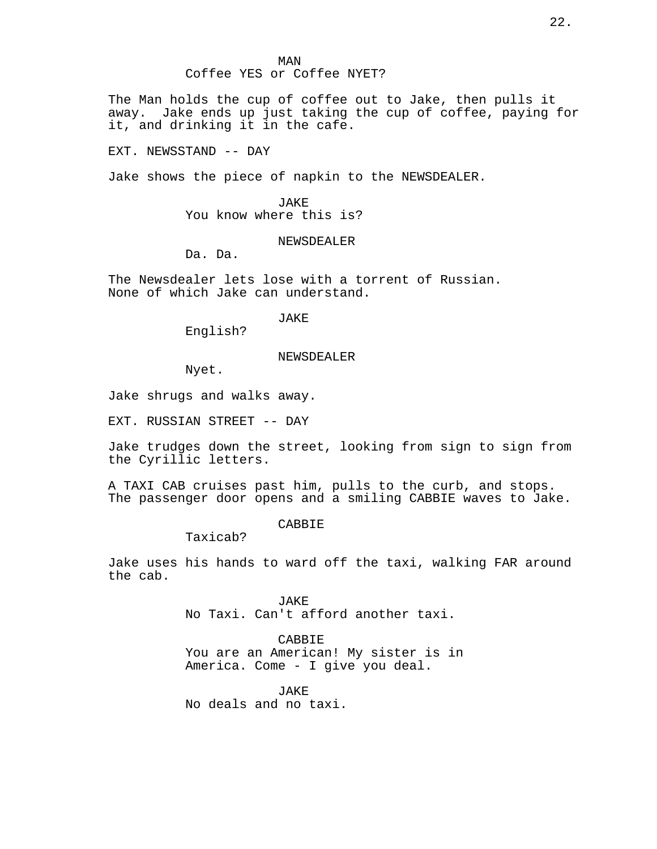# MAN Coffee YES or Coffee NYET?

The Man holds the cup of coffee out to Jake, then pulls it away. Jake ends up just taking the cup of coffee, paying for it, and drinking it in the cafe.

EXT. NEWSSTAND -- DAY

Jake shows the piece of napkin to the NEWSDEALER.

JAKE You know where this is?

#### NEWSDEALER

Da. Da.

The Newsdealer lets lose with a torrent of Russian. None of which Jake can understand.

JAKE

English?

#### NEWSDEALER

Nyet.

Jake shrugs and walks away.

EXT. RUSSIAN STREET -- DAY

Jake trudges down the street, looking from sign to sign from the Cyrillic letters.

A TAXI CAB cruises past him, pulls to the curb, and stops. The passenger door opens and a smiling CABBIE waves to Jake.

## **CABBIE**

Taxicab?

Jake uses his hands to ward off the taxi, walking FAR around the cab.

> JAKE No Taxi. Can't afford another taxi.

CABBIE You are an American! My sister is in America. Come - I give you deal.

JAKE No deals and no taxi.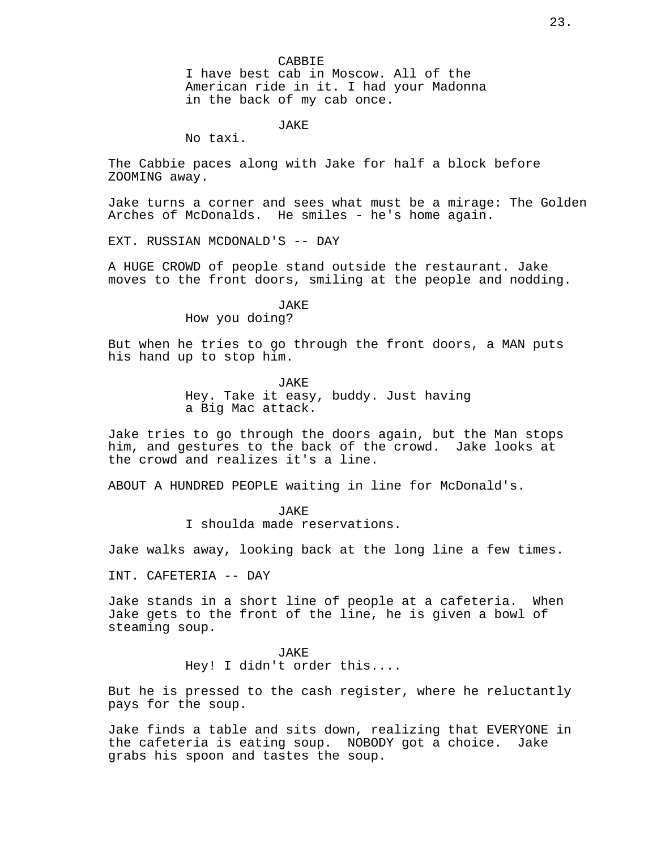No taxi.

The Cabbie paces along with Jake for half a block before ZOOMING away.

Jake turns a corner and sees what must be a mirage: The Golden Arches of McDonalds. He smiles - he's home again.

EXT. RUSSIAN MCDONALD'S -- DAY

A HUGE CROWD of people stand outside the restaurant. Jake moves to the front doors, smiling at the people and nodding.

JAKE

How you doing?

But when he tries to go through the front doors, a MAN puts his hand up to stop him.

> JAKE Hey. Take it easy, buddy. Just having a Big Mac attack.

Jake tries to go through the doors again, but the Man stops him, and gestures to the back of the crowd. Jake looks at the crowd and realizes it's a line.

ABOUT A HUNDRED PEOPLE waiting in line for McDonald's.

**JAKE** 

I shoulda made reservations.

Jake walks away, looking back at the long line a few times.

INT. CAFETERIA -- DAY

Jake stands in a short line of people at a cafeteria. When Jake gets to the front of the line, he is given a bowl of steaming soup.

> JAKE Hey! I didn't order this....

But he is pressed to the cash register, where he reluctantly pays for the soup.

Jake finds a table and sits down, realizing that EVERYONE in the cafeteria is eating soup. NOBODY got a choice. Jake grabs his spoon and tastes the soup.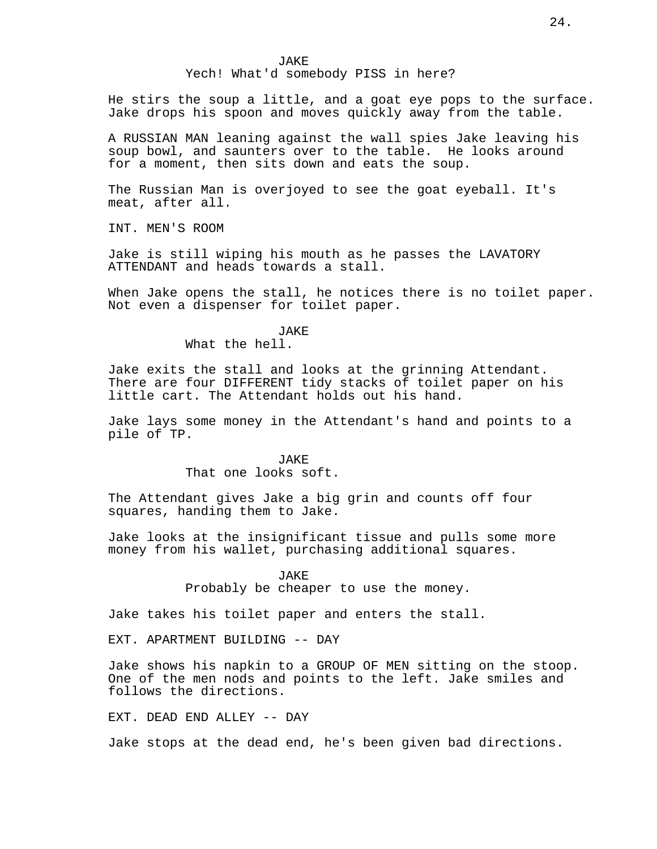Yech! What'd somebody PISS in here?

He stirs the soup a little, and a goat eye pops to the surface. Jake drops his spoon and moves quickly away from the table.

A RUSSIAN MAN leaning against the wall spies Jake leaving his soup bowl, and saunters over to the table. He looks around for a moment, then sits down and eats the soup.

The Russian Man is overjoyed to see the goat eyeball. It's meat, after all.

INT. MEN'S ROOM

Jake is still wiping his mouth as he passes the LAVATORY ATTENDANT and heads towards a stall.

When Jake opens the stall, he notices there is no toilet paper. Not even a dispenser for toilet paper.

JAKE

What the hell.

Jake exits the stall and looks at the grinning Attendant. There are four DIFFERENT tidy stacks of toilet paper on his little cart. The Attendant holds out his hand.

Jake lays some money in the Attendant's hand and points to a pile of TP.

> JAKE That one looks soft.

The Attendant gives Jake a big grin and counts off four squares, handing them to Jake.

Jake looks at the insignificant tissue and pulls some more money from his wallet, purchasing additional squares.

> JAKE Probably be cheaper to use the money.

Jake takes his toilet paper and enters the stall.

EXT. APARTMENT BUILDING -- DAY

Jake shows his napkin to a GROUP OF MEN sitting on the stoop. One of the men nods and points to the left. Jake smiles and follows the directions.

EXT. DEAD END ALLEY -- DAY

Jake stops at the dead end, he's been given bad directions.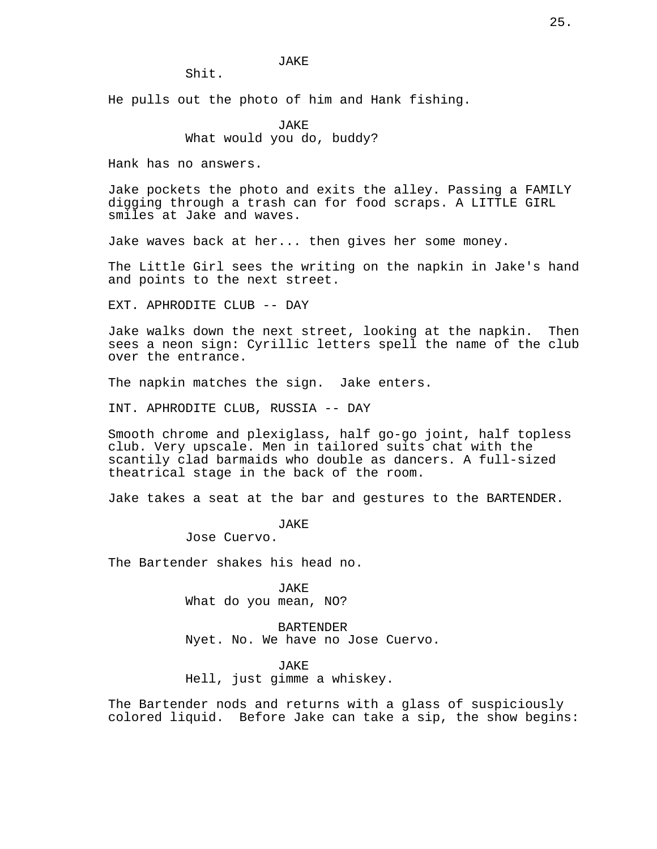Shit.

He pulls out the photo of him and Hank fishing.

JAKE What would you do, buddy?

Hank has no answers.

Jake pockets the photo and exits the alley. Passing a FAMILY digging through a trash can for food scraps. A LITTLE GIRL smiles at Jake and waves.

Jake waves back at her... then gives her some money.

The Little Girl sees the writing on the napkin in Jake's hand and points to the next street.

EXT. APHRODITE CLUB -- DAY

Jake walks down the next street, looking at the napkin. Then sees a neon sign: Cyrillic letters spell the name of the club over the entrance.

The napkin matches the sign. Jake enters.

INT. APHRODITE CLUB, RUSSIA -- DAY

Smooth chrome and plexiglass, half go-go joint, half topless club. Very upscale. Men in tailored suits chat with the scantily clad barmaids who double as dancers. A full-sized theatrical stage in the back of the room.

Jake takes a seat at the bar and gestures to the BARTENDER.

JAKE

Jose Cuervo.

The Bartender shakes his head no.

JAKE What do you mean, NO?

BARTENDER Nyet. No. We have no Jose Cuervo.

JAKE

Hell, just gimme a whiskey.

The Bartender nods and returns with a glass of suspiciously colored liquid. Before Jake can take a sip, the show begins: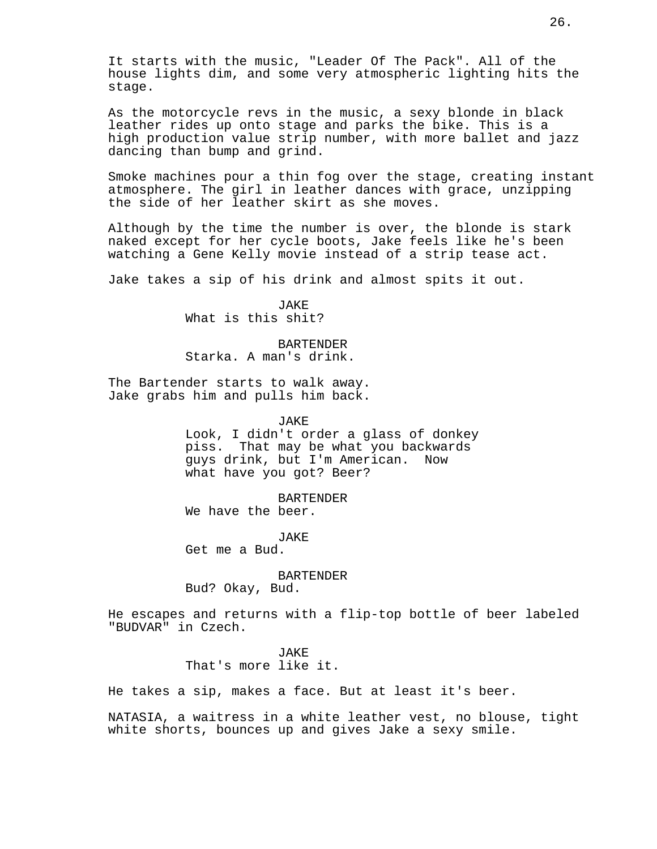It starts with the music, "Leader Of The Pack". All of the house lights dim, and some very atmospheric lighting hits the stage.

As the motorcycle revs in the music, a sexy blonde in black leather rides up onto stage and parks the bike. This is a high production value strip number, with more ballet and jazz dancing than bump and grind.

Smoke machines pour a thin fog over the stage, creating instant atmosphere. The girl in leather dances with grace, unzipping the side of her leather skirt as she moves.

Although by the time the number is over, the blonde is stark naked except for her cycle boots, Jake feels like he's been watching a Gene Kelly movie instead of a strip tease act.

Jake takes a sip of his drink and almost spits it out.

JAKE What is this shit?

BARTENDER Starka. A man's drink.

The Bartender starts to walk away. Jake grabs him and pulls him back.

JAKE

Look, I didn't order a glass of donkey piss. That may be what you backwards guys drink, but I'm American. Now what have you got? Beer?

BARTENDER We have the beer.

JAKE Get me a Bud.

BARTENDER

Bud? Okay, Bud.

He escapes and returns with a flip-top bottle of beer labeled "BUDVAR" in Czech.

> JAKE That's more like it.

He takes a sip, makes a face. But at least it's beer.

NATASIA, a waitress in a white leather vest, no blouse, tight white shorts, bounces up and gives Jake a sexy smile.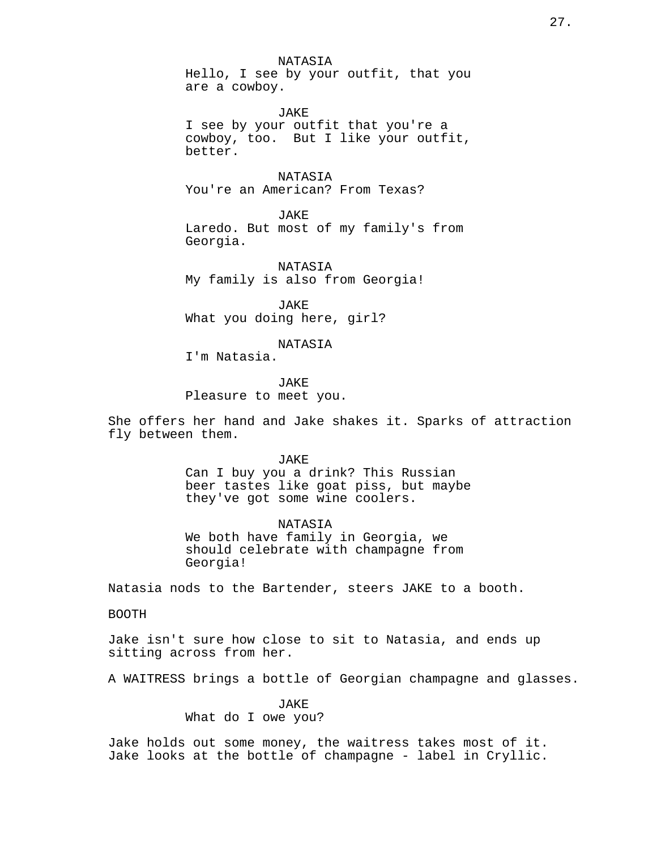NATASIA Hello, I see by your outfit, that you are a cowboy.

JAKE I see by your outfit that you're a cowboy, too. But I like your outfit, better.

NATASIA You're an American? From Texas?

**JAKE** Laredo. But most of my family's from Georgia.

NATASIA My family is also from Georgia!

JAKE What you doing here, girl?

NATASIA

I'm Natasia.

JAKE Pleasure to meet you.

She offers her hand and Jake shakes it. Sparks of attraction fly between them.

JAKE

Can I buy you a drink? This Russian beer tastes like goat piss, but maybe they've got some wine coolers.

NATASIA We both have family in Georgia, we should celebrate with champagne from Georgia!

Natasia nods to the Bartender, steers JAKE to a booth.

BOOTH

Jake isn't sure how close to sit to Natasia, and ends up sitting across from her.

A WAITRESS brings a bottle of Georgian champagne and glasses.

JAKE What do I owe you?

Jake holds out some money, the waitress takes most of it. Jake looks at the bottle of champagne - label in Cryllic.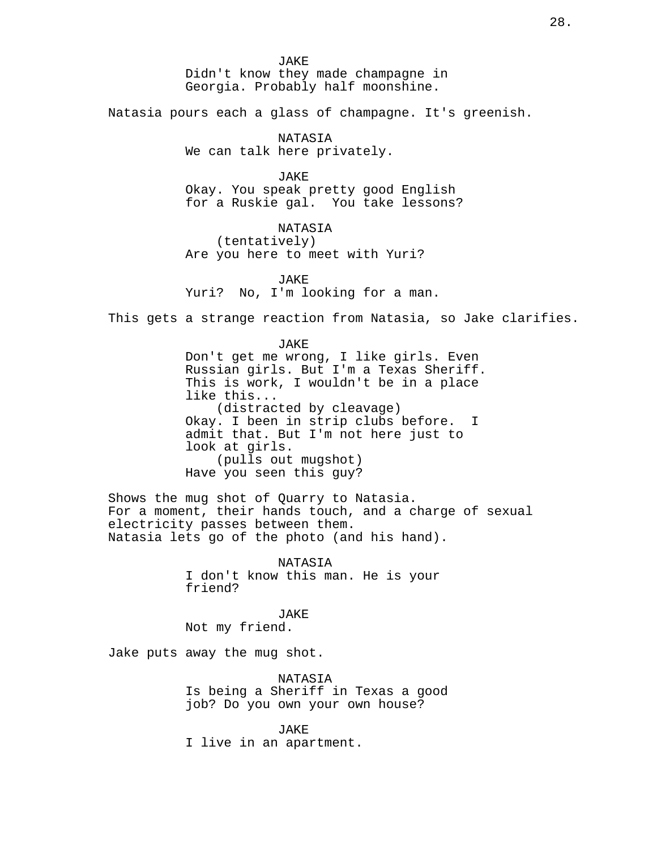JAKE Didn't know they made champagne in Georgia. Probably half moonshine.

Natasia pours each a glass of champagne. It's greenish.

NATASIA We can talk here privately.

JAKE Okay. You speak pretty good English for a Ruskie gal. You take lessons?

NATASIA (tentatively) Are you here to meet with Yuri?

**JAKE** Yuri? No, I'm looking for a man.

This gets a strange reaction from Natasia, so Jake clarifies.

# JAKE Don't get me wrong, I like girls. Even Russian girls. But I'm a Texas Sheriff. This is work, I wouldn't be in a place like this... (distracted by cleavage) Okay. I been in strip clubs before. I admit that. But I'm not here just to look at girls. (pulls out mugshot) Have you seen this guy?

Shows the mug shot of Quarry to Natasia. For a moment, their hands touch, and a charge of sexual electricity passes between them. Natasia lets go of the photo (and his hand).

> NATASIA I don't know this man. He is your friend?

JAKE Not my friend.

Jake puts away the mug shot.

NATASIA Is being a Sheriff in Texas a good job? Do you own your own house?

JAKE I live in an apartment.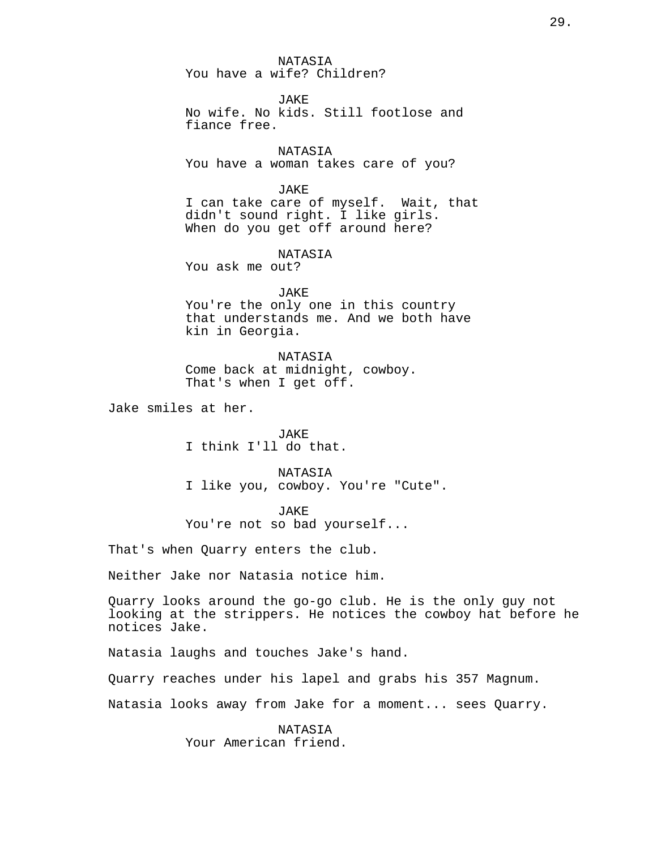NATASIA You have a wife? Children?

JAKE No wife. No kids. Still footlose and fiance free.

NATASIA You have a woman takes care of you?

JAKE

I can take care of myself. Wait, that didn't sound right. I like girls. When do you get off around here?

NATASIA

You ask me out?

JAKE

You're the only one in this country that understands me. And we both have kin in Georgia.

NATASIA Come back at midnight, cowboy. That's when I get off.

Jake smiles at her.

JAKE I think I'll do that.

NATASIA I like you, cowboy. You're "Cute".

JAKE

You're not so bad yourself...

That's when Quarry enters the club.

Neither Jake nor Natasia notice him.

Quarry looks around the go-go club. He is the only guy not looking at the strippers. He notices the cowboy hat before he notices Jake.

Natasia laughs and touches Jake's hand.

Quarry reaches under his lapel and grabs his 357 Magnum.

Natasia looks away from Jake for a moment... sees Quarry.

NATASIA Your American friend.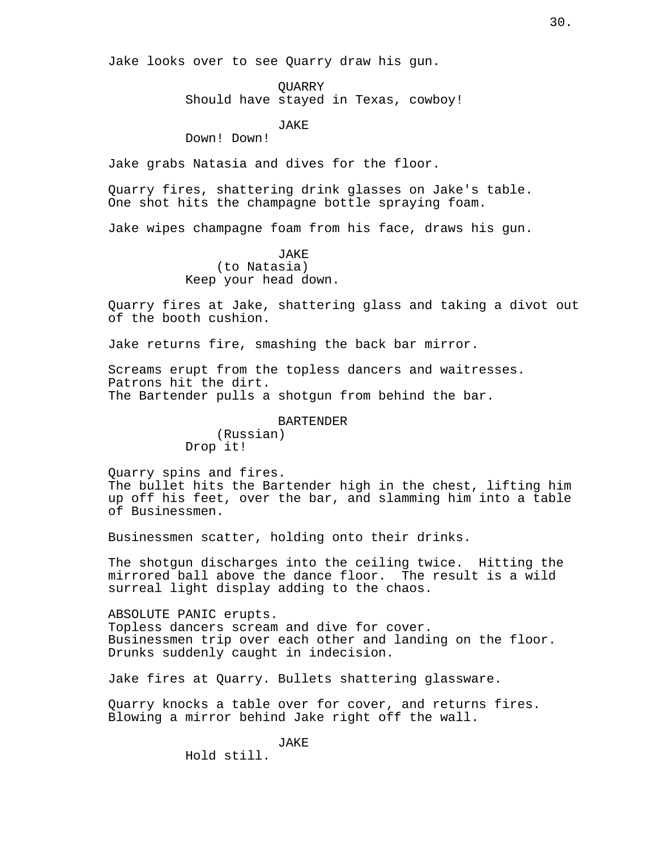Jake looks over to see Quarry draw his gun.

QUARRY Should have stayed in Texas, cowboy!

JAKE

Down! Down!

Jake grabs Natasia and dives for the floor.

Quarry fires, shattering drink glasses on Jake's table. One shot hits the champagne bottle spraying foam.

Jake wipes champagne foam from his face, draws his gun.

JAKE (to Natasia) Keep your head down.

Quarry fires at Jake, shattering glass and taking a divot out of the booth cushion.

Jake returns fire, smashing the back bar mirror.

Screams erupt from the topless dancers and waitresses. Patrons hit the dirt. The Bartender pulls a shotgun from behind the bar.

#### BARTENDER

(Russian) Drop it!

Quarry spins and fires. The bullet hits the Bartender high in the chest, lifting him up off his feet, over the bar, and slamming him into a table of Businessmen.

Businessmen scatter, holding onto their drinks.

The shotgun discharges into the ceiling twice. Hitting the mirrored ball above the dance floor. The result is a wild surreal light display adding to the chaos.

ABSOLUTE PANIC erupts. Topless dancers scream and dive for cover. Businessmen trip over each other and landing on the floor. Drunks suddenly caught in indecision.

Jake fires at Quarry. Bullets shattering glassware.

Quarry knocks a table over for cover, and returns fires. Blowing a mirror behind Jake right off the wall.

JAKE

Hold still.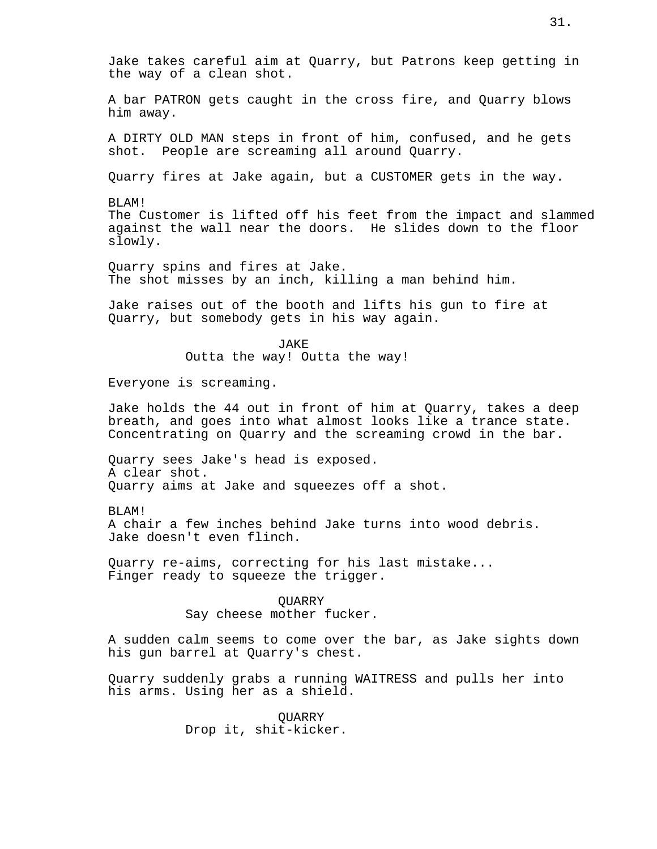Jake takes careful aim at Quarry, but Patrons keep getting in the way of a clean shot. A bar PATRON gets caught in the cross fire, and Quarry blows

A DIRTY OLD MAN steps in front of him, confused, and he gets shot. People are screaming all around Quarry.

Quarry fires at Jake again, but a CUSTOMER gets in the way.

BLAM! The Customer is lifted off his feet from the impact and slammed against the wall near the doors. He slides down to the floor slowly.

Quarry spins and fires at Jake. The shot misses by an inch, killing a man behind him.

Jake raises out of the booth and lifts his gun to fire at Quarry, but somebody gets in his way again.

> JAKE Outta the way! Outta the way!

Everyone is screaming.

Jake holds the 44 out in front of him at Quarry, takes a deep breath, and goes into what almost looks like a trance state. Concentrating on Quarry and the screaming crowd in the bar.

Quarry sees Jake's head is exposed. A clear shot. Quarry aims at Jake and squeezes off a shot.

BLAM!

him away.

A chair a few inches behind Jake turns into wood debris. Jake doesn't even flinch.

Quarry re-aims, correcting for his last mistake... Finger ready to squeeze the trigger.

> QUARRY Say cheese mother fucker.

A sudden calm seems to come over the bar, as Jake sights down his gun barrel at Quarry's chest.

Quarry suddenly grabs a running WAITRESS and pulls her into his arms. Using her as a shield.

> QUARRY Drop it, shit-kicker.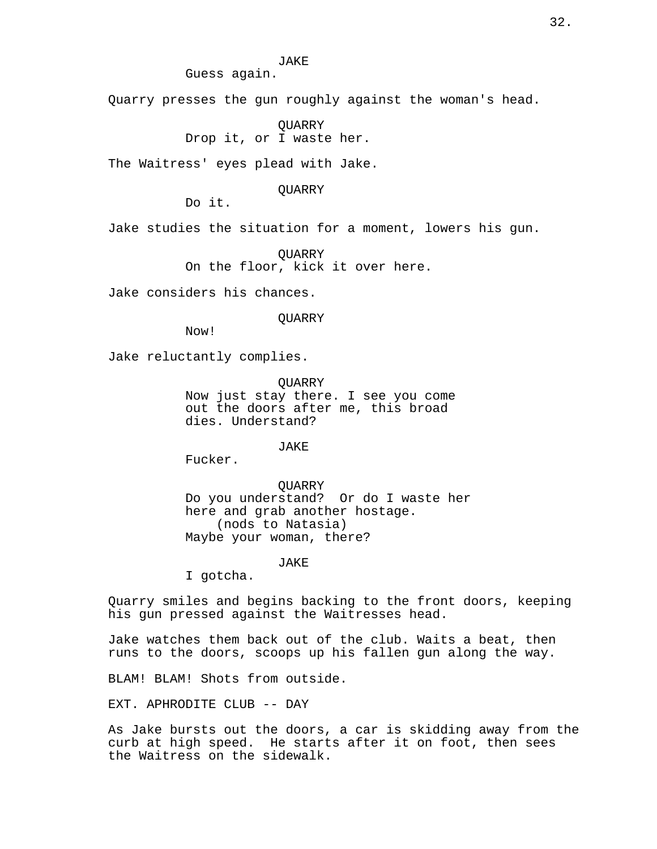Guess again.

Quarry presses the gun roughly against the woman's head.

QUARRY Drop it, or I waste her.

The Waitress' eyes plead with Jake.

**OUARRY** 

Do it.

Jake studies the situation for a moment, lowers his gun.

QUARRY On the floor, kick it over here.

Jake considers his chances.

QUARRY

Now!

Jake reluctantly complies.

QUARRY Now just stay there. I see you come out the doors after me, this broad dies. Understand?

JAKE

Fucker.

QUARRY Do you understand? Or do I waste her here and grab another hostage. (nods to Natasia) Maybe your woman, there?

JAKE

I gotcha.

Quarry smiles and begins backing to the front doors, keeping his gun pressed against the Waitresses head.

Jake watches them back out of the club. Waits a beat, then runs to the doors, scoops up his fallen gun along the way.

BLAM! BLAM! Shots from outside.

EXT. APHRODITE CLUB -- DAY

As Jake bursts out the doors, a car is skidding away from the curb at high speed. He starts after it on foot, then sees the Waitress on the sidewalk.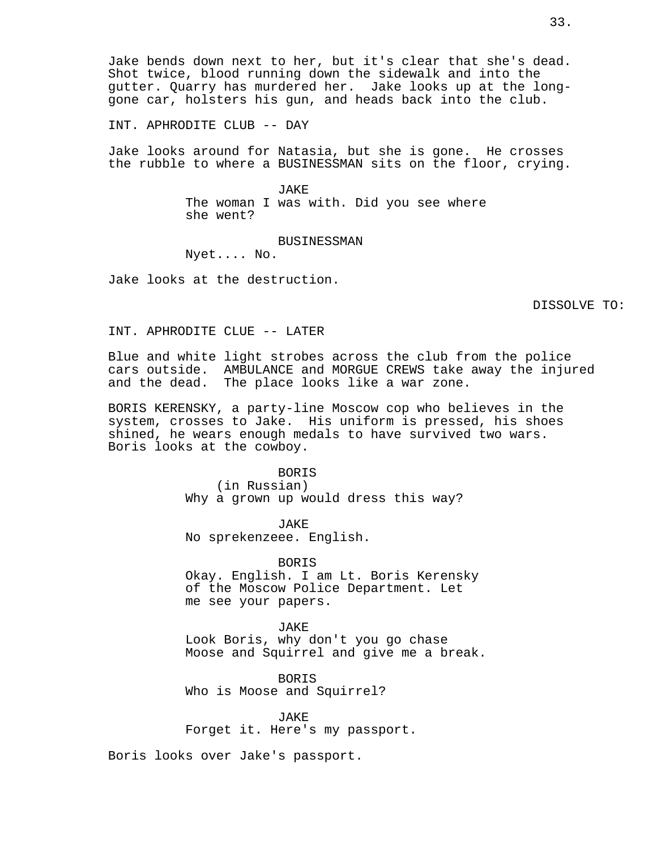Jake bends down next to her, but it's clear that she's dead. Shot twice, blood running down the sidewalk and into the gutter. Quarry has murdered her. Jake looks up at the longgone car, holsters his gun, and heads back into the club.

INT. APHRODITE CLUB -- DAY

Jake looks around for Natasia, but she is gone. He crosses the rubble to where a BUSINESSMAN sits on the floor, crying.

> JAKE The woman I was with. Did you see where she went?

> > BUSINESSMAN

Nyet.... No.

Jake looks at the destruction.

DISSOLVE TO:

INT. APHRODITE CLUE -- LATER

Blue and white light strobes across the club from the police cars outside. AMBULANCE and MORGUE CREWS take away the injured and the dead. The place looks like a war zone.

BORIS KERENSKY, a party-line Moscow cop who believes in the system, crosses to Jake. His uniform is pressed, his shoes shined, he wears enough medals to have survived two wars. Boris looks at the cowboy.

> BORIS (in Russian) Why a grown up would dress this way?

JAKE No sprekenzeee. English.

BORIS Okay. English. I am Lt. Boris Kerensky of the Moscow Police Department. Let me see your papers.

JAKE Look Boris, why don't you go chase Moose and Squirrel and give me a break.

BORIS Who is Moose and Squirrel?

JAKE Forget it. Here's my passport.

Boris looks over Jake's passport.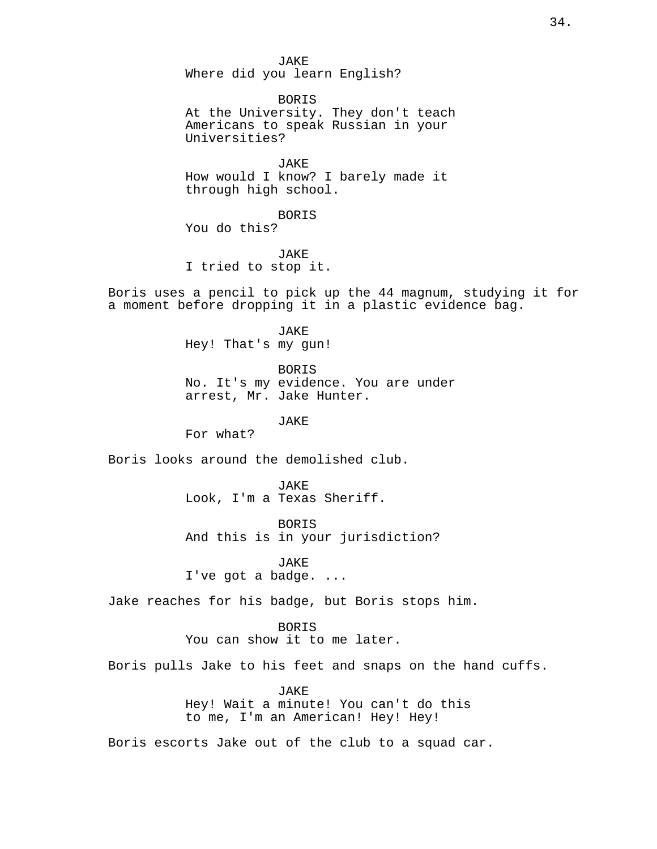JAKE Where did you learn English? BORIS At the University. They don't teach Americans to speak Russian in your Universities? JAKE How would I know? I barely made it through high school. BORIS You do this? JAKE I tried to stop it. Boris uses a pencil to pick up the 44 magnum, studying it for a moment before dropping it in a plastic evidence bag. JAKE Hey! That's my gun! BORIS No. It's my evidence. You are under arrest, Mr. Jake Hunter. JAKE For what? Boris looks around the demolished club. JAKE Look, I'm a Texas Sheriff. BORIS And this is in your jurisdiction? JAKE I've got a badge. ... Jake reaches for his badge, but Boris stops him. BORIS You can show it to me later. Boris pulls Jake to his feet and snaps on the hand cuffs. JAKE Hey! Wait a minute! You can't do this to me, I'm an American! Hey! Hey! Boris escorts Jake out of the club to a squad car.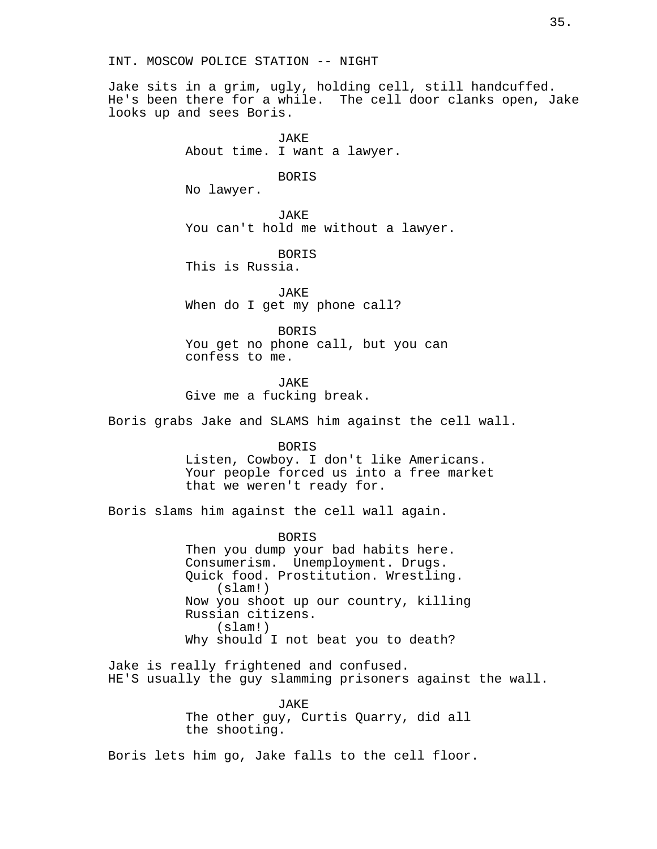INT. MOSCOW POLICE STATION -- NIGHT

Jake sits in a grim, ugly, holding cell, still handcuffed. He's been there for a while. The cell door clanks open, Jake looks up and sees Boris.

> JAKE About time. I want a lawyer.

> > BORIS

No lawyer.

JAKE You can't hold me without a lawyer.

BORIS This is Russia.

JAKE When do I get my phone call?

BORIS You get no phone call, but you can confess to me.

JAKE Give me a fucking break.

Boris grabs Jake and SLAMS him against the cell wall.

BORIS Listen, Cowboy. I don't like Americans. Your people forced us into a free market that we weren't ready for.

Boris slams him against the cell wall again.

BORIS Then you dump your bad habits here. Consumerism. Unemployment. Drugs. Quick food. Prostitution. Wrestling. (slam!) Now you shoot up our country, killing Russian citizens. (slam!) Why should I not beat you to death?

Jake is really frightened and confused. HE'S usually the guy slamming prisoners against the wall.

> **JAKE** The other guy, Curtis Quarry, did all the shooting.

Boris lets him go, Jake falls to the cell floor.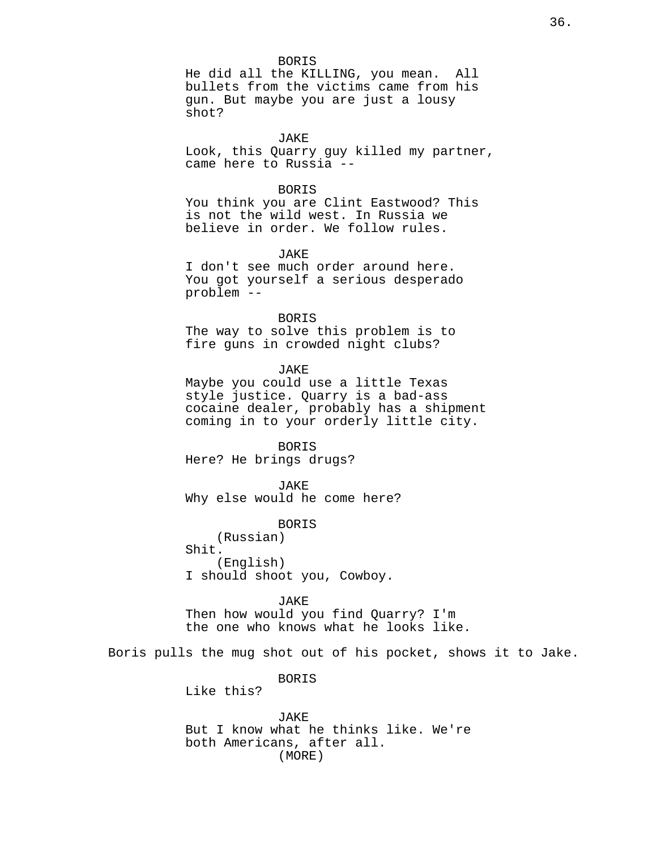BORIS

He did all the KILLING, you mean. All bullets from the victims came from his gun. But maybe you are just a lousy shot?

JAKE Look, this Quarry guy killed my partner, came here to Russia --

### BORIS

You think you are Clint Eastwood? This is not the wild west. In Russia we believe in order. We follow rules.

JAKE

I don't see much order around here. You got yourself a serious desperado problem --

#### BORIS

The way to solve this problem is to fire guns in crowded night clubs?

JAKE

Maybe you could use a little Texas style justice. Quarry is a bad-ass cocaine dealer, probably has a shipment coming in to your orderly little city.

BORIS Here? He brings drugs?

JAKE Why else would he come here?

BORIS

(Russian) Shit. (English) I should shoot you, Cowboy.

JAKE

Then how would you find Quarry? I'm the one who knows what he looks like.

Boris pulls the mug shot out of his pocket, shows it to Jake.

BORIS

Like this?

JAKE But I know what he thinks like. We're both Americans, after all. (MORE)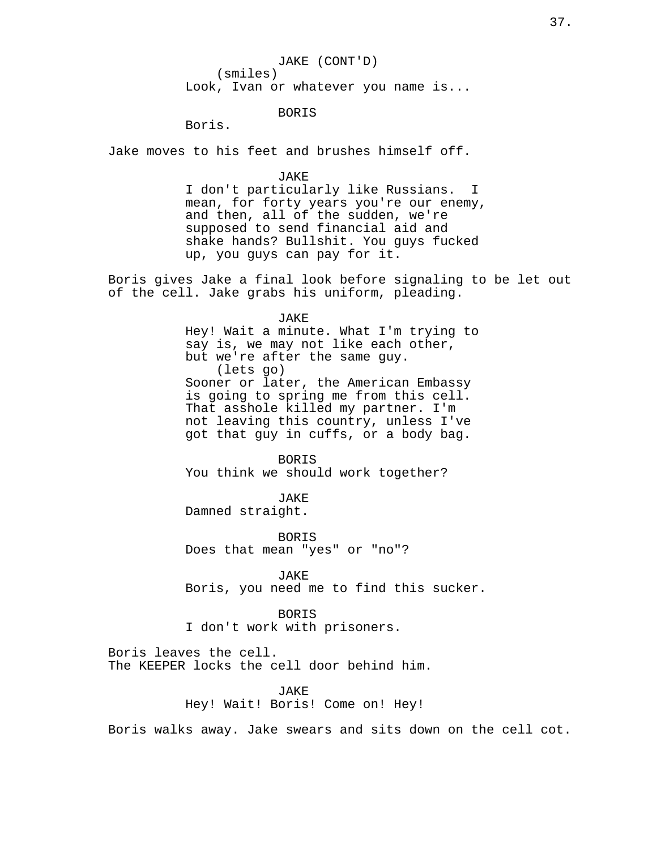## BORIS

Boris.

Jake moves to his feet and brushes himself off.

JAKE

I don't particularly like Russians. I mean, for forty years you're our enemy, and then, all of the sudden, we're supposed to send financial aid and shake hands? Bullshit. You guys fucked up, you guys can pay for it.

Boris gives Jake a final look before signaling to be let out of the cell. Jake grabs his uniform, pleading.

JAKE

Hey! Wait a minute. What I'm trying to say is, we may not like each other, but we're after the same guy. (lets go) Sooner or later, the American Embassy is going to spring me from this cell. That asshole killed my partner. I'm not leaving this country, unless I've got that guy in cuffs, or a body bag.

BORIS You think we should work together?

JAKE Damned straight.

BORIS Does that mean "yes" or "no"?

JAKE Boris, you need me to find this sucker.

BORIS

I don't work with prisoners.

Boris leaves the cell. The KEEPER locks the cell door behind him.

> JAKE Hey! Wait! Boris! Come on! Hey!

Boris walks away. Jake swears and sits down on the cell cot.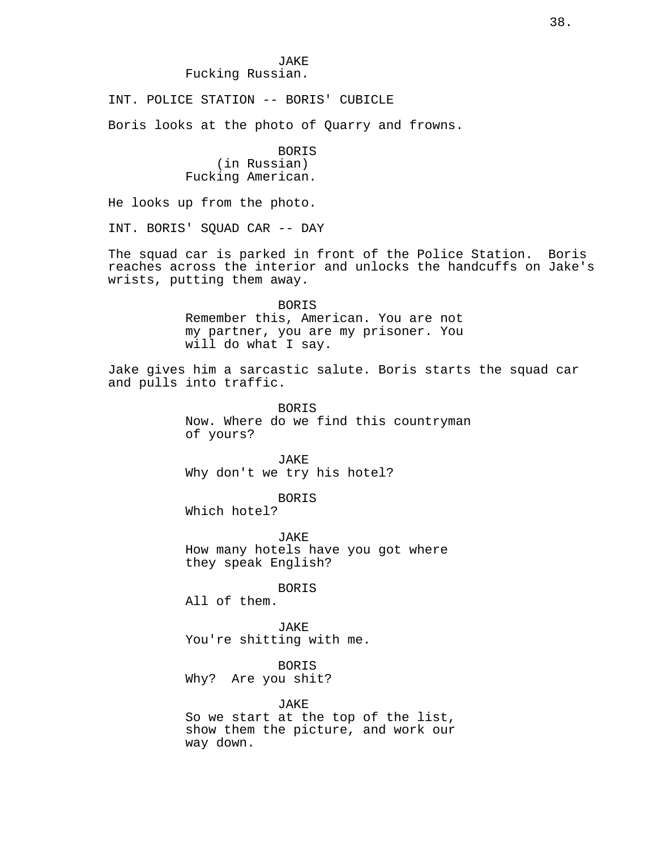INT. POLICE STATION -- BORIS' CUBICLE

Boris looks at the photo of Quarry and frowns.

BORIS (in Russian) Fucking American.

He looks up from the photo.

INT. BORIS' SQUAD CAR -- DAY

The squad car is parked in front of the Police Station. Boris reaches across the interior and unlocks the handcuffs on Jake's wrists, putting them away.

> BORIS Remember this, American. You are not my partner, you are my prisoner. You will do what I say.

Jake gives him a sarcastic salute. Boris starts the squad car and pulls into traffic.

> BORIS Now. Where do we find this countryman of yours?

JAKE Why don't we try his hotel?

**BORTS** 

Which hotel?

JAKE How many hotels have you got where they speak English?

BORIS

All of them.

JAKE You're shitting with me.

BORIS Why? Are you shit?

JAKE

So we start at the top of the list, show them the picture, and work our way down.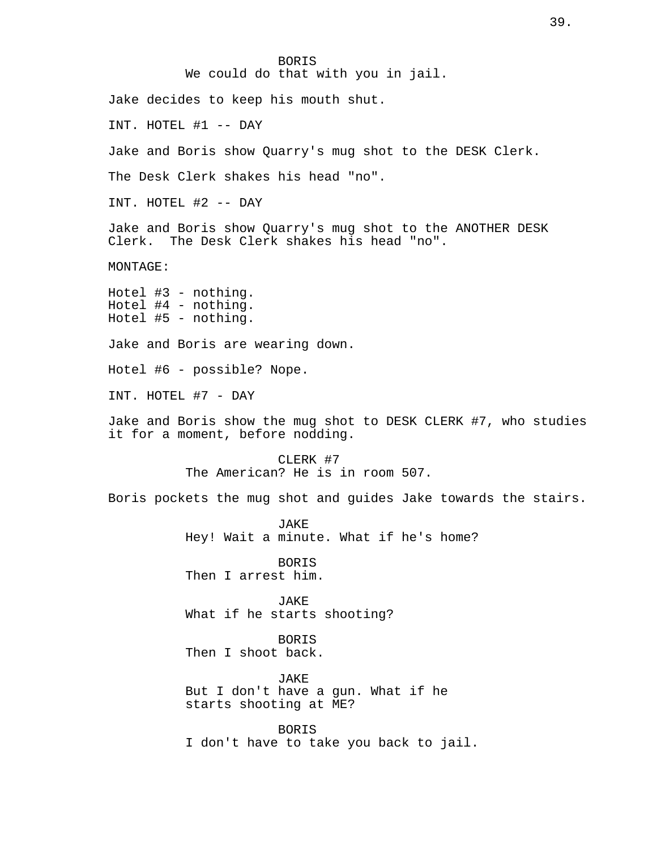BORIS We could do that with you in jail. Jake decides to keep his mouth shut. INT. HOTEL #1 -- DAY Jake and Boris show Quarry's mug shot to the DESK Clerk. The Desk Clerk shakes his head "no". INT. HOTEL #2 -- DAY Jake and Boris show Quarry's mug shot to the ANOTHER DESK Clerk. The Desk Clerk shakes his head "no". MONTAGE: Hotel #3 - nothing. Hotel #4 - nothing. Hotel #5 - nothing. Jake and Boris are wearing down. Hotel #6 - possible? Nope. INT. HOTEL #7 - DAY Jake and Boris show the mug shot to DESK CLERK #7, who studies it for a moment, before nodding. CLERK #7 The American? He is in room 507. Boris pockets the mug shot and guides Jake towards the stairs. **JAKE** Hey! Wait a minute. What if he's home? BORIS Then I arrest him. JAKE What if he starts shooting? **BORTS** Then I shoot back. JAKE But I don't have a gun. What if he starts shooting at ME? BORIS I don't have to take you back to jail.

39.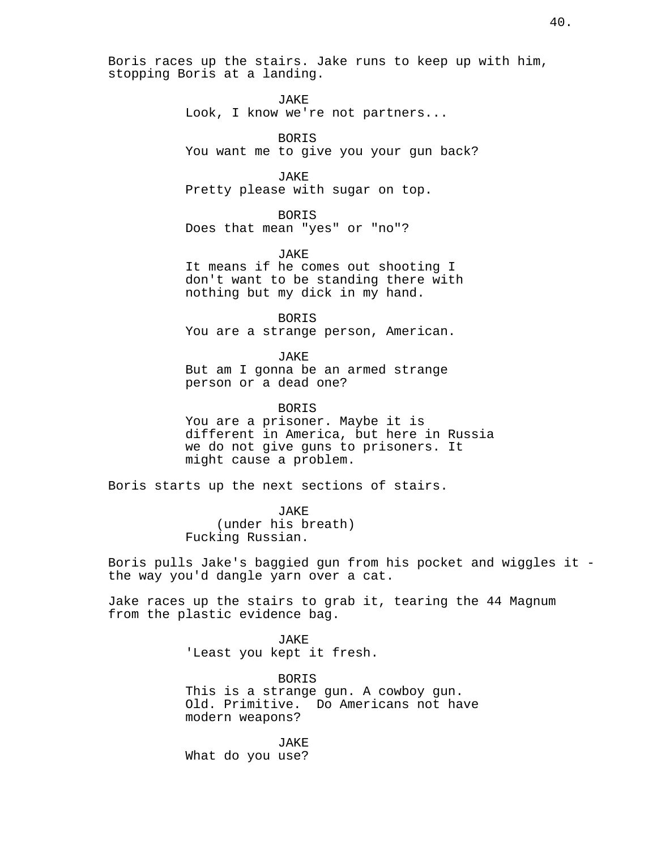Boris races up the stairs. Jake runs to keep up with him, stopping Boris at a landing.

> JAKE Look, I know we're not partners...

**BORTS** You want me to give you your gun back?

JAKE Pretty please with sugar on top.

BORIS Does that mean "yes" or "no"?

JAKE It means if he comes out shooting I don't want to be standing there with nothing but my dick in my hand.

BORIS You are a strange person, American.

JAKE But am I gonna be an armed strange person or a dead one?

BORIS You are a prisoner. Maybe it is different in America, but here in Russia we do not give guns to prisoners. It might cause a problem.

Boris starts up the next sections of stairs.

JAKE (under his breath) Fucking Russian.

Boris pulls Jake's baggied gun from his pocket and wiggles it the way you'd dangle yarn over a cat.

Jake races up the stairs to grab it, tearing the 44 Magnum from the plastic evidence bag.

> JAKE 'Least you kept it fresh.

BORIS This is a strange gun. A cowboy gun. Old. Primitive. Do Americans not have modern weapons?

JAKE What do you use?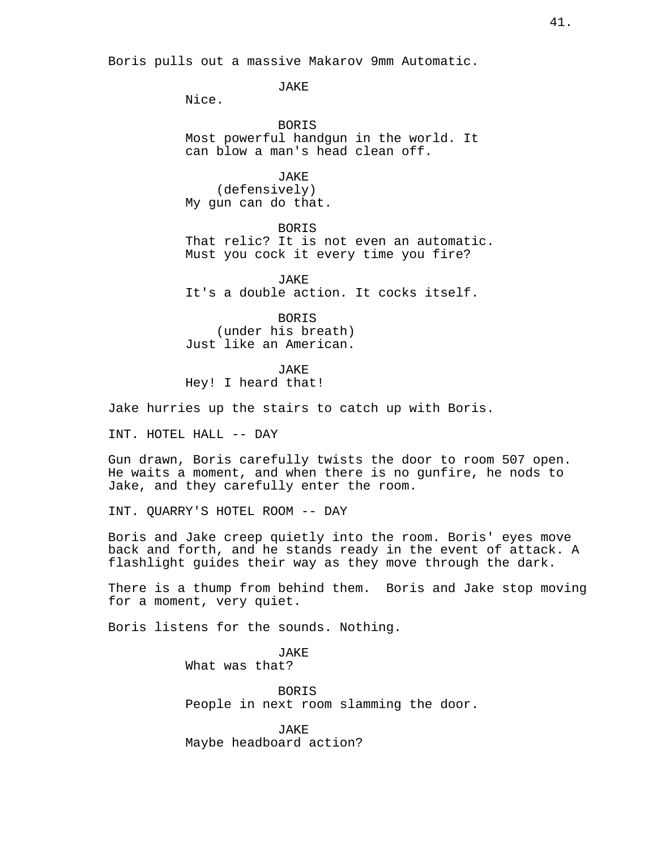Boris pulls out a massive Makarov 9mm Automatic.

JAKE

Nice.

BORIS Most powerful handgun in the world. It can blow a man's head clean off.

JAKE (defensively) My gun can do that.

BORIS That relic? It is not even an automatic. Must you cock it every time you fire?

**JAKE** It's a double action. It cocks itself.

BORIS (under his breath) Just like an American.

JAKE Hey! I heard that!

Jake hurries up the stairs to catch up with Boris.

INT. HOTEL HALL -- DAY

Gun drawn, Boris carefully twists the door to room 507 open. He waits a moment, and when there is no gunfire, he nods to Jake, and they carefully enter the room.

INT. QUARRY'S HOTEL ROOM -- DAY

Boris and Jake creep quietly into the room. Boris' eyes move back and forth, and he stands ready in the event of attack. A flashlight guides their way as they move through the dark.

There is a thump from behind them. Boris and Jake stop moving for a moment, very quiet.

Boris listens for the sounds. Nothing.

JAKE What was that?

BORIS People in next room slamming the door.

JAKE Maybe headboard action?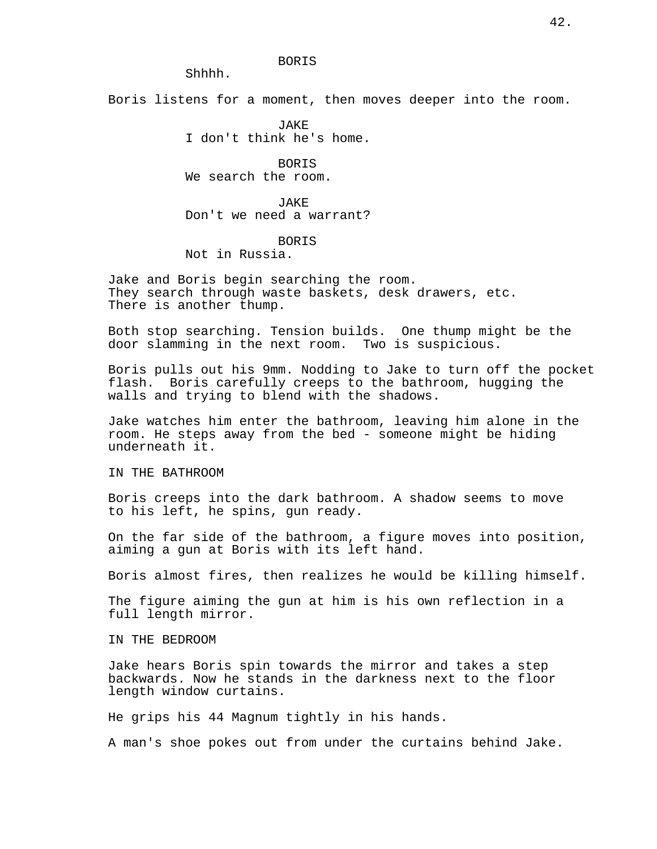#### BORIS

Shhhh.

Boris listens for a moment, then moves deeper into the room.

JAKE I don't think he's home.

BORIS We search the room.

JAKE Don't we need a warrant?

**BORTS** 

Not in Russia.

Jake and Boris begin searching the room. They search through waste baskets, desk drawers, etc. There is another thump.

Both stop searching. Tension builds. One thump might be the door slamming in the next room. Two is suspicious.

Boris pulls out his 9mm. Nodding to Jake to turn off the pocket flash. Boris carefully creeps to the bathroom, hugging the walls and trying to blend with the shadows.

Jake watches him enter the bathroom, leaving him alone in the room. He steps away from the bed - someone might be hiding underneath it.

IN THE BATHROOM

Boris creeps into the dark bathroom. A shadow seems to move to his left, he spins, gun ready.

On the far side of the bathroom, a figure moves into position, aiming a gun at Boris with its left hand.

Boris almost fires, then realizes he would be killing himself.

The figure aiming the gun at him is his own reflection in a full length mirror.

IN THE BEDROOM

Jake hears Boris spin towards the mirror and takes a step backwards. Now he stands in the darkness next to the floor length window curtains.

He grips his 44 Magnum tightly in his hands.

A man's shoe pokes out from under the curtains behind Jake.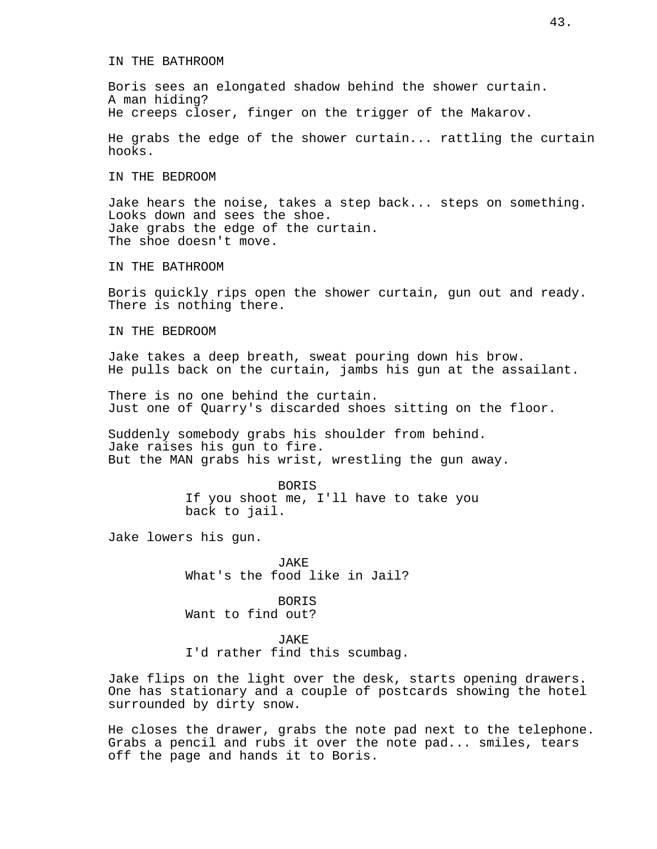## IN THE BATHROOM

Boris sees an elongated shadow behind the shower curtain. A man hiding? He creeps closer, finger on the trigger of the Makarov.

He grabs the edge of the shower curtain... rattling the curtain hooks.

IN THE BEDROOM

Jake hears the noise, takes a step back... steps on something. Looks down and sees the shoe. Jake grabs the edge of the curtain. The shoe doesn't move.

IN THE BATHROOM

Boris quickly rips open the shower curtain, gun out and ready. There is nothing there.

IN THE BEDROOM

Jake takes a deep breath, sweat pouring down his brow. He pulls back on the curtain, jambs his gun at the assailant.

There is no one behind the curtain. Just one of Quarry's discarded shoes sitting on the floor.

Suddenly somebody grabs his shoulder from behind. Jake raises his gun to fire. But the MAN grabs his wrist, wrestling the gun away.

> BORIS If you shoot me, I'll have to take you back to jail.

Jake lowers his gun.

JAKE What's the food like in Jail?

BORIS Want to find out?

**JAKE** I'd rather find this scumbag.

Jake flips on the light over the desk, starts opening drawers. One has stationary and a couple of postcards showing the hotel surrounded by dirty snow.

He closes the drawer, grabs the note pad next to the telephone. Grabs a pencil and rubs it over the note pad... smiles, tears off the page and hands it to Boris.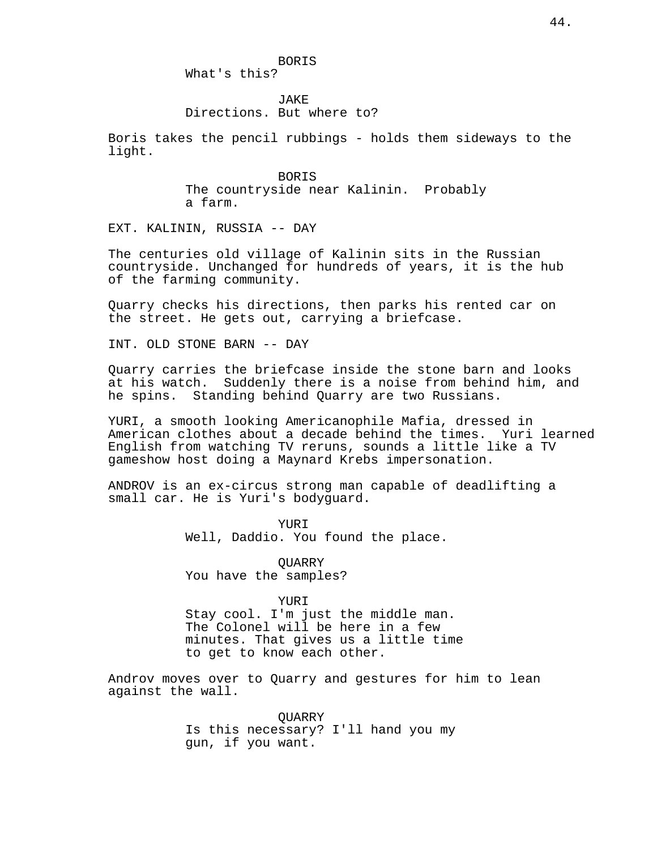# What's this?

# **JAKE** Directions. But where to?

Boris takes the pencil rubbings - holds them sideways to the light.

> BORIS The countryside near Kalinin. Probably a farm.

EXT. KALININ, RUSSIA -- DAY

The centuries old village of Kalinin sits in the Russian countryside. Unchanged for hundreds of years, it is the hub of the farming community.

Quarry checks his directions, then parks his rented car on the street. He gets out, carrying a briefcase.

INT. OLD STONE BARN -- DAY

Quarry carries the briefcase inside the stone barn and looks at his watch. Suddenly there is a noise from behind him, and he spins. Standing behind Quarry are two Russians.

YURI, a smooth looking Americanophile Mafia, dressed in American clothes about a decade behind the times. Yuri learned English from watching TV reruns, sounds a little like a TV gameshow host doing a Maynard Krebs impersonation.

ANDROV is an ex-circus strong man capable of deadlifting a small car. He is Yuri's bodyguard.

> **YURT** Well, Daddio. You found the place.

**OUARRY** You have the samples?

### YURI

Stay cool. I'm just the middle man. The Colonel will be here in a few minutes. That gives us a little time to get to know each other.

Androv moves over to Quarry and gestures for him to lean against the wall.

> QUARRY Is this necessary? I'll hand you my gun, if you want.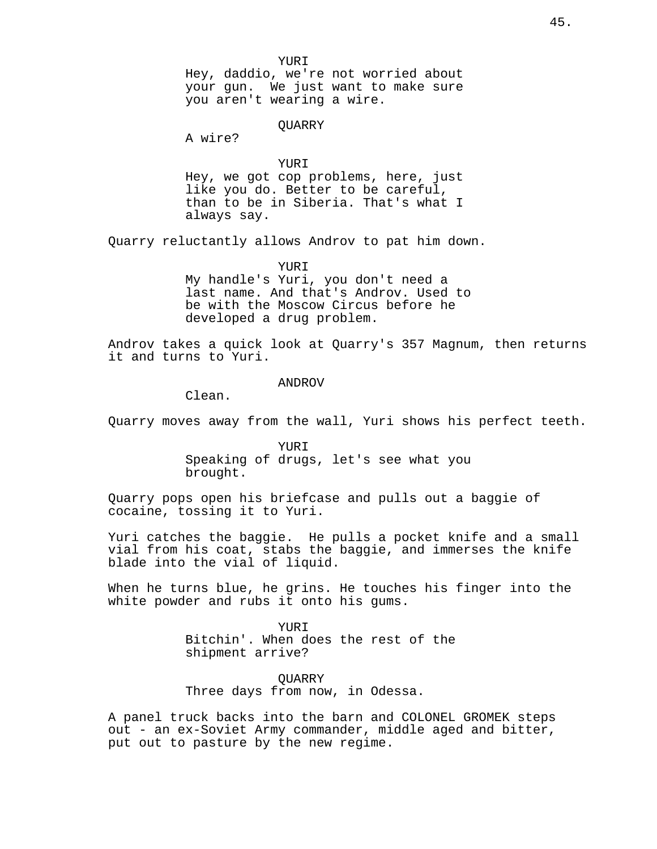YURI Hey, daddio, we're not worried about your gun. We just want to make sure you aren't wearing a wire.

QUARRY

A wire?

YURI Hey, we got cop problems, here, just like you do. Better to be careful, than to be in Siberia. That's what I always say.

Quarry reluctantly allows Androv to pat him down.

YURI My handle's Yuri, you don't need a last name. And that's Androv. Used to be with the Moscow Circus before he developed a drug problem.

Androv takes a quick look at Quarry's 357 Magnum, then returns it and turns to Yuri.

#### ANDROV

Clean.

Quarry moves away from the wall, Yuri shows his perfect teeth.

YURI Speaking of drugs, let's see what you brought.

Quarry pops open his briefcase and pulls out a baggie of cocaine, tossing it to Yuri.

Yuri catches the baggie. He pulls a pocket knife and a small vial from his coat, stabs the baggie, and immerses the knife blade into the vial of liquid.

When he turns blue, he grins. He touches his finger into the white powder and rubs it onto his gums.

> YUR T Bitchin'. When does the rest of the shipment arrive?

QUARRY Three days from now, in Odessa.

A panel truck backs into the barn and COLONEL GROMEK steps out - an ex-Soviet Army commander, middle aged and bitter, put out to pasture by the new regime.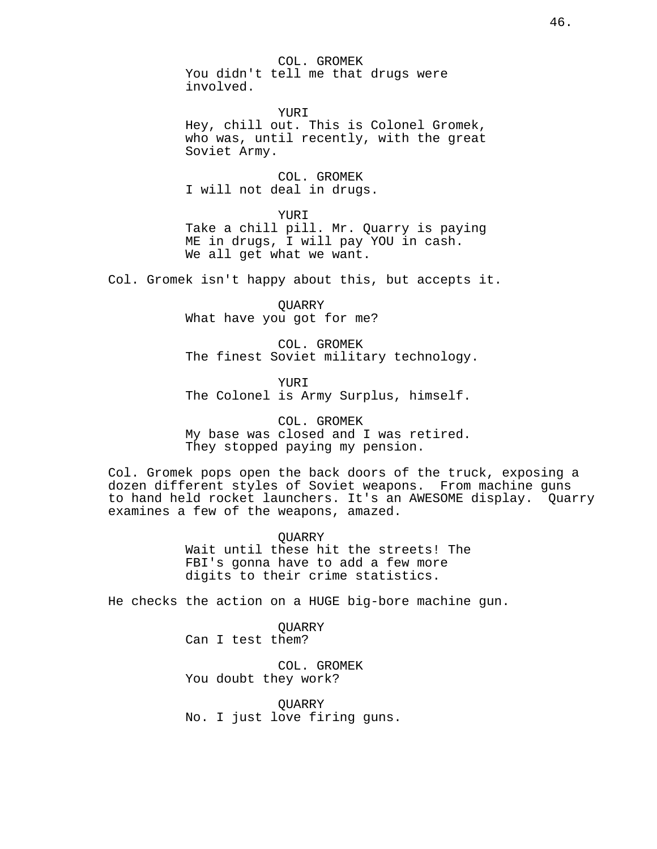COL. GROMEK You didn't tell me that drugs were involved.

YURI Hey, chill out. This is Colonel Gromek, who was, until recently, with the great Soviet Army.

COL. GROMEK I will not deal in drugs.

YUR T Take a chill pill. Mr. Quarry is paying ME in drugs, I will pay YOU in cash. We all get what we want.

Col. Gromek isn't happy about this, but accepts it.

**OUARRY** What have you got for me?

COL. GROMEK The finest Soviet military technology.

YURI The Colonel is Army Surplus, himself.

COL. GROMEK My base was closed and I was retired. They stopped paying my pension.

Col. Gromek pops open the back doors of the truck, exposing a dozen different styles of Soviet weapons. From machine guns to hand held rocket launchers. It's an AWESOME display. Quarry examines a few of the weapons, amazed.

> QUARRY Wait until these hit the streets! The FBI's gonna have to add a few more digits to their crime statistics.

He checks the action on a HUGE big-bore machine gun.

**OUARRY** Can I test them?

COL. GROMEK You doubt they work?

**OUARRY** No. I just love firing guns.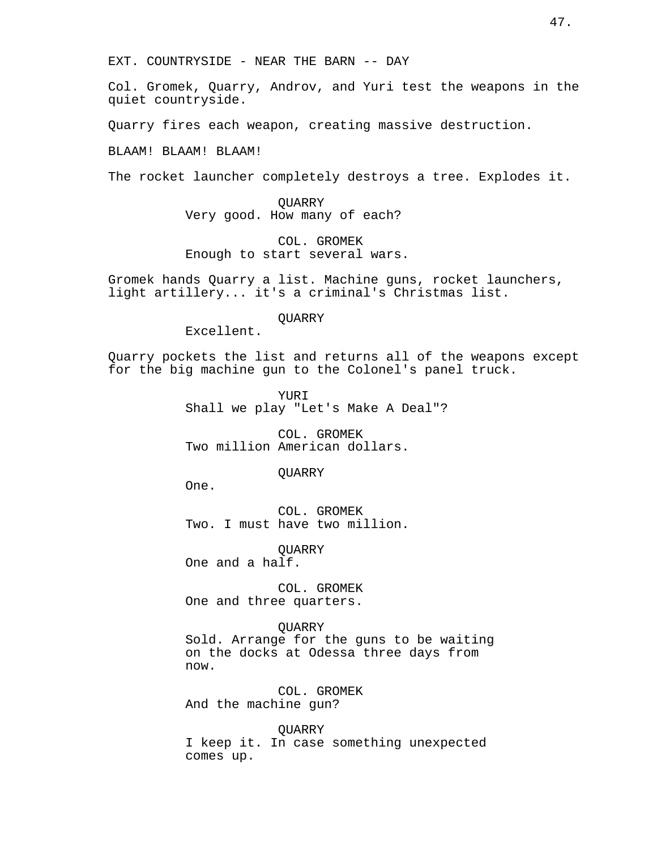Col. Gromek, Quarry, Androv, and Yuri test the weapons in the quiet countryside.

Quarry fires each weapon, creating massive destruction.

BLAAM! BLAAM! BLAAM!

The rocket launcher completely destroys a tree. Explodes it.

QUARRY Very good. How many of each?

COL. GROMEK Enough to start several wars.

Gromek hands Quarry a list. Machine guns, rocket launchers, light artillery... it's a criminal's Christmas list.

**OUARRY** 

Excellent.

Quarry pockets the list and returns all of the weapons except for the big machine gun to the Colonel's panel truck.

> YURI Shall we play "Let's Make A Deal"?

COL. GROMEK Two million American dollars.

**OUARRY** 

One.

COL. GROMEK Two. I must have two million.

QUARRY One and a half.

COL. GROMEK One and three quarters.

QUARRY Sold. Arrange for the guns to be waiting on the docks at Odessa three days from now.

COL. GROMEK And the machine gun?

**OUARRY** I keep it. In case something unexpected comes up.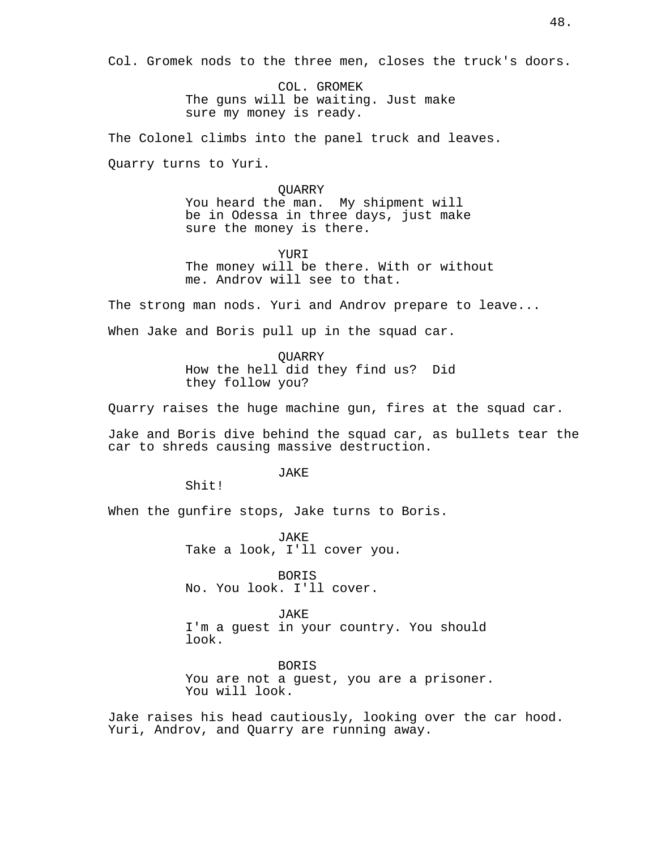Col. Gromek nods to the three men, closes the truck's doors.

COL. GROMEK The guns will be waiting. Just make sure my money is ready.

The Colonel climbs into the panel truck and leaves.

Quarry turns to Yuri.

### **OUARRY**

You heard the man. My shipment will be in Odessa in three days, just make sure the money is there.

YURI The money will be there. With or without me. Androv will see to that.

The strong man nods. Yuri and Androv prepare to leave...

When Jake and Boris pull up in the squad car.

QUARRY How the hell did they find us? Did they follow you?

Quarry raises the huge machine gun, fires at the squad car.

Jake and Boris dive behind the squad car, as bullets tear the car to shreds causing massive destruction.

JAKE

Shit!

When the gunfire stops, Jake turns to Boris.

JAKE Take a look, I'll cover you.

BORIS No. You look. I'll cover.

JAKE I'm a guest in your country. You should look.

BORIS You are not a guest, you are a prisoner. You will look.

Jake raises his head cautiously, looking over the car hood. Yuri, Androv, and Quarry are running away.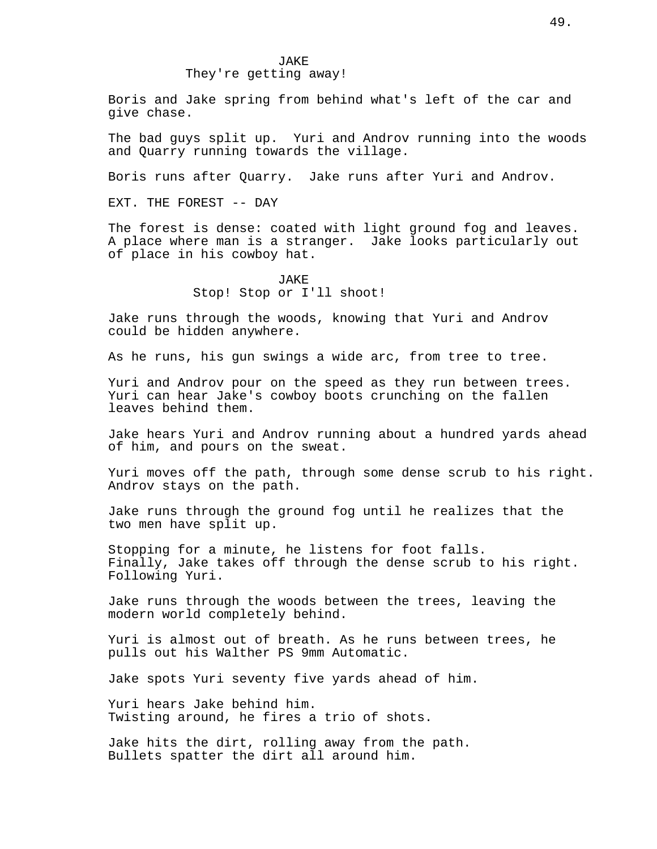They're getting away!

Boris and Jake spring from behind what's left of the car and give chase.

The bad guys split up. Yuri and Androv running into the woods and Quarry running towards the village.

Boris runs after Quarry. Jake runs after Yuri and Androv.

EXT. THE FOREST -- DAY

The forest is dense: coated with light ground fog and leaves. A place where man is a stranger. Jake looks particularly out of place in his cowboy hat.

# JAKE Stop! Stop or I'll shoot!

Jake runs through the woods, knowing that Yuri and Androv could be hidden anywhere.

As he runs, his gun swings a wide arc, from tree to tree.

Yuri and Androv pour on the speed as they run between trees. Yuri can hear Jake's cowboy boots crunching on the fallen leaves behind them.

Jake hears Yuri and Androv running about a hundred yards ahead of him, and pours on the sweat.

Yuri moves off the path, through some dense scrub to his right. Androv stays on the path.

Jake runs through the ground fog until he realizes that the two men have split up.

Stopping for a minute, he listens for foot falls. Finally, Jake takes off through the dense scrub to his right. Following Yuri.

Jake runs through the woods between the trees, leaving the modern world completely behind.

Yuri is almost out of breath. As he runs between trees, he pulls out his Walther PS 9mm Automatic.

Jake spots Yuri seventy five yards ahead of him.

Yuri hears Jake behind him. Twisting around, he fires a trio of shots.

Jake hits the dirt, rolling away from the path. Bullets spatter the dirt all around him.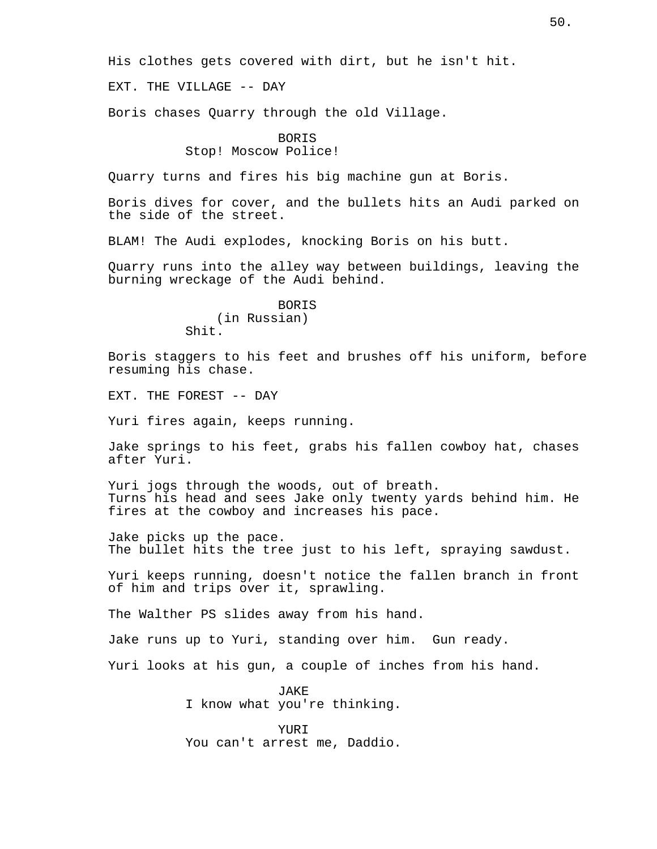His clothes gets covered with dirt, but he isn't hit.

EXT. THE VILLAGE -- DAY

Boris chases Quarry through the old Village.

## **BORTS**

# Stop! Moscow Police!

Quarry turns and fires his big machine gun at Boris.

Boris dives for cover, and the bullets hits an Audi parked on the side of the street.

BLAM! The Audi explodes, knocking Boris on his butt.

Quarry runs into the alley way between buildings, leaving the burning wreckage of the Audi behind.

> **BORTS** (in Russian) Shit.

Boris staggers to his feet and brushes off his uniform, before resuming his chase.

EXT. THE FOREST -- DAY

Yuri fires again, keeps running.

Jake springs to his feet, grabs his fallen cowboy hat, chases after Yuri.

Yuri jogs through the woods, out of breath. Turns his head and sees Jake only twenty yards behind him. He fires at the cowboy and increases his pace.

Jake picks up the pace. The bullet hits the tree just to his left, spraying sawdust.

Yuri keeps running, doesn't notice the fallen branch in front of him and trips over it, sprawling.

The Walther PS slides away from his hand.

Jake runs up to Yuri, standing over him. Gun ready.

Yuri looks at his gun, a couple of inches from his hand.

JAKE I know what you're thinking.

YURI You can't arrest me, Daddio.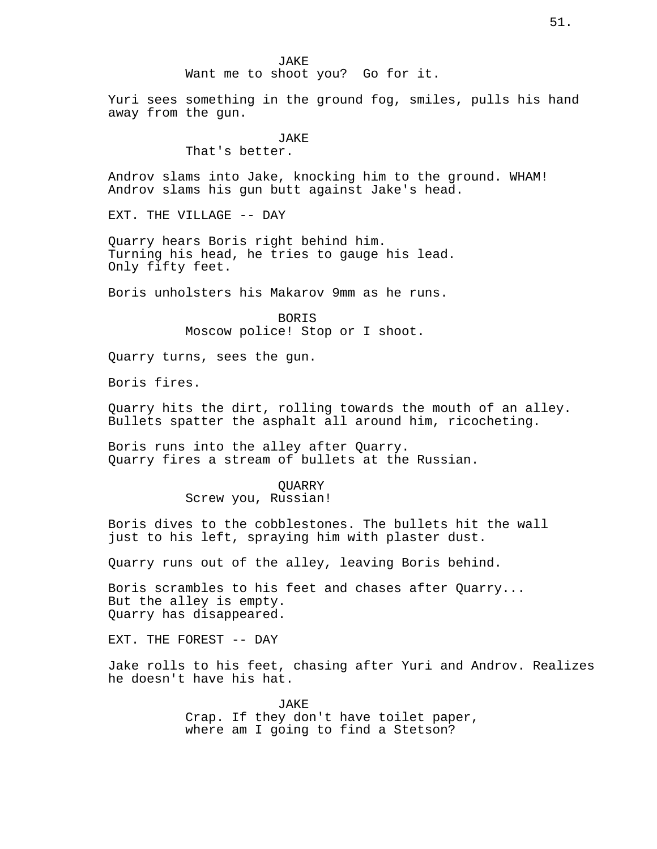# Want me to shoot you? Go for it.

Yuri sees something in the ground fog, smiles, pulls his hand away from the gun.

## **JAKE**

That's better.

Androv slams into Jake, knocking him to the ground. WHAM! Androv slams his gun butt against Jake's head.

EXT. THE VILLAGE -- DAY

Quarry hears Boris right behind him. Turning his head, he tries to gauge his lead. Only fifty feet.

Boris unholsters his Makarov 9mm as he runs.

BORIS Moscow police! Stop or I shoot.

Quarry turns, sees the gun.

Boris fires.

Quarry hits the dirt, rolling towards the mouth of an alley. Bullets spatter the asphalt all around him, ricocheting.

Boris runs into the alley after Quarry. Quarry fires a stream of bullets at the Russian.

#### QUARRY

Screw you, Russian!

Boris dives to the cobblestones. The bullets hit the wall just to his left, spraying him with plaster dust.

Quarry runs out of the alley, leaving Boris behind.

Boris scrambles to his feet and chases after Quarry... But the alley is empty. Quarry has disappeared.

EXT. THE FOREST -- DAY

Jake rolls to his feet, chasing after Yuri and Androv. Realizes he doesn't have his hat.

> JAKE Crap. If they don't have toilet paper, where am I going to find a Stetson?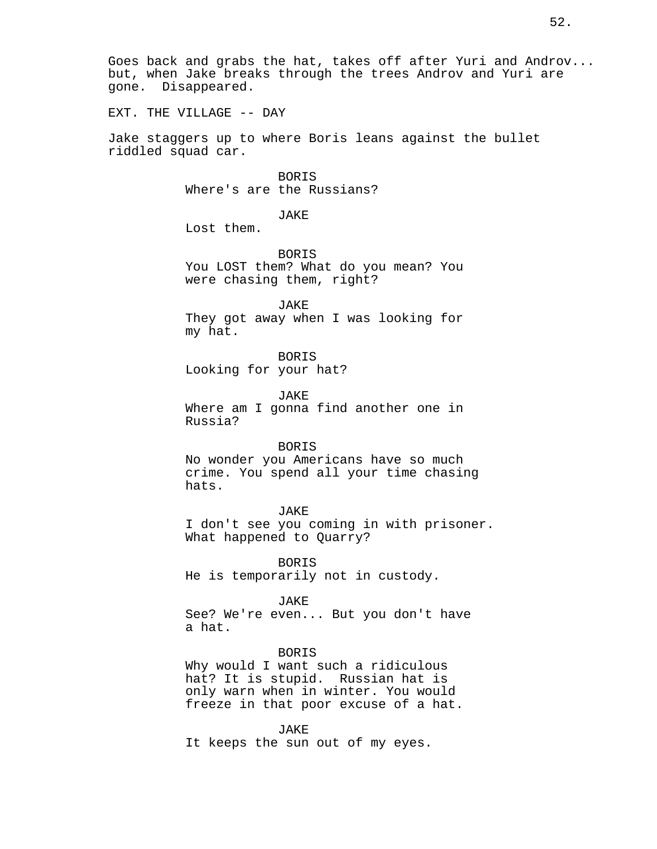EXT. THE VILLAGE -- DAY

Jake staggers up to where Boris leans against the bullet riddled squad car.

> BORIS Where's are the Russians?

> > JAKE

Lost them.

BORIS You LOST them? What do you mean? You were chasing them, right?

JAKE They got away when I was looking for my hat.

BORIS Looking for your hat?

JAKE

Where am I gonna find another one in Russia?

## BORIS

No wonder you Americans have so much crime. You spend all your time chasing hats.

## JAKE

I don't see you coming in with prisoner. What happened to Quarry?

BORIS He is temporarily not in custody.

JAKE

See? We're even... But you don't have a hat.

### BORIS

Why would I want such a ridiculous hat? It is stupid. Russian hat is only warn when in winter. You would freeze in that poor excuse of a hat.

JAKE It keeps the sun out of my eyes.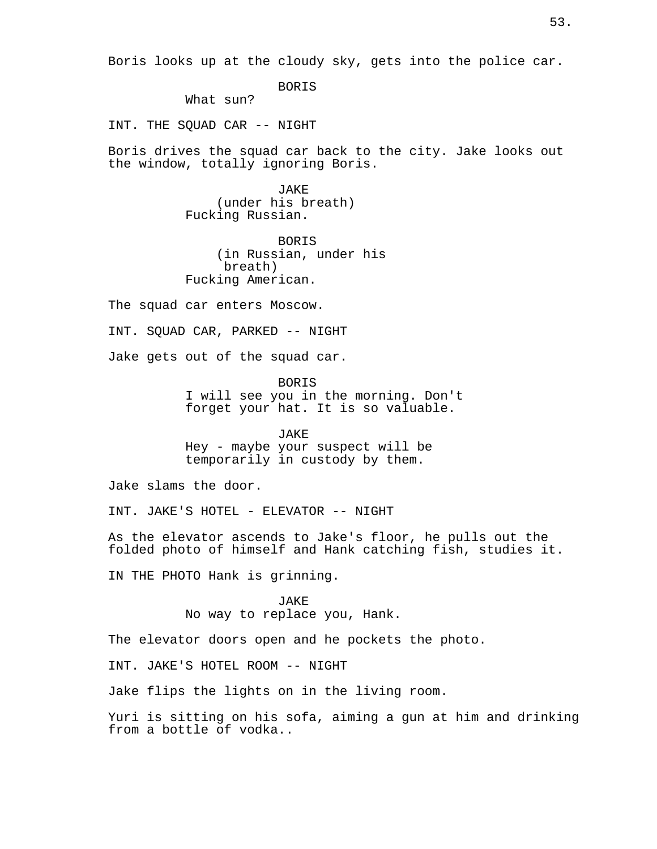Boris looks up at the cloudy sky, gets into the police car.

BORIS

What sun?

INT. THE SQUAD CAR -- NIGHT

Boris drives the squad car back to the city. Jake looks out the window, totally ignoring Boris.

> JAKE (under his breath) Fucking Russian.

BORIS (in Russian, under his breath) Fucking American.

The squad car enters Moscow.

INT. SQUAD CAR, PARKED -- NIGHT

Jake gets out of the squad car.

BORIS I will see you in the morning. Don't forget your hat. It is so valuable.

JAKE

Hey - maybe your suspect will be temporarily in custody by them.

Jake slams the door.

INT. JAKE'S HOTEL - ELEVATOR -- NIGHT

As the elevator ascends to Jake's floor, he pulls out the folded photo of himself and Hank catching fish, studies it.

IN THE PHOTO Hank is grinning.

JAKE No way to replace you, Hank.

The elevator doors open and he pockets the photo.

INT. JAKE'S HOTEL ROOM -- NIGHT

Jake flips the lights on in the living room.

Yuri is sitting on his sofa, aiming a gun at him and drinking from a bottle of vodka..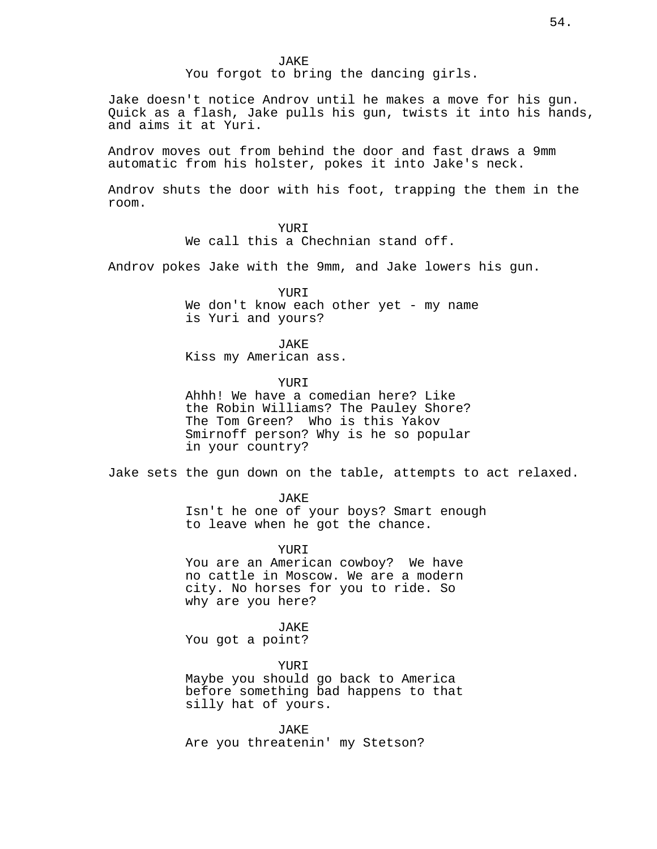JAKE

You forgot to bring the dancing girls.

Jake doesn't notice Androv until he makes a move for his gun. Quick as a flash, Jake pulls his gun, twists it into his hands, and aims it at Yuri.

Androv moves out from behind the door and fast draws a 9mm automatic from his holster, pokes it into Jake's neck.

Androv shuts the door with his foot, trapping the them in the room.

## YURI

We call this a Chechnian stand off.

Androv pokes Jake with the 9mm, and Jake lowers his gun.

YURI We don't know each other yet - my name is Yuri and yours?

JAKE

Kiss my American ass.

YUR<sub>T</sub>

Ahhh! We have a comedian here? Like the Robin Williams? The Pauley Shore? The Tom Green? Who is this Yakov Smirnoff person? Why is he so popular in your country?

Jake sets the gun down on the table, attempts to act relaxed.

JAKE Isn't he one of your boys? Smart enough to leave when he got the chance.

YURI You are an American cowboy? We have no cattle in Moscow. We are a modern city. No horses for you to ride. So why are you here?

### JAKE

You got a point?

YURI

Maybe you should go back to America before something bad happens to that silly hat of yours.

JAKE Are you threatenin' my Stetson?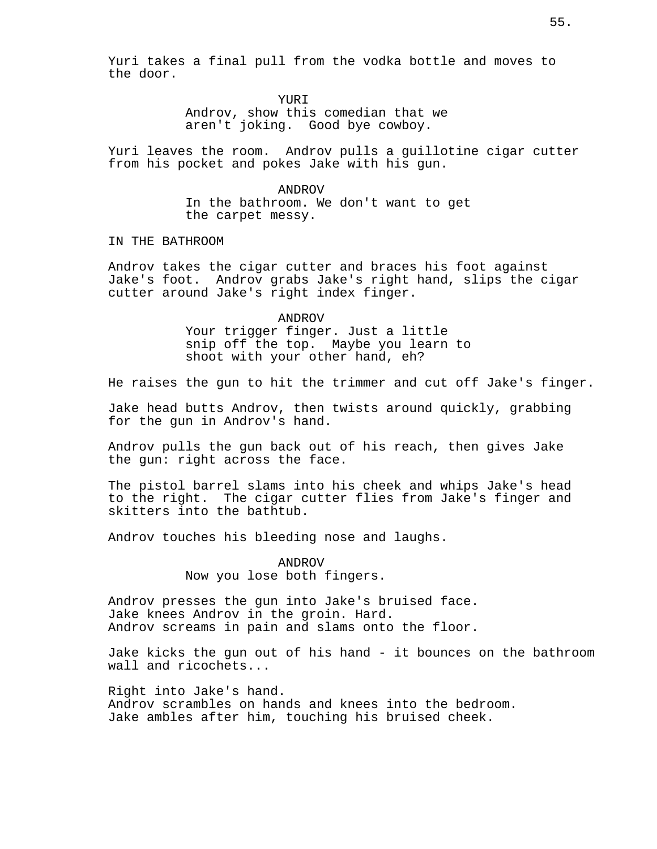Yuri takes a final pull from the vodka bottle and moves to the door.

> YUR<sub>T</sub> Androv, show this comedian that we

aren't joking. Good bye cowboy.

Yuri leaves the room. Androv pulls a guillotine cigar cutter from his pocket and pokes Jake with his gun.

> ANDROV In the bathroom. We don't want to get the carpet messy.

IN THE BATHROOM

Androv takes the cigar cutter and braces his foot against Jake's foot. Androv grabs Jake's right hand, slips the cigar cutter around Jake's right index finger.

> ANDROV Your trigger finger. Just a little snip off the top. Maybe you learn to shoot with your other hand, eh?

He raises the gun to hit the trimmer and cut off Jake's finger.

Jake head butts Androv, then twists around quickly, grabbing for the gun in Androv's hand.

Androv pulls the gun back out of his reach, then gives Jake the gun: right across the face.

The pistol barrel slams into his cheek and whips Jake's head to the right. The cigar cutter flies from Jake's finger and skitters into the bathtub.

Androv touches his bleeding nose and laughs.

ANDROV Now you lose both fingers.

Androv presses the gun into Jake's bruised face. Jake knees Androv in the groin. Hard. Androv screams in pain and slams onto the floor.

Jake kicks the gun out of his hand - it bounces on the bathroom wall and ricochets...

Right into Jake's hand. Androv scrambles on hands and knees into the bedroom. Jake ambles after him, touching his bruised cheek.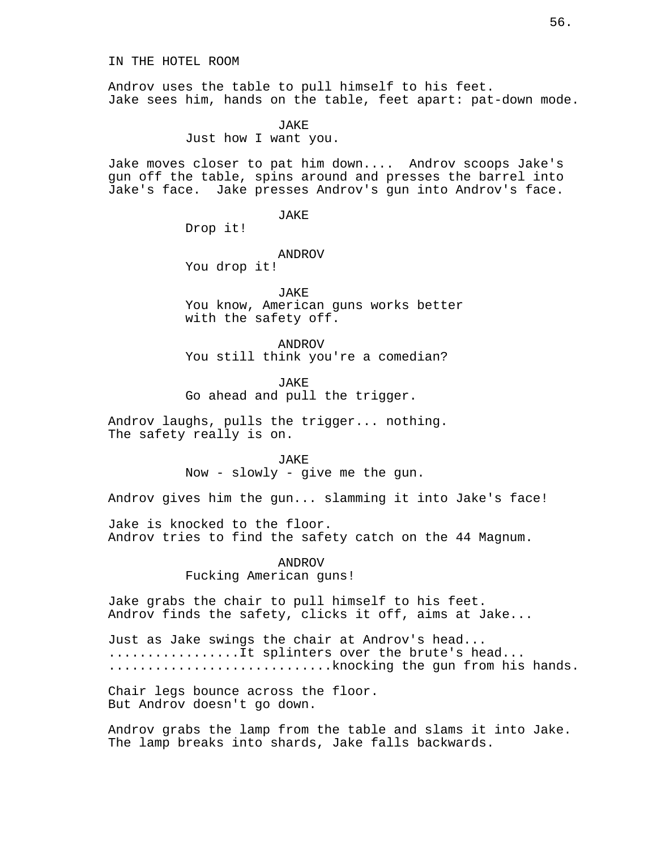IN THE HOTEL ROOM

Androv uses the table to pull himself to his feet. Jake sees him, hands on the table, feet apart: pat-down mode.

> JAKE Just how I want you.

Jake moves closer to pat him down.... Androv scoops Jake's gun off the table, spins around and presses the barrel into Jake's face. Jake presses Androv's gun into Androv's face.

JAKE

Drop it!

ANDROV

You drop it!

JAKE You know, American guns works better with the safety off.

ANDROV You still think you're a comedian?

JAKE

Go ahead and pull the trigger.

Androv laughs, pulls the trigger... nothing. The safety really is on.

> JAKE Now - slowly - give me the gun.

Androv gives him the gun... slamming it into Jake's face!

Jake is knocked to the floor. Androv tries to find the safety catch on the 44 Magnum.

> ANDROV Fucking American guns!

Jake grabs the chair to pull himself to his feet. Androv finds the safety, clicks it off, aims at Jake...

Just as Jake swings the chair at Androv's head... .................It splinters over the brute's head... .............................knocking the gun from his hands.

Chair legs bounce across the floor. But Androv doesn't go down.

Androv grabs the lamp from the table and slams it into Jake. The lamp breaks into shards, Jake falls backwards.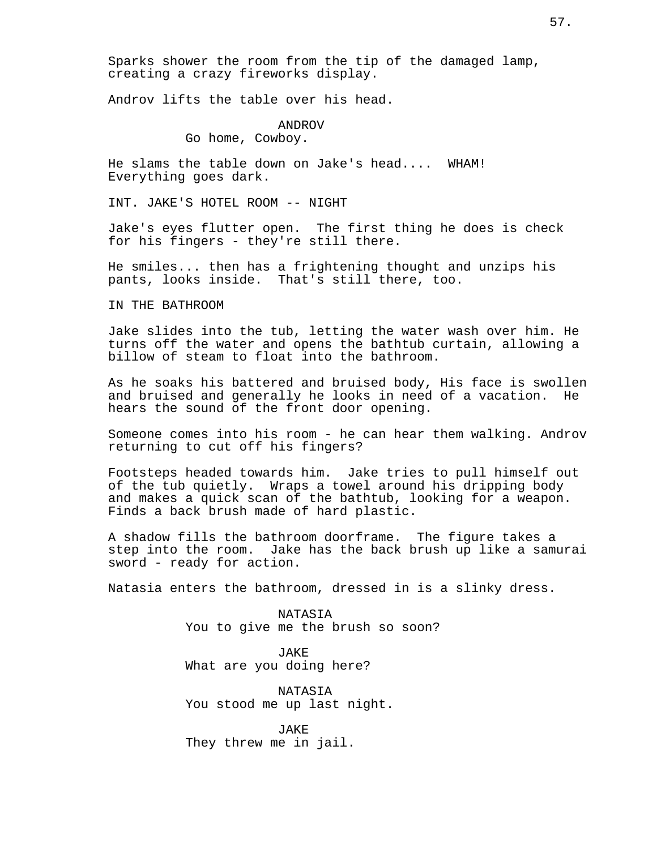Sparks shower the room from the tip of the damaged lamp, creating a crazy fireworks display.

Androv lifts the table over his head.

ANDROV Go home, Cowboy.

He slams the table down on Jake's head.... WHAM! Everything goes dark.

INT. JAKE'S HOTEL ROOM -- NIGHT

Jake's eyes flutter open. The first thing he does is check for his fingers - they're still there.

He smiles... then has a frightening thought and unzips his pants, looks inside. That's still there, too.

IN THE BATHROOM

Jake slides into the tub, letting the water wash over him. He turns off the water and opens the bathtub curtain, allowing a billow of steam to float into the bathroom.

As he soaks his battered and bruised body, His face is swollen and bruised and generally he looks in need of a vacation. He hears the sound of the front door opening.

Someone comes into his room - he can hear them walking. Androv returning to cut off his fingers?

Footsteps headed towards him. Jake tries to pull himself out of the tub quietly. Wraps a towel around his dripping body and makes a quick scan of the bathtub, looking for a weapon. Finds a back brush made of hard plastic.

A shadow fills the bathroom doorframe. The figure takes a step into the room. Jake has the back brush up like a samurai sword - ready for action.

Natasia enters the bathroom, dressed in is a slinky dress.

NATASIA You to give me the brush so soon?

JAKE What are you doing here?

NATASIA You stood me up last night.

JAKE They threw me in jail.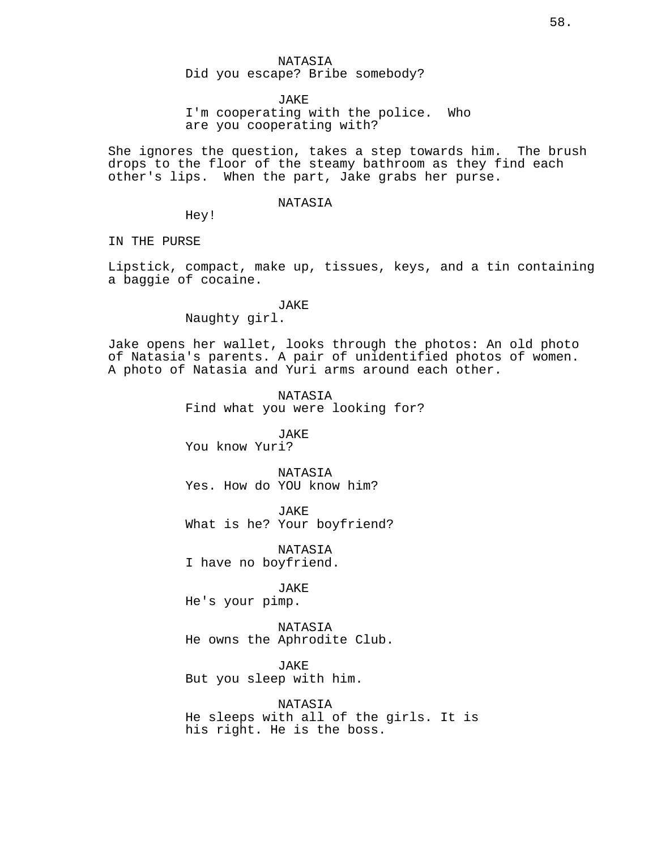JAKE

I'm cooperating with the police. Who are you cooperating with?

She ignores the question, takes a step towards him. The brush drops to the floor of the steamy bathroom as they find each other's lips. When the part, Jake grabs her purse.

#### NATASIA

Hey!

IN THE PURSE

Lipstick, compact, make up, tissues, keys, and a tin containing a baggie of cocaine.

### JAKE

Naughty girl.

Jake opens her wallet, looks through the photos: An old photo of Natasia's parents. A pair of unidentified photos of women. A photo of Natasia and Yuri arms around each other.

> NATASIA Find what you were looking for?

JAKE You know Yuri?

NATASIA Yes. How do YOU know him?

JAKE What is he? Your boyfriend?

NATASIA I have no boyfriend.

JAKE

He's your pimp.

NATASIA He owns the Aphrodite Club.

JAKE But you sleep with him.

NATASIA He sleeps with all of the girls. It is his right. He is the boss.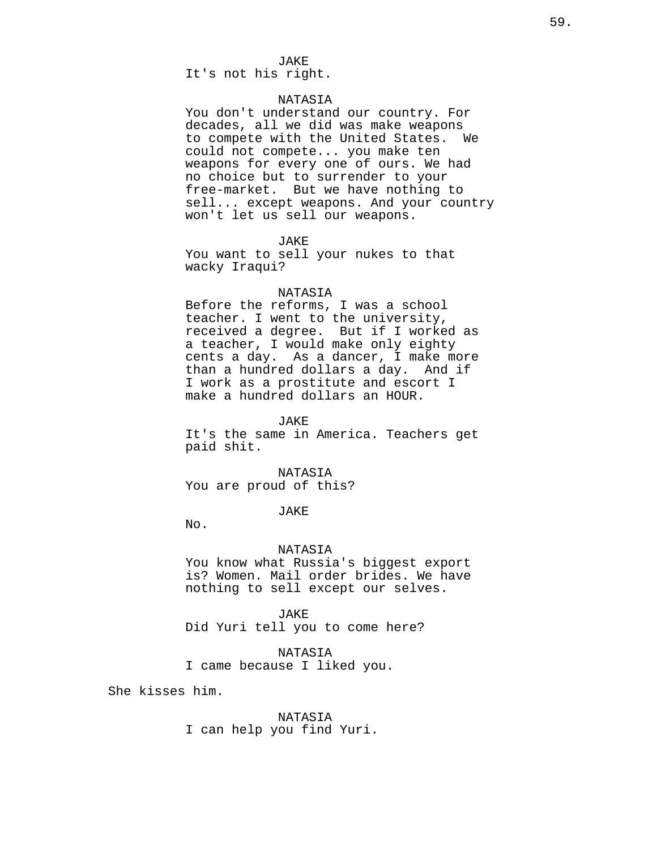It's not his right.

## NATASIA

You don't understand our country. For decades, all we did was make weapons to compete with the United States. We could not compete... you make ten weapons for every one of ours. We had no choice but to surrender to your free-market. But we have nothing to sell... except weapons. And your country won't let us sell our weapons.

**JAKE** 

You want to sell your nukes to that wacky Iraqui?

### NATASIA

Before the reforms, I was a school teacher. I went to the university, received a degree. But if I worked as a teacher, I would make only eighty cents a day. As a dancer, I make more than a hundred dollars a day. And if I work as a prostitute and escort I make a hundred dollars an HOUR.

JAKE

It's the same in America. Teachers get paid shit.

NATASIA You are proud of this?

JAKE

No.

## NATASIA

You know what Russia's biggest export is? Women. Mail order brides. We have nothing to sell except our selves.

JAKE Did Yuri tell you to come here?

NATASIA I came because I liked you.

She kisses him.

NATASIA I can help you find Yuri.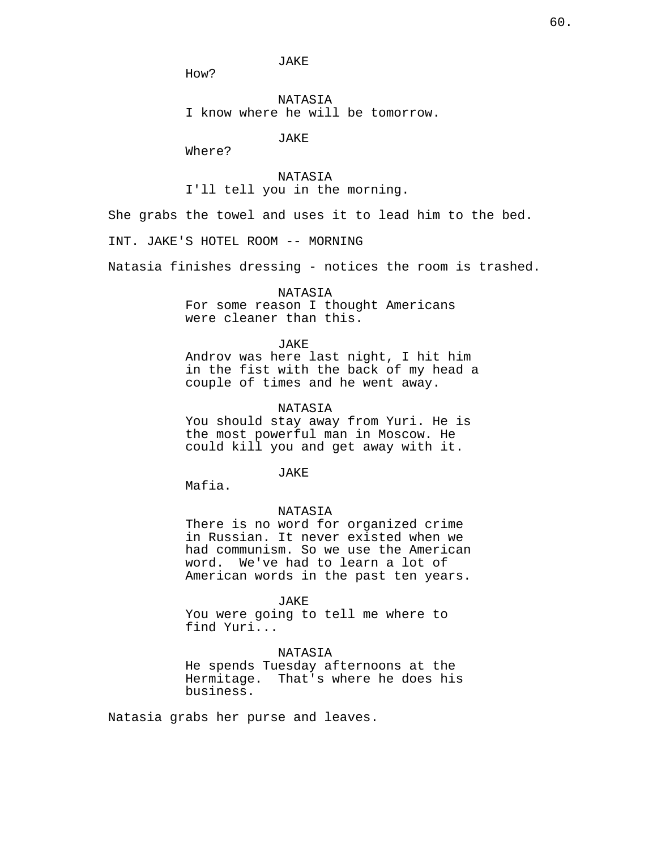JAKE

How?

NATASIA I know where he will be tomorrow.

JAKE

Where?

NATASIA I'll tell you in the morning.

She grabs the towel and uses it to lead him to the bed.

INT. JAKE'S HOTEL ROOM -- MORNING

Natasia finishes dressing - notices the room is trashed.

### NATASIA

For some reason I thought Americans were cleaner than this.

#### JAKE

Androv was here last night, I hit him in the fist with the back of my head a couple of times and he went away.

### NATASIA

You should stay away from Yuri. He is the most powerful man in Moscow. He could kill you and get away with it.

JAKE

Mafia.

## NATASIA

There is no word for organized crime in Russian. It never existed when we had communism. So we use the American word. We've had to learn a lot of American words in the past ten years.

#### JAKE

You were going to tell me where to find Yuri...

#### NATASIA

He spends Tuesday afternoons at the Hermitage. That's where he does his business.

Natasia grabs her purse and leaves.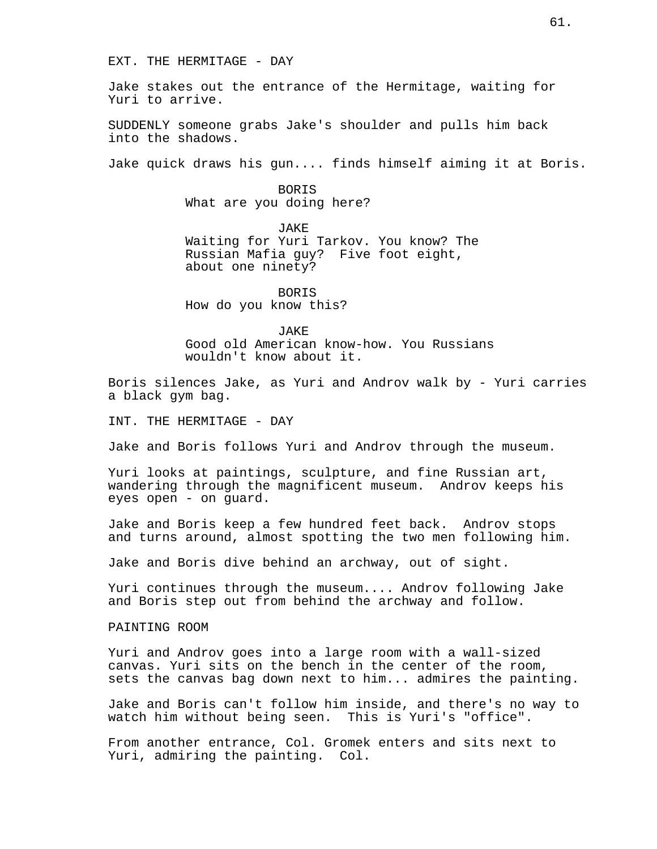EXT. THE HERMITAGE - DAY

Jake stakes out the entrance of the Hermitage, waiting for Yuri to arrive.

SUDDENLY someone grabs Jake's shoulder and pulls him back into the shadows.

Jake quick draws his gun.... finds himself aiming it at Boris.

BORIS What are you doing here?

JAKE

Waiting for Yuri Tarkov. You know? The Russian Mafia guy? Five foot eight, about one ninety?

BORIS How do you know this?

JAKE

Good old American know-how. You Russians wouldn't know about it.

Boris silences Jake, as Yuri and Androv walk by - Yuri carries a black gym bag.

INT. THE HERMITAGE - DAY

Jake and Boris follows Yuri and Androv through the museum.

Yuri looks at paintings, sculpture, and fine Russian art, wandering through the magnificent museum. Androv keeps his eyes open - on guard.

Jake and Boris keep a few hundred feet back. Androv stops and turns around, almost spotting the two men following him.

Jake and Boris dive behind an archway, out of sight.

Yuri continues through the museum.... Androv following Jake and Boris step out from behind the archway and follow.

PAINTING ROOM

Yuri and Androv goes into a large room with a wall-sized canvas. Yuri sits on the bench in the center of the room, sets the canvas bag down next to him... admires the painting.

Jake and Boris can't follow him inside, and there's no way to watch him without being seen. This is Yuri's "office".

From another entrance, Col. Gromek enters and sits next to Yuri, admiring the painting. Col.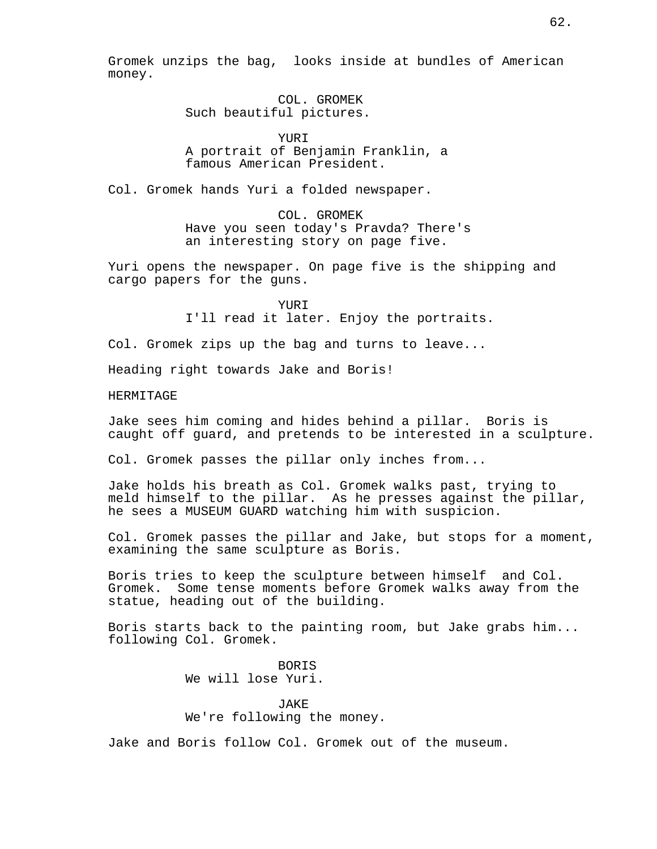Gromek unzips the bag, looks inside at bundles of American money.

> COL. GROMEK Such beautiful pictures.

> > YURI

A portrait of Benjamin Franklin, a famous American President.

Col. Gromek hands Yuri a folded newspaper.

COL. GROMEK Have you seen today's Pravda? There's an interesting story on page five.

Yuri opens the newspaper. On page five is the shipping and cargo papers for the guns.

> YURI I'll read it later. Enjoy the portraits.

Col. Gromek zips up the bag and turns to leave...

Heading right towards Jake and Boris!

HERMITAGE

Jake sees him coming and hides behind a pillar. Boris is caught off guard, and pretends to be interested in a sculpture.

Col. Gromek passes the pillar only inches from...

Jake holds his breath as Col. Gromek walks past, trying to meld himself to the pillar. As he presses against the pillar, he sees a MUSEUM GUARD watching him with suspicion.

Col. Gromek passes the pillar and Jake, but stops for a moment, examining the same sculpture as Boris.

Boris tries to keep the sculpture between himself and Col. Gromek. Some tense moments before Gromek walks away from the statue, heading out of the building.

Boris starts back to the painting room, but Jake grabs him... following Col. Gromek.

> **BORTS** We will lose Yuri.

**JAKE** We're following the money.

Jake and Boris follow Col. Gromek out of the museum.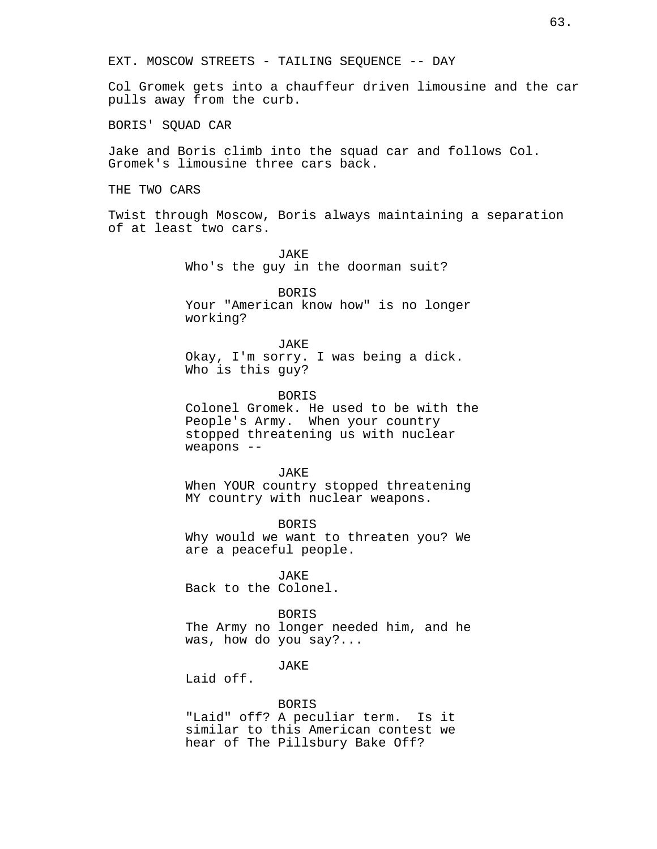EXT. MOSCOW STREETS - TAILING SEQUENCE -- DAY

Col Gromek gets into a chauffeur driven limousine and the car pulls away from the curb.

BORIS' SQUAD CAR

Jake and Boris climb into the squad car and follows Col. Gromek's limousine three cars back.

THE TWO CARS

Twist through Moscow, Boris always maintaining a separation of at least two cars.

> JAKE Who's the guy in the doorman suit?

BORIS Your "American know how" is no longer working?

JAKE Okay, I'm sorry. I was being a dick. Who is this guy?

BORIS Colonel Gromek. He used to be with the People's Army. When your country stopped threatening us with nuclear weapons --

JAKE When YOUR country stopped threatening MY country with nuclear weapons.

**BORTS** Why would we want to threaten you? We are a peaceful people.

JAKE Back to the Colonel.

### BORIS

The Army no longer needed him, and he was, how do you say?...

## JAKE

Laid off.

#### BORIS

"Laid" off? A peculiar term. Is it similar to this American contest we hear of The Pillsbury Bake Off?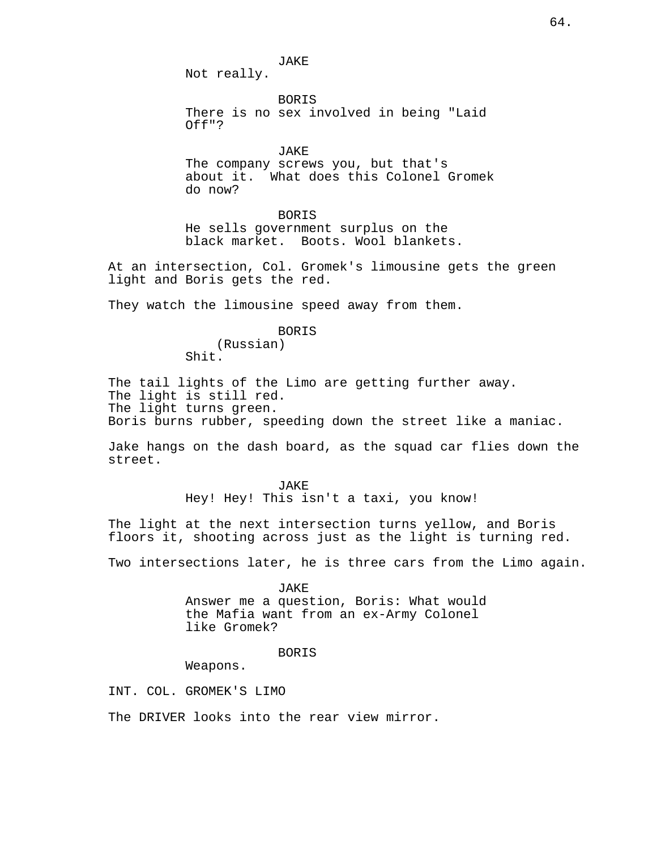JAKE Not really.

BORIS There is no sex involved in being "Laid Off"?

JAKE The company screws you, but that's about it. What does this Colonel Gromek do now?

**BORTS** He sells government surplus on the black market. Boots. Wool blankets.

At an intersection, Col. Gromek's limousine gets the green light and Boris gets the red.

They watch the limousine speed away from them.

BORIS

(Russian) Shit.

The tail lights of the Limo are getting further away. The light is still red. The light turns green. Boris burns rubber, speeding down the street like a maniac.

Jake hangs on the dash board, as the squad car flies down the street.

> JAKE Hey! Hey! This isn't a taxi, you know!

The light at the next intersection turns yellow, and Boris floors it, shooting across just as the light is turning red.

Two intersections later, he is three cars from the Limo again.

JAKE Answer me a question, Boris: What would the Mafia want from an ex-Army Colonel like Gromek?

### BORIS

Weapons.

INT. COL. GROMEK'S LIMO

The DRIVER looks into the rear view mirror.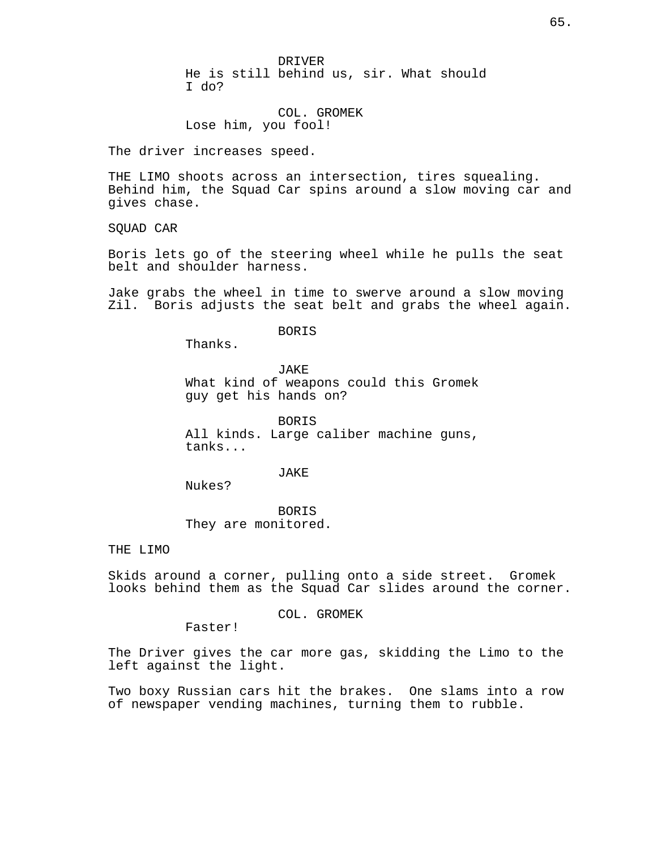DRIVER

He is still behind us, sir. What should I do?

COL. GROMEK Lose him, you fool!

The driver increases speed.

THE LIMO shoots across an intersection, tires squealing. Behind him, the Squad Car spins around a slow moving car and gives chase.

SQUAD CAR

Boris lets go of the steering wheel while he pulls the seat belt and shoulder harness.

Jake grabs the wheel in time to swerve around a slow moving Zil. Boris adjusts the seat belt and grabs the wheel again.

BORIS

Thanks.

JAKE

What kind of weapons could this Gromek guy get his hands on?

BORIS All kinds. Large caliber machine guns, tanks...

JAKE

Nukes?

BORIS They are monitored.

THE LIMO

Skids around a corner, pulling onto a side street. Gromek looks behind them as the Squad Car slides around the corner.

COL. GROMEK

Faster!

The Driver gives the car more gas, skidding the Limo to the left against the light.

Two boxy Russian cars hit the brakes. One slams into a row of newspaper vending machines, turning them to rubble.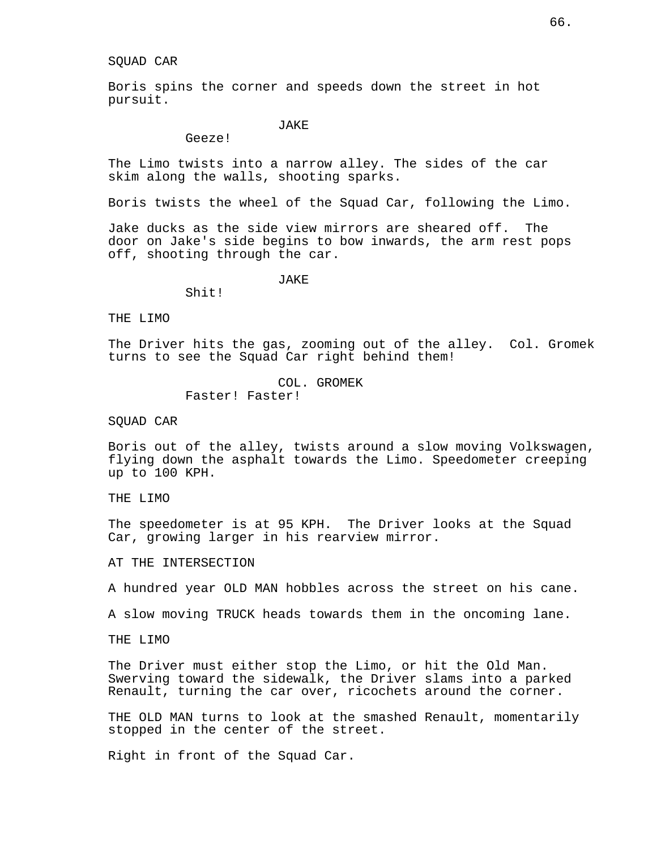### SQUAD CAR

Boris spins the corner and speeds down the street in hot pursuit.

JAKE

Geeze!

The Limo twists into a narrow alley. The sides of the car skim along the walls, shooting sparks.

Boris twists the wheel of the Squad Car, following the Limo.

Jake ducks as the side view mirrors are sheared off. The door on Jake's side begins to bow inwards, the arm rest pops off, shooting through the car.

**JAKE** 

Shit!

THE LIMO

The Driver hits the gas, zooming out of the alley. Col. Gromek turns to see the Squad Car right behind them!

> COL. GROMEK Faster! Faster!

SQUAD CAR

Boris out of the alley, twists around a slow moving Volkswagen, flying down the asphalt towards the Limo. Speedometer creeping up to 100 KPH.

THE LIMO

The speedometer is at 95 KPH. The Driver looks at the Squad Car, growing larger in his rearview mirror.

AT THE INTERSECTION

A hundred year OLD MAN hobbles across the street on his cane.

A slow moving TRUCK heads towards them in the oncoming lane.

THE LIMO

The Driver must either stop the Limo, or hit the Old Man. Swerving toward the sidewalk, the Driver slams into a parked Renault, turning the car over, ricochets around the corner.

THE OLD MAN turns to look at the smashed Renault, momentarily stopped in the center of the street.

Right in front of the Squad Car.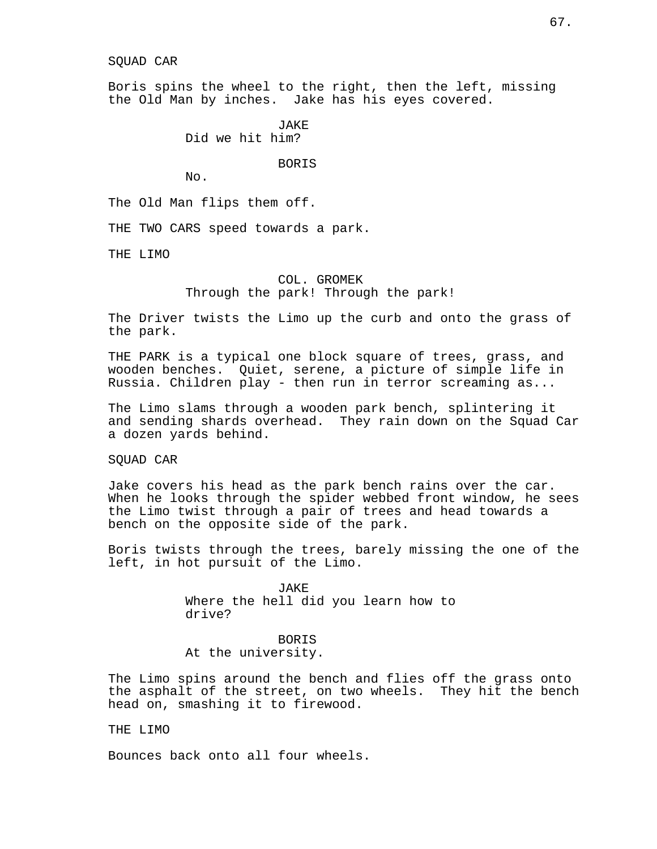#### SQUAD CAR

Boris spins the wheel to the right, then the left, missing the Old Man by inches. Jake has his eyes covered.

> JAKE Did we hit him?

### BORIS

No.

The Old Man flips them off.

THE TWO CARS speed towards a park.

THE LIMO

## COL. GROMEK Through the park! Through the park!

The Driver twists the Limo up the curb and onto the grass of the park.

THE PARK is a typical one block square of trees, grass, and wooden benches. Quiet, serene, a picture of simple life in Russia. Children play - then run in terror screaming as...

The Limo slams through a wooden park bench, splintering it and sending shards overhead. They rain down on the Squad Car a dozen yards behind.

SQUAD CAR

Jake covers his head as the park bench rains over the car. When he looks through the spider webbed front window, he sees the Limo twist through a pair of trees and head towards a bench on the opposite side of the park.

Boris twists through the trees, barely missing the one of the left, in hot pursuit of the Limo.

> JAKE Where the hell did you learn how to drive?

BORIS At the university.

The Limo spins around the bench and flies off the grass onto the asphalt of the street, on two wheels. They hit the bench head on, smashing it to firewood.

THE LIMO

Bounces back onto all four wheels.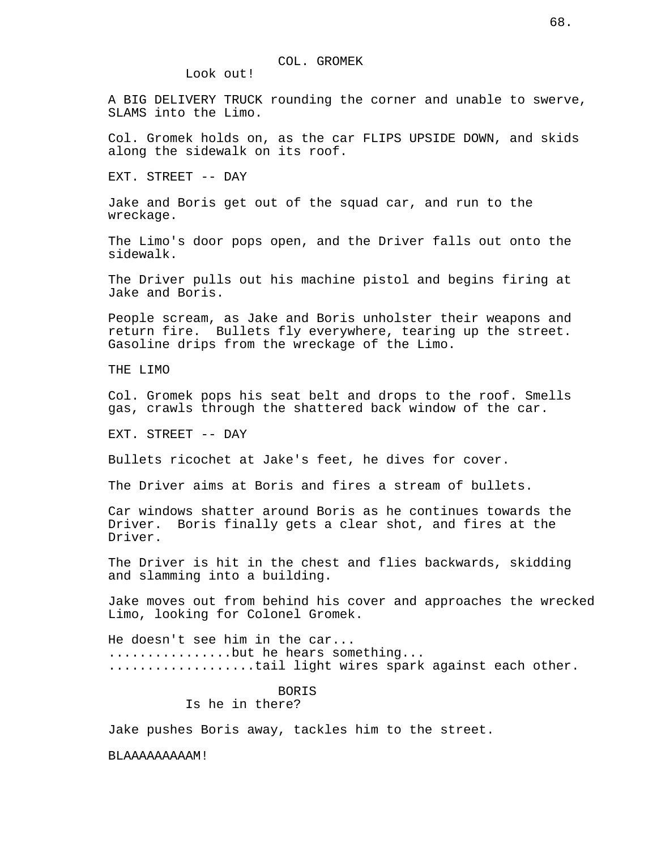Look out!

A BIG DELIVERY TRUCK rounding the corner and unable to swerve, SLAMS into the Limo.

Col. Gromek holds on, as the car FLIPS UPSIDE DOWN, and skids along the sidewalk on its roof.

EXT. STREET -- DAY

Jake and Boris get out of the squad car, and run to the wreckage.

The Limo's door pops open, and the Driver falls out onto the sidewalk.

The Driver pulls out his machine pistol and begins firing at Jake and Boris.

People scream, as Jake and Boris unholster their weapons and return fire. Bullets fly everywhere, tearing up the street. Gasoline drips from the wreckage of the Limo.

THE LIMO

Col. Gromek pops his seat belt and drops to the roof. Smells gas, crawls through the shattered back window of the car.

EXT. STREET -- DAY

Bullets ricochet at Jake's feet, he dives for cover.

The Driver aims at Boris and fires a stream of bullets.

Car windows shatter around Boris as he continues towards the Driver. Boris finally gets a clear shot, and fires at the Driver.

The Driver is hit in the chest and flies backwards, skidding and slamming into a building.

Jake moves out from behind his cover and approaches the wrecked Limo, looking for Colonel Gromek.

He doesn't see him in the car... ...................but he hears something... ...................tail light wires spark against each other.

> BORIS Is he in there?

Jake pushes Boris away, tackles him to the street.

BLAAAAAAAAAM!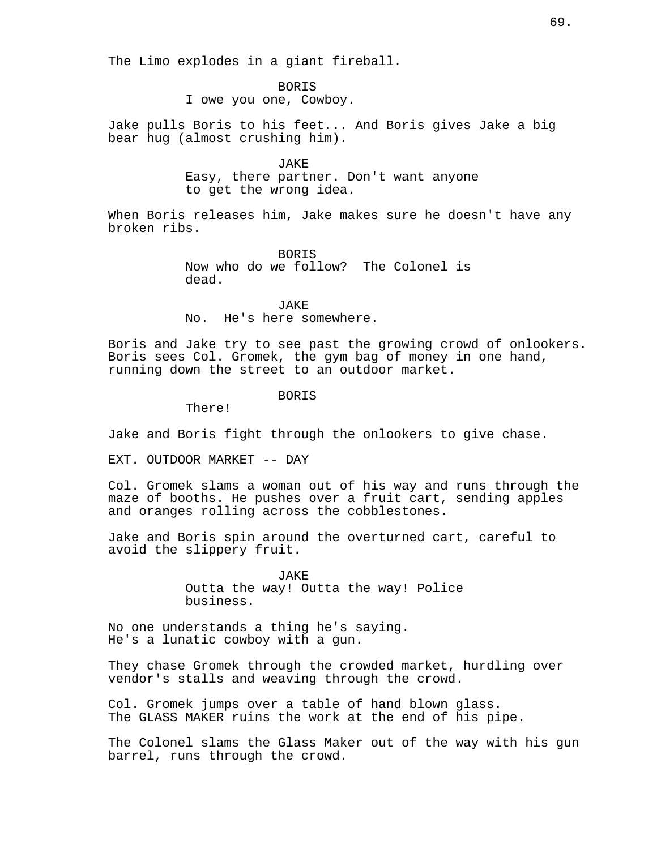BORIS

I owe you one, Cowboy.

Jake pulls Boris to his feet... And Boris gives Jake a big bear hug (almost crushing him).

> JAKE Easy, there partner. Don't want anyone to get the wrong idea.

When Boris releases him, Jake makes sure he doesn't have any broken ribs.

> BORIS Now who do we follow? The Colonel is dead.

JAKE No. He's here somewhere.

Boris and Jake try to see past the growing crowd of onlookers. Boris sees Col. Gromek, the gym bag of money in one hand, running down the street to an outdoor market.

BORIS

There!

Jake and Boris fight through the onlookers to give chase.

EXT. OUTDOOR MARKET -- DAY

Col. Gromek slams a woman out of his way and runs through the maze of booths. He pushes over a fruit cart, sending apples and oranges rolling across the cobblestones.

Jake and Boris spin around the overturned cart, careful to avoid the slippery fruit.

> JAKE Outta the way! Outta the way! Police business.

No one understands a thing he's saying. He's a lunatic cowboy with a gun.

They chase Gromek through the crowded market, hurdling over vendor's stalls and weaving through the crowd.

Col. Gromek jumps over a table of hand blown glass. The GLASS MAKER ruins the work at the end of his pipe.

The Colonel slams the Glass Maker out of the way with his gun barrel, runs through the crowd.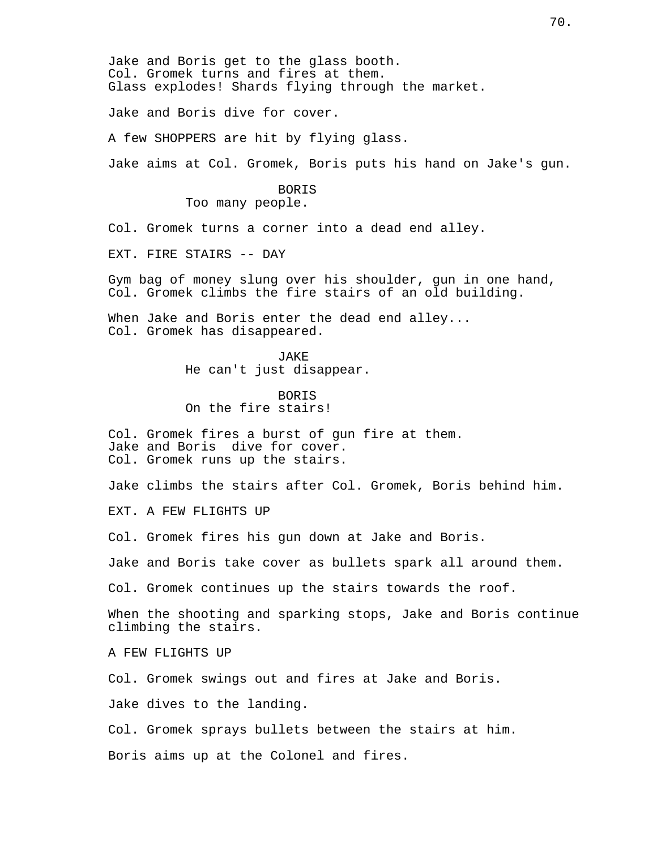Jake and Boris get to the glass booth. Col. Gromek turns and fires at them. Glass explodes! Shards flying through the market.

Jake and Boris dive for cover.

A few SHOPPERS are hit by flying glass.

Jake aims at Col. Gromek, Boris puts his hand on Jake's gun.

BORIS Too many people.

Col. Gromek turns a corner into a dead end alley.

EXT. FIRE STAIRS -- DAY

Gym bag of money slung over his shoulder, gun in one hand, Col. Gromek climbs the fire stairs of an old building.

When Jake and Boris enter the dead end alley... Col. Gromek has disappeared.

> JAKE He can't just disappear.

BORIS On the fire stairs!

Col. Gromek fires a burst of gun fire at them. Jake and Boris dive for cover. Col. Gromek runs up the stairs.

Jake climbs the stairs after Col. Gromek, Boris behind him.

EXT. A FEW FLIGHTS UP

Col. Gromek fires his gun down at Jake and Boris.

Jake and Boris take cover as bullets spark all around them.

Col. Gromek continues up the stairs towards the roof.

When the shooting and sparking stops, Jake and Boris continue climbing the stairs.

A FEW FLIGHTS UP

Col. Gromek swings out and fires at Jake and Boris.

Jake dives to the landing.

Col. Gromek sprays bullets between the stairs at him.

Boris aims up at the Colonel and fires.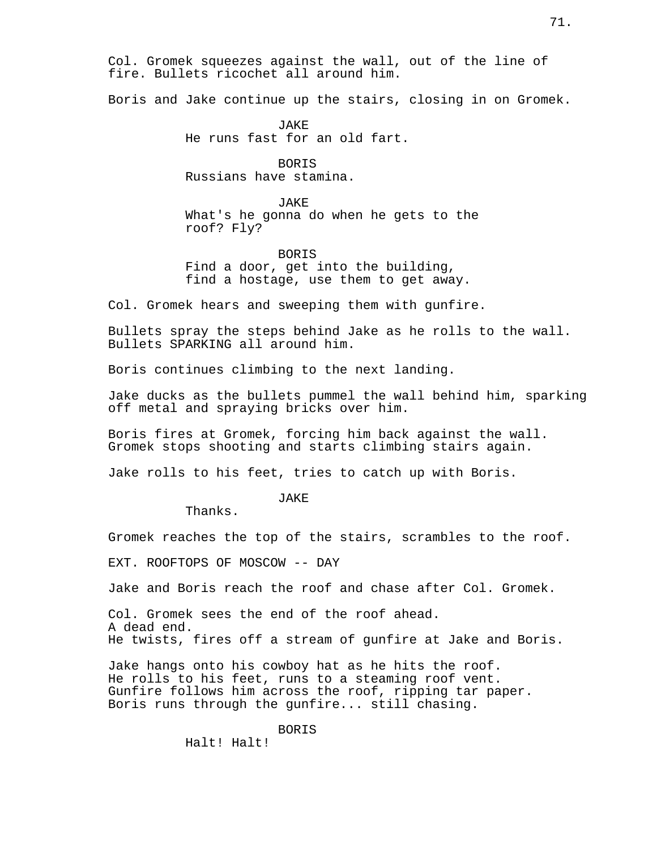Col. Gromek squeezes against the wall, out of the line of fire. Bullets ricochet all around him.

Boris and Jake continue up the stairs, closing in on Gromek.

JAKE He runs fast for an old fart.

BORIS Russians have stamina.

JAKE What's he gonna do when he gets to the roof? Fly?

BORIS Find a door, get into the building, find a hostage, use them to get away.

Col. Gromek hears and sweeping them with gunfire.

Bullets spray the steps behind Jake as he rolls to the wall. Bullets SPARKING all around him.

Boris continues climbing to the next landing.

Jake ducks as the bullets pummel the wall behind him, sparking off metal and spraying bricks over him.

Boris fires at Gromek, forcing him back against the wall. Gromek stops shooting and starts climbing stairs again.

Jake rolls to his feet, tries to catch up with Boris.

**JAKE** 

Thanks.

Gromek reaches the top of the stairs, scrambles to the roof.

EXT. ROOFTOPS OF MOSCOW -- DAY

Jake and Boris reach the roof and chase after Col. Gromek.

Col. Gromek sees the end of the roof ahead. A dead end. He twists, fires off a stream of gunfire at Jake and Boris.

Jake hangs onto his cowboy hat as he hits the roof. He rolls to his feet, runs to a steaming roof vent. Gunfire follows him across the roof, ripping tar paper. Boris runs through the gunfire... still chasing.

BORIS

Halt! Halt!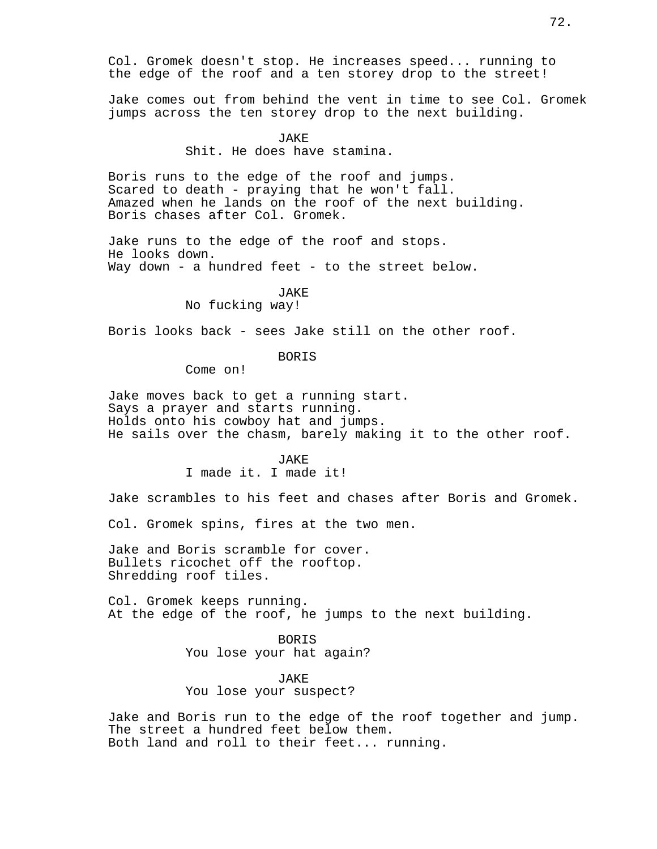Col. Gromek doesn't stop. He increases speed... running to the edge of the roof and a ten storey drop to the street!

Jake comes out from behind the vent in time to see Col. Gromek jumps across the ten storey drop to the next building.

# **JAKE**

Shit. He does have stamina.

Boris runs to the edge of the roof and jumps. Scared to death - praying that he won't fall. Amazed when he lands on the roof of the next building. Boris chases after Col. Gromek.

Jake runs to the edge of the roof and stops. He looks down. Way down - a hundred feet - to the street below.

#### JAKE

# No fucking way!

Boris looks back - sees Jake still on the other roof.

# BORIS

Come on!

Jake moves back to get a running start. Says a prayer and starts running. Holds onto his cowboy hat and jumps. He sails over the chasm, barely making it to the other roof.

# JAKE I made it. I made it!

Jake scrambles to his feet and chases after Boris and Gromek.

Col. Gromek spins, fires at the two men.

Jake and Boris scramble for cover. Bullets ricochet off the rooftop. Shredding roof tiles.

Col. Gromek keeps running. At the edge of the roof, he jumps to the next building.

> BORIS You lose your hat again?

JAKE You lose your suspect?

Jake and Boris run to the edge of the roof together and jump. The street a hundred feet below them. Both land and roll to their feet... running.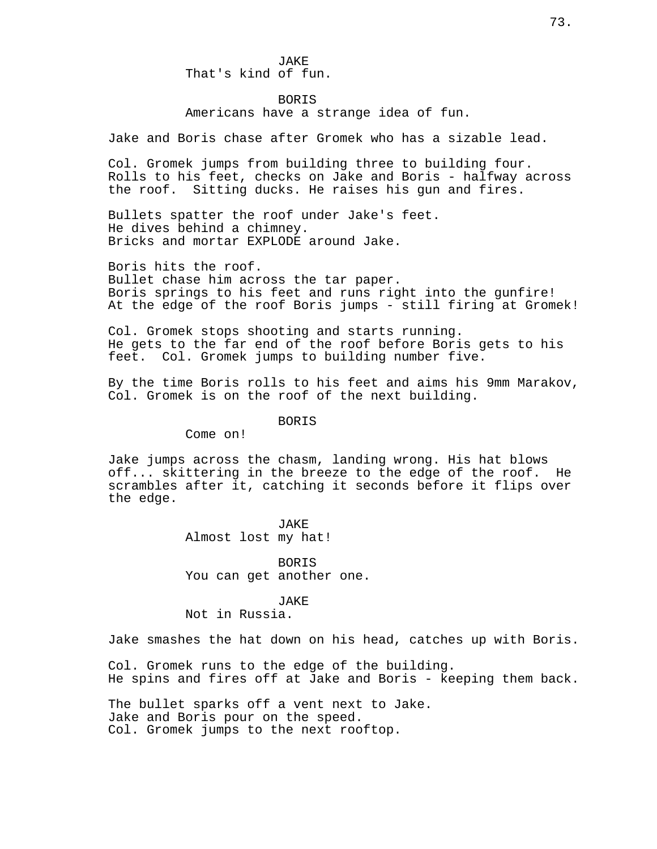**JAKE** That's kind of fun.

#### BORIS

Americans have a strange idea of fun.

Jake and Boris chase after Gromek who has a sizable lead.

Col. Gromek jumps from building three to building four. Rolls to his feet, checks on Jake and Boris - halfway across the roof. Sitting ducks. He raises his gun and fires.

Bullets spatter the roof under Jake's feet. He dives behind a chimney. Bricks and mortar EXPLODE around Jake.

Boris hits the roof. Bullet chase him across the tar paper. Boris springs to his feet and runs right into the gunfire! At the edge of the roof Boris jumps - still firing at Gromek!

Col. Gromek stops shooting and starts running. He gets to the far end of the roof before Boris gets to his feet. Col. Gromek jumps to building number five.

By the time Boris rolls to his feet and aims his 9mm Marakov, Col. Gromek is on the roof of the next building.

#### **BORTS**

Come on!

Jake jumps across the chasm, landing wrong. His hat blows off... skittering in the breeze to the edge of the roof. He scrambles after it, catching it seconds before it flips over the edge.

> JAKE Almost lost my hat!

BORIS You can get another one.

JAKE Not in Russia.

Jake smashes the hat down on his head, catches up with Boris.

Col. Gromek runs to the edge of the building. He spins and fires off at Jake and Boris - keeping them back.

The bullet sparks off a vent next to Jake. Jake and Boris pour on the speed. Col. Gromek jumps to the next rooftop.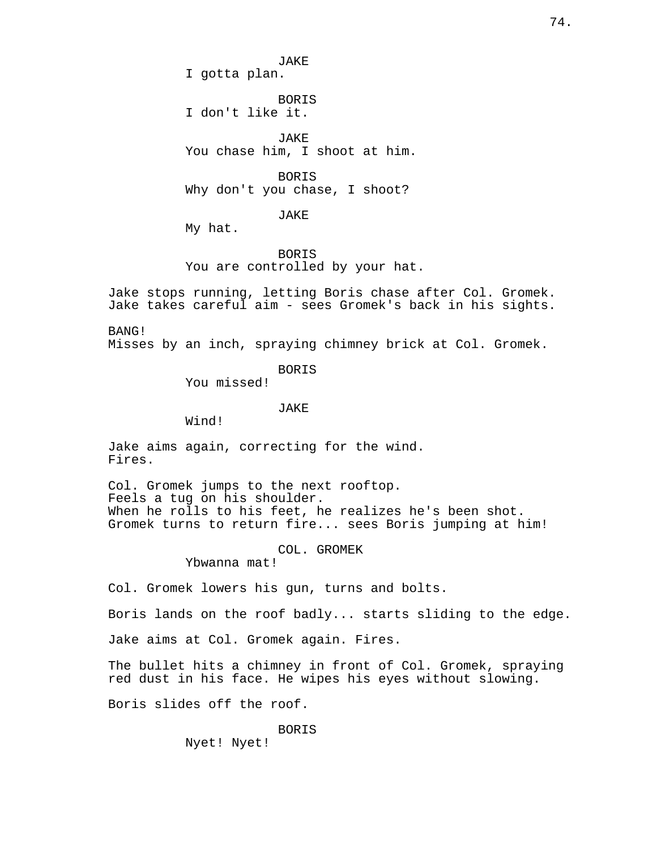JAKE I gotta plan.

BORIS I don't like it.

JAKE You chase him, I shoot at him.

BORIS Why don't you chase, I shoot?

JAKE

My hat.

BORIS You are controlled by your hat.

Jake stops running, letting Boris chase after Col. Gromek. Jake takes careful aim - sees Gromek's back in his sights.

BANG!

Misses by an inch, spraying chimney brick at Col. Gromek.

BORIS

You missed!

JAKE

Wind!

Jake aims again, correcting for the wind. Fires.

Col. Gromek jumps to the next rooftop. Feels a tug on his shoulder. When he rolls to his feet, he realizes he's been shot. Gromek turns to return fire... sees Boris jumping at him!

COL. GROMEK

Ybwanna mat!

Col. Gromek lowers his gun, turns and bolts.

Boris lands on the roof badly... starts sliding to the edge.

Jake aims at Col. Gromek again. Fires.

The bullet hits a chimney in front of Col. Gromek, spraying red dust in his face. He wipes his eyes without slowing.

Boris slides off the roof.

BORIS Nyet! Nyet!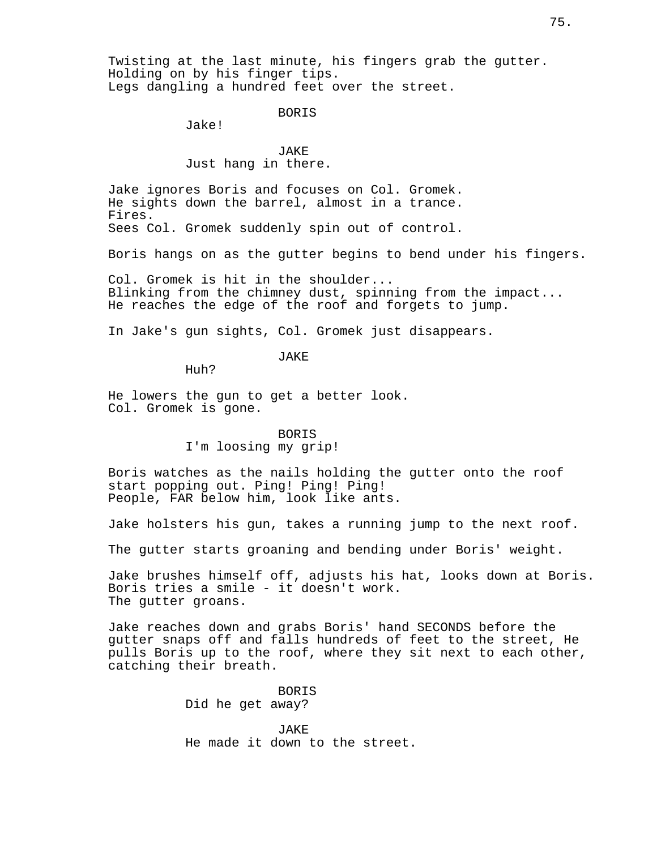Twisting at the last minute, his fingers grab the gutter. Holding on by his finger tips. Legs dangling a hundred feet over the street.

BORIS

Jake!

JAKE Just hang in there.

Jake ignores Boris and focuses on Col. Gromek. He sights down the barrel, almost in a trance. Fires. Sees Col. Gromek suddenly spin out of control.

Boris hangs on as the gutter begins to bend under his fingers.

Col. Gromek is hit in the shoulder... Blinking from the chimney dust, spinning from the impact... He reaches the edge of the roof and forgets to jump.

In Jake's gun sights, Col. Gromek just disappears.

# **JAKE**

Huh?

He lowers the gun to get a better look. Col. Gromek is gone.

# **BORTS**

# I'm loosing my grip!

Boris watches as the nails holding the gutter onto the roof start popping out. Ping! Ping! Ping! People, FAR below him, look like ants.

Jake holsters his gun, takes a running jump to the next roof.

The gutter starts groaning and bending under Boris' weight.

Jake brushes himself off, adjusts his hat, looks down at Boris. Boris tries a smile - it doesn't work. The gutter groans.

Jake reaches down and grabs Boris' hand SECONDS before the gutter snaps off and falls hundreds of feet to the street, He pulls Boris up to the roof, where they sit next to each other, catching their breath.

> BORIS Did he get away?

JAKE He made it down to the street.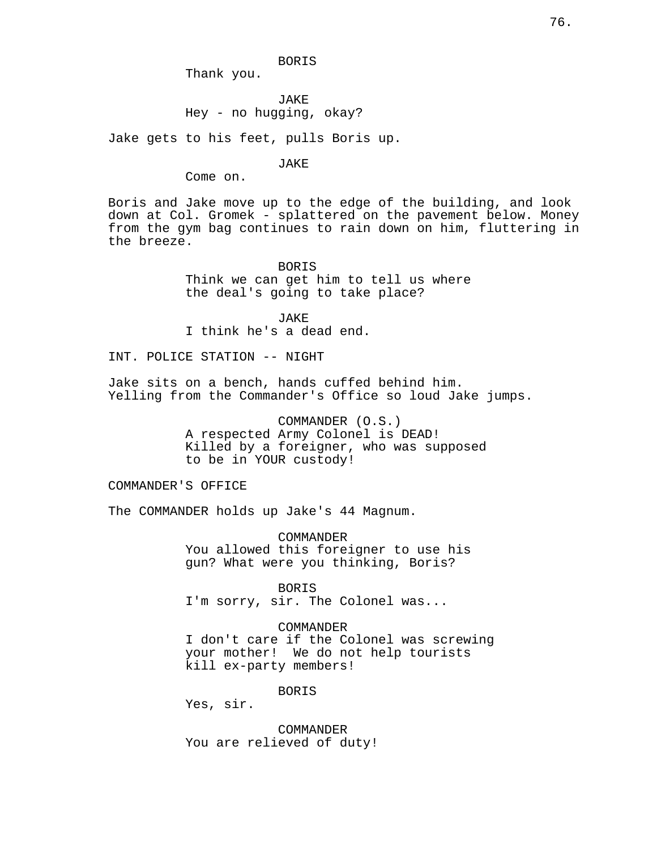Thank you.

**JAKE** Hey - no hugging, okay?

Jake gets to his feet, pulls Boris up.

JAKE

Come on.

Boris and Jake move up to the edge of the building, and look down at Col. Gromek - splattered on the pavement below. Money from the gym bag continues to rain down on him, fluttering in the breeze.

> BORIS Think we can get him to tell us where the deal's going to take place?

JAKE I think he's a dead end.

INT. POLICE STATION -- NIGHT

Jake sits on a bench, hands cuffed behind him. Yelling from the Commander's Office so loud Jake jumps.

> COMMANDER (O.S.) A respected Army Colonel is DEAD! Killed by a foreigner, who was supposed to be in YOUR custody!

COMMANDER'S OFFICE

The COMMANDER holds up Jake's 44 Magnum.

COMMANDER You allowed this foreigner to use his gun? What were you thinking, Boris?

BORIS I'm sorry, sir. The Colonel was...

COMMANDER I don't care if the Colonel was screwing your mother! We do not help tourists kill ex-party members!

BORIS

Yes, sir.

COMMANDER You are relieved of duty!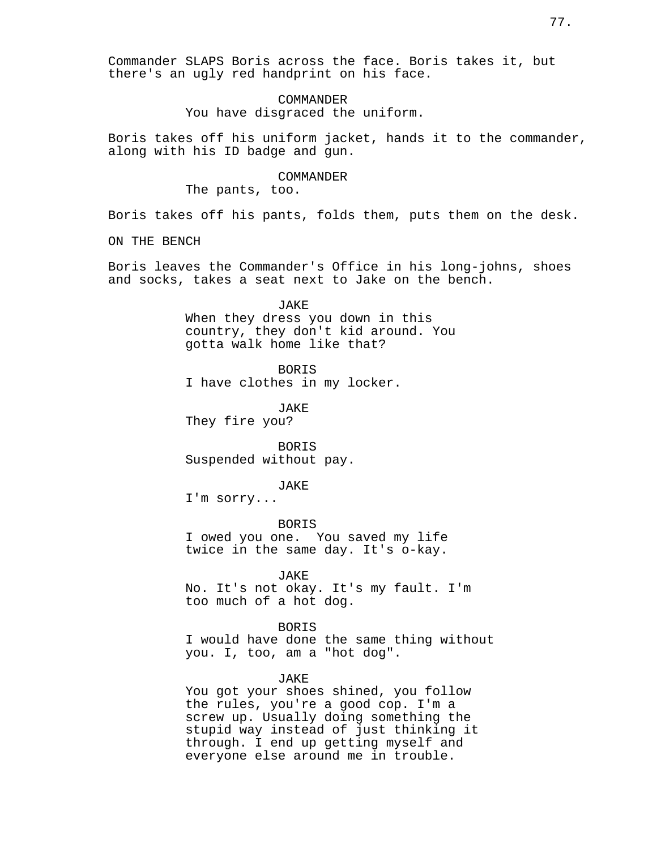Commander SLAPS Boris across the face. Boris takes it, but there's an ugly red handprint on his face.

# **COMMANDER** You have disgraced the uniform.

Boris takes off his uniform jacket, hands it to the commander, along with his ID badge and gun.

### COMMANDER

The pants, too.

Boris takes off his pants, folds them, puts them on the desk.

ON THE BENCH

Boris leaves the Commander's Office in his long-johns, shoes and socks, takes a seat next to Jake on the bench.

> JAKE When they dress you down in this country, they don't kid around. You gotta walk home like that?

BORIS I have clothes in my locker.

JAKE They fire you?

BORIS Suspended without pay.

#### JAKE

I'm sorry...

BORIS I owed you one. You saved my life twice in the same day. It's o-kay.

JAKE

No. It's not okay. It's my fault. I'm too much of a hot dog.

BORIS

I would have done the same thing without you. I, too, am a "hot dog".

### JAKE

You got your shoes shined, you follow the rules, you're a good cop. I'm a screw up. Usually doing something the stupid way instead of just thinking it through. I end up getting myself and everyone else around me in trouble.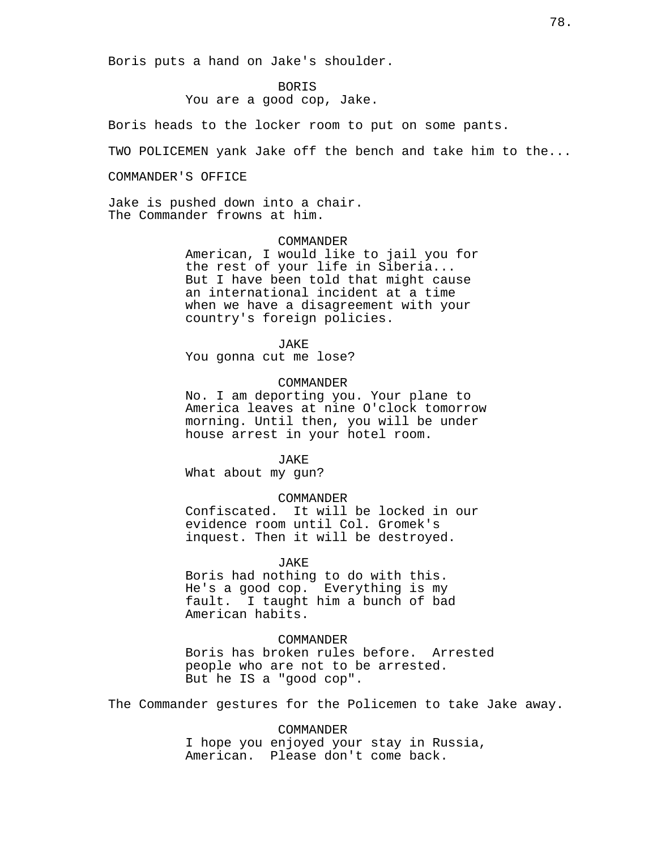Boris puts a hand on Jake's shoulder.

BORIS

You are a good cop, Jake.

Boris heads to the locker room to put on some pants.

TWO POLICEMEN yank Jake off the bench and take him to the...

COMMANDER'S OFFICE

Jake is pushed down into a chair. The Commander frowns at him.

### **COMMANDER**

American, I would like to jail you for the rest of your life in Siberia... But I have been told that might cause an international incident at a time when we have a disagreement with your country's foreign policies.

JAKE

You gonna cut me lose?

### COMMANDER

No. I am deporting you. Your plane to America leaves at nine O'clock tomorrow morning. Until then, you will be under house arrest in your hotel room.

#### JAKE

What about my gun?

#### COMMANDER

Confiscated. It will be locked in our evidence room until Col. Gromek's inquest. Then it will be destroyed.

#### JAKE

Boris had nothing to do with this. He's a good cop. Everything is my fault. I taught him a bunch of bad American habits.

#### COMMANDER

Boris has broken rules before. Arrested people who are not to be arrested. But he IS a "good cop".

The Commander gestures for the Policemen to take Jake away.

COMMANDER I hope you enjoyed your stay in Russia, American. Please don't come back.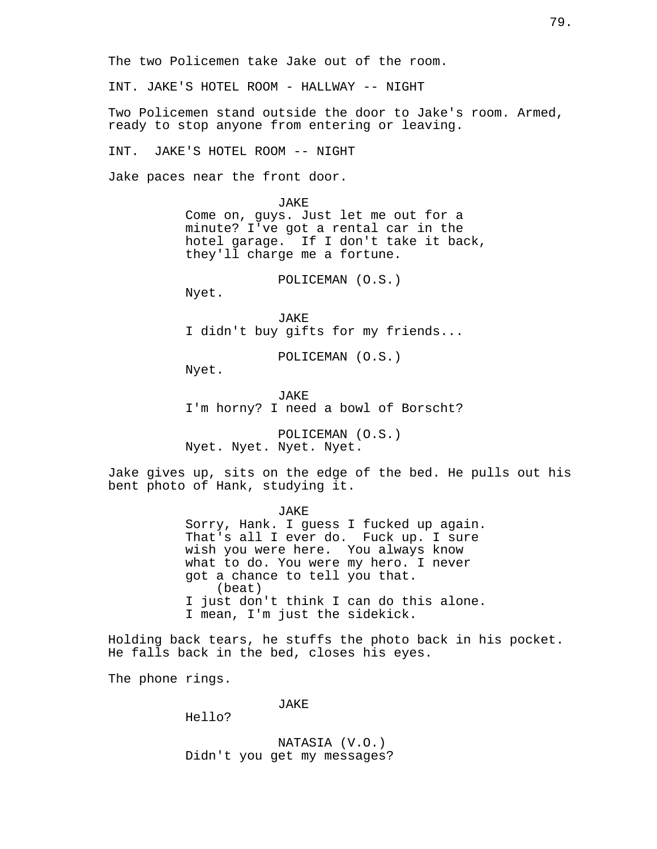The two Policemen take Jake out of the room.

INT. JAKE'S HOTEL ROOM - HALLWAY -- NIGHT

Two Policemen stand outside the door to Jake's room. Armed, ready to stop anyone from entering or leaving.

INT. JAKE'S HOTEL ROOM -- NIGHT

Jake paces near the front door.

JAKE Come on, guys. Just let me out for a minute? I've got a rental car in the hotel garage. If I don't take it back, they'll charge me a fortune.

POLICEMAN (O.S.)

Nyet.

JAKE I didn't buy gifts for my friends...

POLICEMAN (O.S.)

Nyet.

JAKE I'm horny? I need a bowl of Borscht?

POLICEMAN (O.S.) Nyet. Nyet. Nyet. Nyet.

Jake gives up, sits on the edge of the bed. He pulls out his bent photo of Hank, studying it.

JAKE

Sorry, Hank. I guess I fucked up again. That's all I ever do. Fuck up. I sure wish you were here. You always know what to do. You were my hero. I never got a chance to tell you that. (beat) I just don't think I can do this alone. I mean, I'm just the sidekick.

Holding back tears, he stuffs the photo back in his pocket. He falls back in the bed, closes his eyes.

The phone rings.

JAKE

Hello?

NATASIA (V.O.) Didn't you get my messages?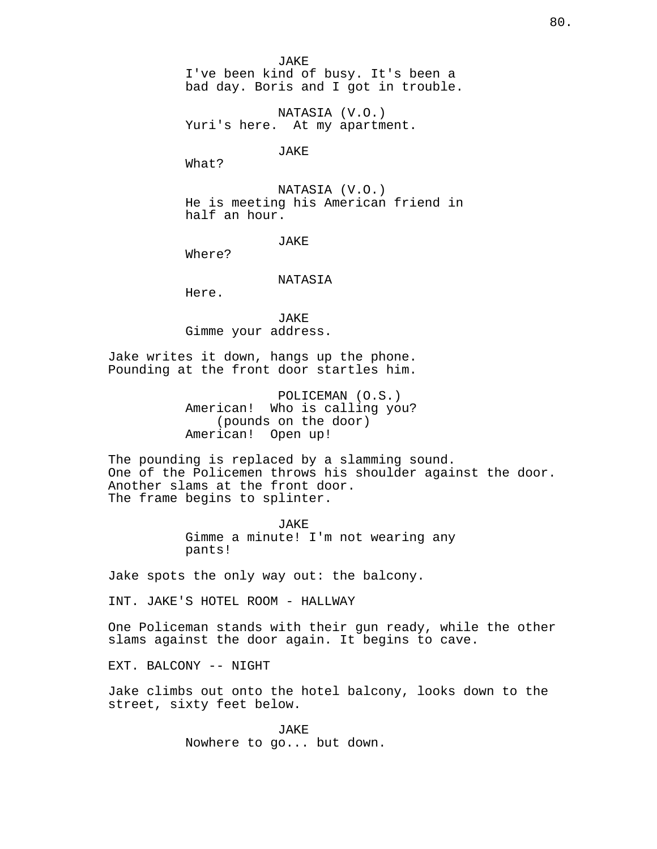JAKE I've been kind of busy. It's been a bad day. Boris and I got in trouble.

NATASIA (V.O.) Yuri's here. At my apartment.

JAKE

What?

NATASIA (V.O.) He is meeting his American friend in half an hour.

JAKE

Where?

NATASIA

Here.

JAKE Gimme your address.

Jake writes it down, hangs up the phone. Pounding at the front door startles him.

> POLICEMAN (O.S.) American! Who is calling you? (pounds on the door) American! Open up!

The pounding is replaced by a slamming sound. One of the Policemen throws his shoulder against the door. Another slams at the front door. The frame begins to splinter.

> **JAKE** Gimme a minute! I'm not wearing any pants!

Jake spots the only way out: the balcony.

INT. JAKE'S HOTEL ROOM - HALLWAY

One Policeman stands with their gun ready, while the other slams against the door again. It begins to cave.

EXT. BALCONY -- NIGHT

Jake climbs out onto the hotel balcony, looks down to the street, sixty feet below.

> JAKE Nowhere to go... but down.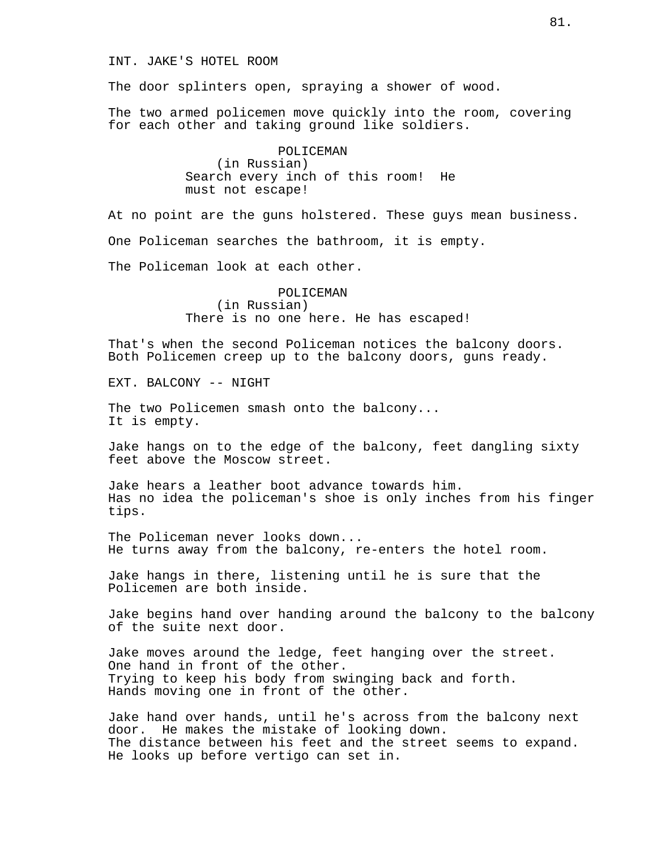### INT. JAKE'S HOTEL ROOM

The door splinters open, spraying a shower of wood.

The two armed policemen move quickly into the room, covering for each other and taking ground like soldiers.

> POLICEMAN (in Russian) Search every inch of this room! He must not escape!

At no point are the guns holstered. These guys mean business. One Policeman searches the bathroom, it is empty. The Policeman look at each other.

> POLICEMAN (in Russian) There is no one here. He has escaped!

That's when the second Policeman notices the balcony doors. Both Policemen creep up to the balcony doors, guns ready.

EXT. BALCONY -- NIGHT

The two Policemen smash onto the balcony... It is empty.

Jake hangs on to the edge of the balcony, feet dangling sixty feet above the Moscow street.

Jake hears a leather boot advance towards him. Has no idea the policeman's shoe is only inches from his finger tips.

The Policeman never looks down... He turns away from the balcony, re-enters the hotel room.

Jake hangs in there, listening until he is sure that the Policemen are both inside.

Jake begins hand over handing around the balcony to the balcony of the suite next door.

Jake moves around the ledge, feet hanging over the street. One hand in front of the other. Trying to keep his body from swinging back and forth. Hands moving one in front of the other.

Jake hand over hands, until he's across from the balcony next door. He makes the mistake of looking down. The distance between his feet and the street seems to expand. He looks up before vertigo can set in.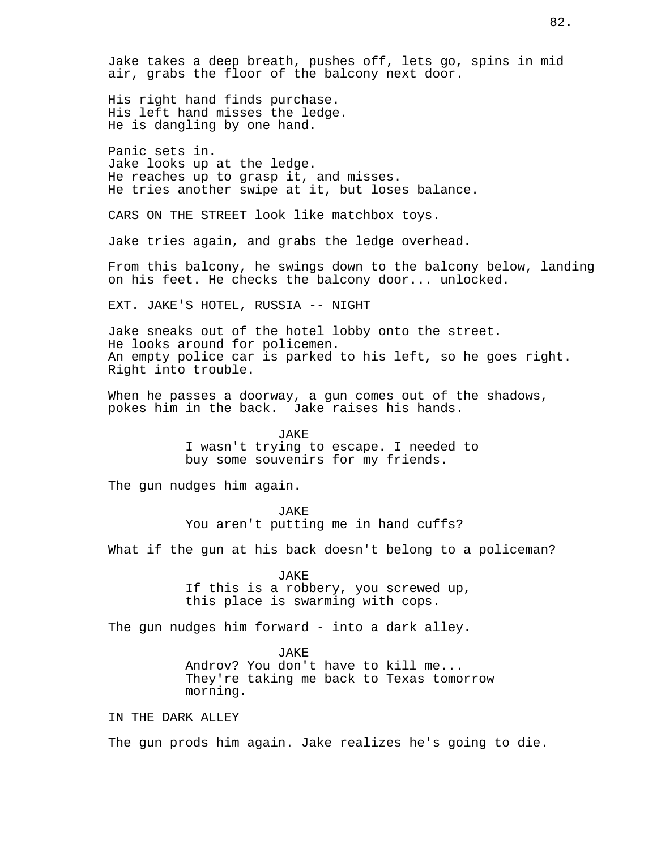Jake takes a deep breath, pushes off, lets go, spins in mid air, grabs the floor of the balcony next door.

His right hand finds purchase. His left hand misses the ledge. He is dangling by one hand.

Panic sets in. Jake looks up at the ledge. He reaches up to grasp it, and misses. He tries another swipe at it, but loses balance.

CARS ON THE STREET look like matchbox toys.

Jake tries again, and grabs the ledge overhead.

From this balcony, he swings down to the balcony below, landing on his feet. He checks the balcony door... unlocked.

EXT. JAKE'S HOTEL, RUSSIA -- NIGHT

Jake sneaks out of the hotel lobby onto the street. He looks around for policemen. An empty police car is parked to his left, so he goes right. Right into trouble.

When he passes a doorway, a gun comes out of the shadows, pokes him in the back. Jake raises his hands.

> JAKE I wasn't trying to escape. I needed to buy some souvenirs for my friends.

The gun nudges him again.

JAKE You aren't putting me in hand cuffs?

What if the gun at his back doesn't belong to a policeman?

JAKE If this is a robbery, you screwed up, this place is swarming with cops.

The gun nudges him forward - into a dark alley.

JAKE

Androv? You don't have to kill me... They're taking me back to Texas tomorrow morning.

IN THE DARK ALLEY

The gun prods him again. Jake realizes he's going to die.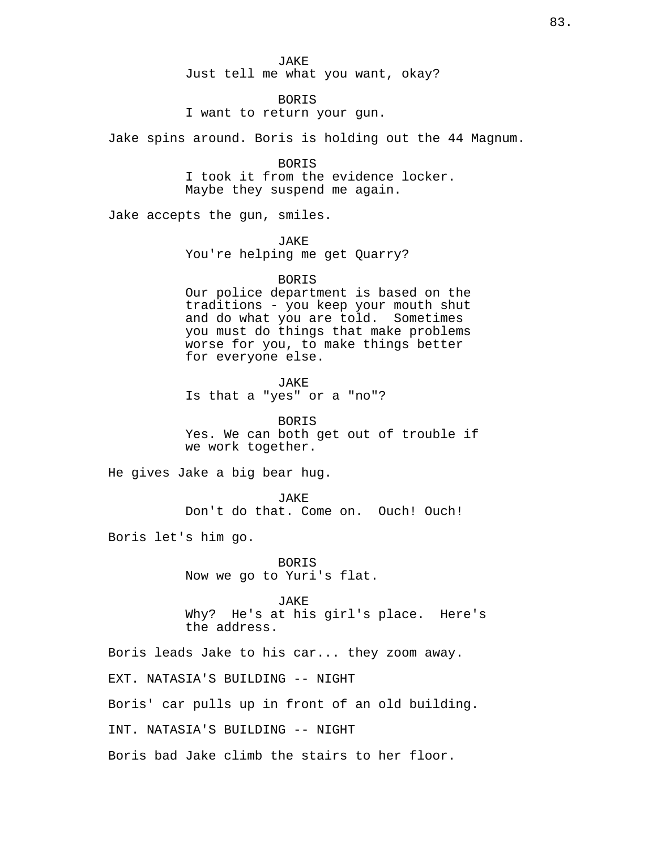JAKE Just tell me what you want, okay?

BORIS

I want to return your gun.

Jake spins around. Boris is holding out the 44 Magnum.

BORIS I took it from the evidence locker. Maybe they suspend me again.

Jake accepts the gun, smiles.

JAKE

You're helping me get Quarry?

BORIS

Our police department is based on the traditions - you keep your mouth shut and do what you are told. Sometimes you must do things that make problems worse for you, to make things better for everyone else.

JAKE

Is that a "yes" or a "no"?

BORIS Yes. We can both get out of trouble if we work together.

He gives Jake a big bear hug.

JAKE Don't do that. Come on. Ouch! Ouch!

Boris let's him go.

BORIS Now we go to Yuri's flat.

JAKE

Why? He's at his girl's place. Here's the address.

Boris leads Jake to his car... they zoom away.

EXT. NATASIA'S BUILDING -- NIGHT

Boris' car pulls up in front of an old building.

INT. NATASIA'S BUILDING -- NIGHT

Boris bad Jake climb the stairs to her floor.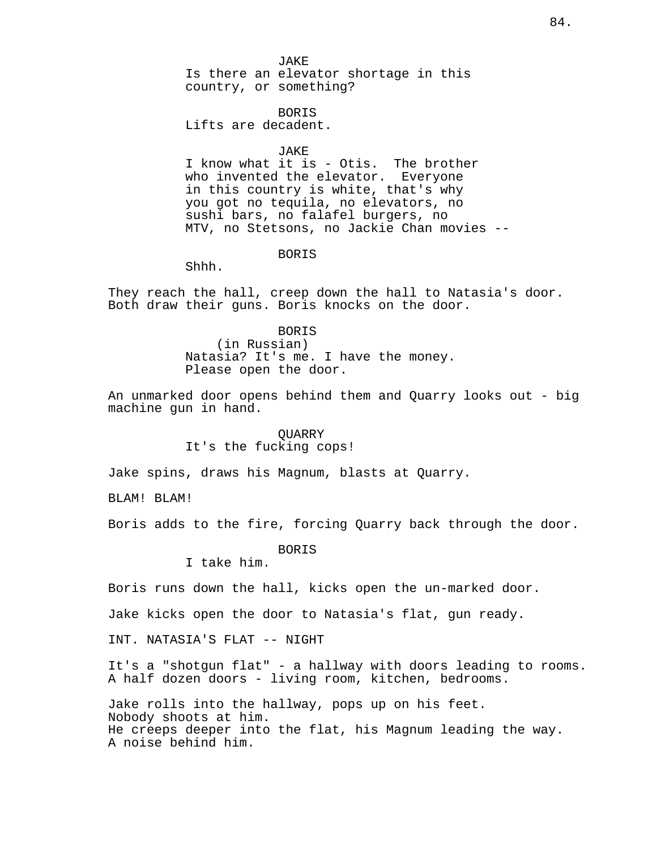JAKE Is there an elevator shortage in this country, or something?

BORIS

Lifts are decadent.

JAKE

I know what it is - Otis. The brother who invented the elevator. Everyone in this country is white, that's why you got no tequila, no elevators, no sushi bars, no falafel burgers, no MTV, no Stetsons, no Jackie Chan movies --

BORIS

Shhh.

They reach the hall, creep down the hall to Natasia's door. Both draw their guns. Boris knocks on the door.

> BORIS (in Russian) Natasia? It's me. I have the money. Please open the door.

An unmarked door opens behind them and Quarry looks out - big machine gun in hand.

# QUARRY It's the fucking cops!

Jake spins, draws his Magnum, blasts at Quarry.

BLAM! BLAM!

Boris adds to the fire, forcing Quarry back through the door.

BORIS

I take him.

Boris runs down the hall, kicks open the un-marked door.

Jake kicks open the door to Natasia's flat, gun ready.

INT. NATASIA'S FLAT -- NIGHT

It's a "shotgun flat" - a hallway with doors leading to rooms. A half dozen doors - living room, kitchen, bedrooms.

Jake rolls into the hallway, pops up on his feet. Nobody shoots at him. He creeps deeper into the flat, his Magnum leading the way. A noise behind him.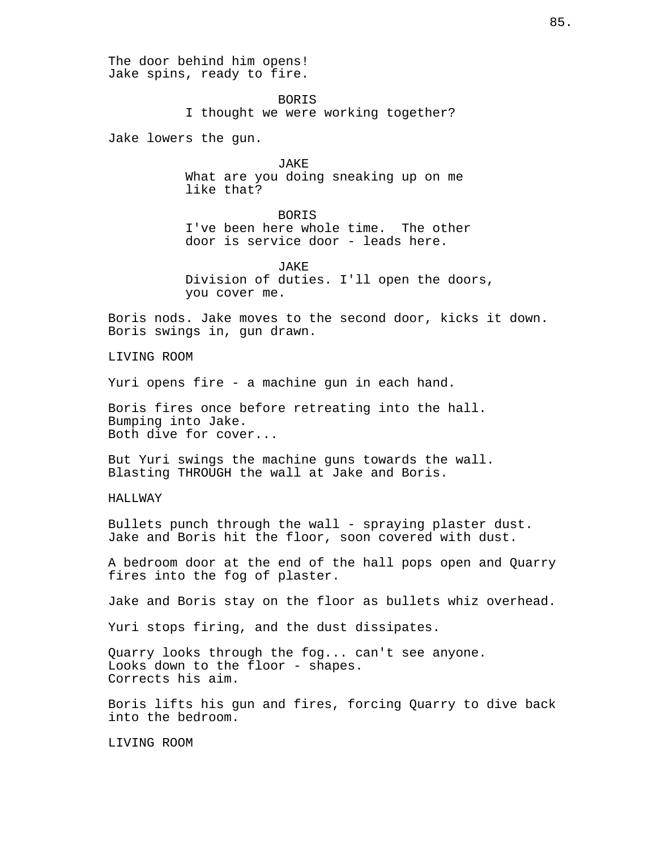The door behind him opens! Jake spins, ready to fire. BORIS I thought we were working together? Jake lowers the gun. JAKE What are you doing sneaking up on me like that? **BORTS** I've been here whole time. The other door is service door - leads here. JAKE Division of duties. I'll open the doors, you cover me. Boris nods. Jake moves to the second door, kicks it down. Boris swings in, gun drawn. LIVING ROOM Yuri opens fire - a machine gun in each hand. Boris fires once before retreating into the hall. Bumping into Jake. Both dive for cover... But Yuri swings the machine guns towards the wall. Blasting THROUGH the wall at Jake and Boris. HALLWAY Bullets punch through the wall - spraying plaster dust. Jake and Boris hit the floor, soon covered with dust. A bedroom door at the end of the hall pops open and Quarry fires into the fog of plaster. Jake and Boris stay on the floor as bullets whiz overhead. Yuri stops firing, and the dust dissipates. Quarry looks through the fog... can't see anyone. Looks down to the floor - shapes. Corrects his aim. Boris lifts his gun and fires, forcing Quarry to dive back into the bedroom. LIVING ROOM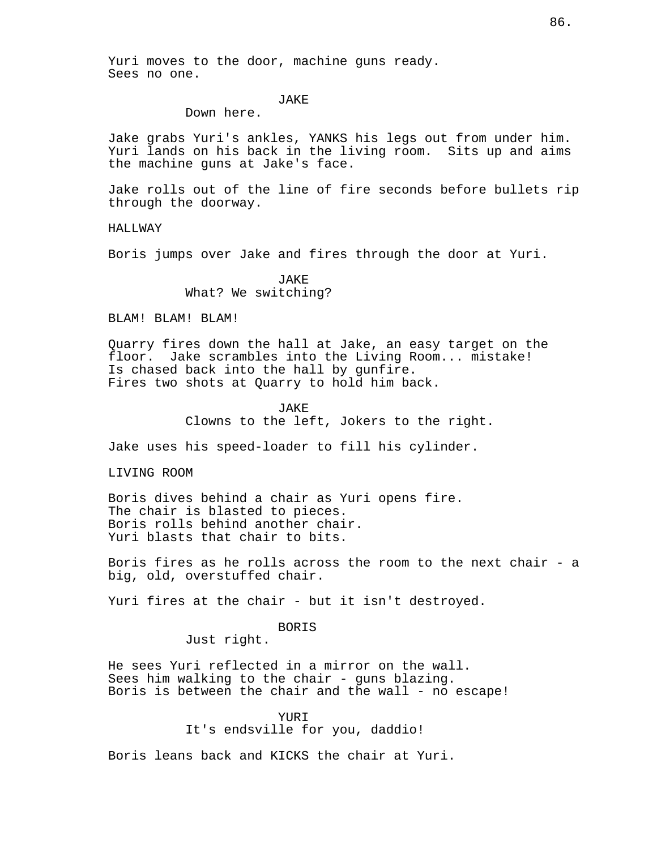Yuri moves to the door, machine guns ready. Sees no one.

# JAKE

Down here.

Jake grabs Yuri's ankles, YANKS his legs out from under him. Yuri lands on his back in the living room. Sits up and aims the machine guns at Jake's face.

Jake rolls out of the line of fire seconds before bullets rip through the doorway.

HALLWAY

Boris jumps over Jake and fires through the door at Yuri.

JAKE What? We switching?

BLAM! BLAM! BLAM!

Quarry fires down the hall at Jake, an easy target on the floor. Jake scrambles into the Living Room... mistake! Is chased back into the hall by gunfire. Fires two shots at Quarry to hold him back.

JAKE

Clowns to the left, Jokers to the right.

Jake uses his speed-loader to fill his cylinder.

LIVING ROOM

Boris dives behind a chair as Yuri opens fire. The chair is blasted to pieces. Boris rolls behind another chair. Yuri blasts that chair to bits.

Boris fires as he rolls across the room to the next chair - a big, old, overstuffed chair.

Yuri fires at the chair - but it isn't destroyed.

BORIS

Just right.

He sees Yuri reflected in a mirror on the wall. Sees him walking to the chair - guns blazing. Boris is between the chair and the wall - no escape!

YURI

It's endsville for you, daddio!

Boris leans back and KICKS the chair at Yuri.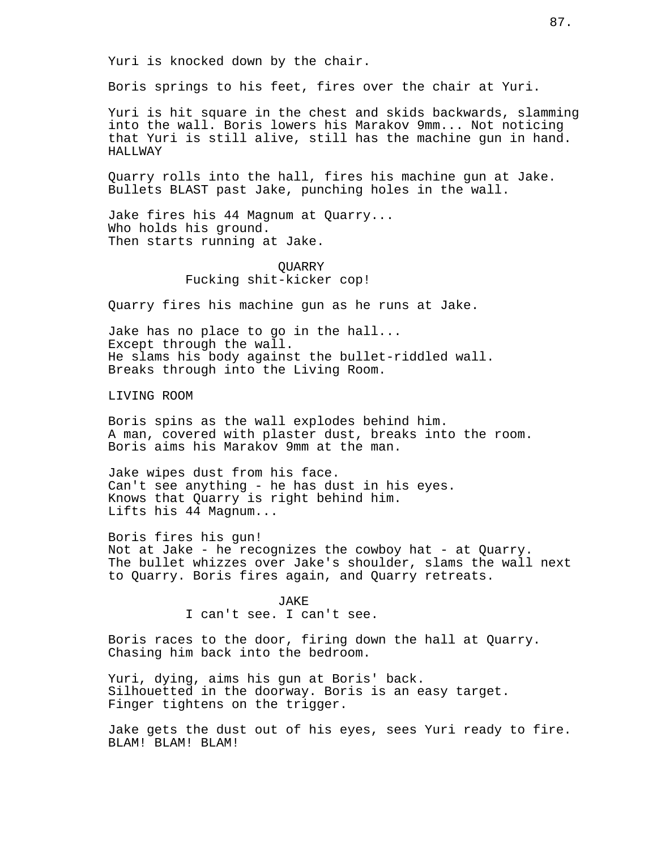Yuri is knocked down by the chair.

Boris springs to his feet, fires over the chair at Yuri.

Yuri is hit square in the chest and skids backwards, slamming into the wall. Boris lowers his Marakov 9mm... Not noticing that Yuri is still alive, still has the machine gun in hand. HALLWAY

Quarry rolls into the hall, fires his machine gun at Jake. Bullets BLAST past Jake, punching holes in the wall.

Jake fires his 44 Magnum at Quarry... Who holds his ground. Then starts running at Jake.

> QUARRY Fucking shit-kicker cop!

Quarry fires his machine gun as he runs at Jake.

Jake has no place to go in the hall... Except through the wall. He slams his body against the bullet-riddled wall. Breaks through into the Living Room.

LIVING ROOM

Boris spins as the wall explodes behind him. A man, covered with plaster dust, breaks into the room. Boris aims his Marakov 9mm at the man.

Jake wipes dust from his face. Can't see anything - he has dust in his eyes. Knows that Quarry is right behind him. Lifts his 44 Magnum...

Boris fires his gun! Not at Jake - he recognizes the cowboy hat - at Quarry. The bullet whizzes over Jake's shoulder, slams the wall next to Quarry. Boris fires again, and Quarry retreats.

> JAKE I can't see. I can't see.

Boris races to the door, firing down the hall at Quarry. Chasing him back into the bedroom.

Yuri, dying, aims his gun at Boris' back. Silhouetted in the doorway. Boris is an easy target. Finger tightens on the trigger.

Jake gets the dust out of his eyes, sees Yuri ready to fire. BLAM! BLAM! BLAM!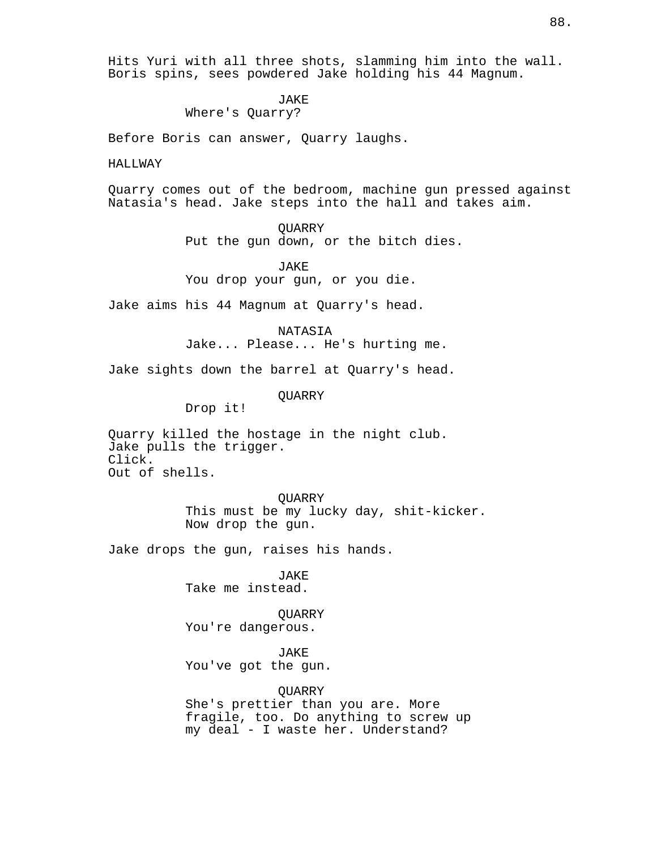Hits Yuri with all three shots, slamming him into the wall. Boris spins, sees powdered Jake holding his 44 Magnum.

**JAKE** 

Where's Quarry?

Before Boris can answer, Quarry laughs.

HALLWAY

Quarry comes out of the bedroom, machine gun pressed against Natasia's head. Jake steps into the hall and takes aim.

> **OUARRY** Put the gun down, or the bitch dies.

JAKE You drop your gun, or you die.

Jake aims his 44 Magnum at Quarry's head.

NATASIA Jake... Please... He's hurting me.

Jake sights down the barrel at Quarry's head.

QUARRY

Drop it!

Quarry killed the hostage in the night club. Jake pulls the trigger. Click. Out of shells.

> QUARRY This must be my lucky day, shit-kicker. Now drop the gun.

Jake drops the gun, raises his hands.

JAKE Take me instead.

**OUARRY** You're dangerous.

JAKE You've got the gun.

**OUARRY** She's prettier than you are. More fragile, too. Do anything to screw up my deal - I waste her. Understand?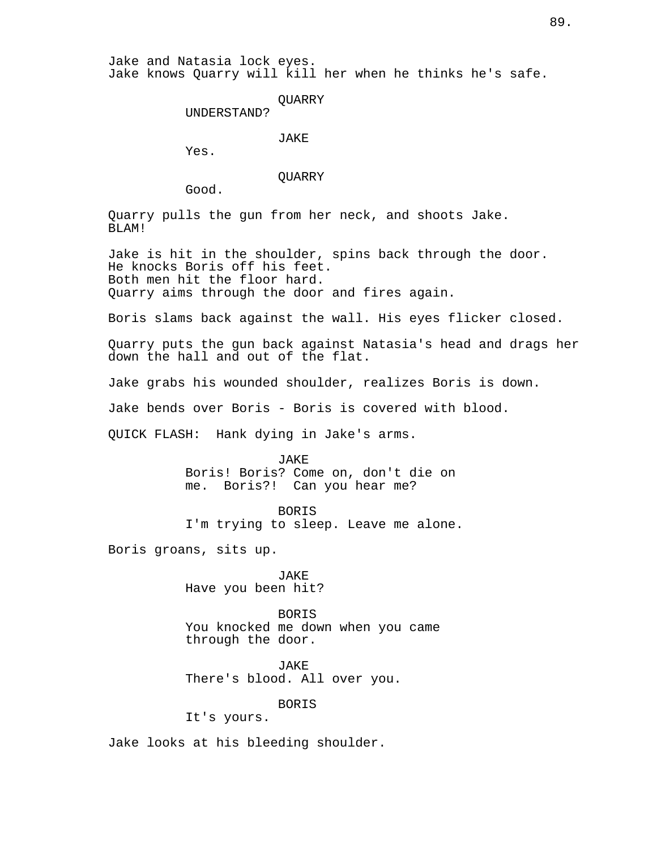**OUARRY** 

UNDERSTAND?

JAKE

Yes.

QUARRY

Good.

Quarry pulls the gun from her neck, and shoots Jake. BLAM!

Jake is hit in the shoulder, spins back through the door. He knocks Boris off his feet. Both men hit the floor hard. Quarry aims through the door and fires again.

Boris slams back against the wall. His eyes flicker closed.

Quarry puts the gun back against Natasia's head and drags her down the hall and out of the flat.

Jake grabs his wounded shoulder, realizes Boris is down.

Jake bends over Boris - Boris is covered with blood.

QUICK FLASH: Hank dying in Jake's arms.

JAKE

Boris! Boris? Come on, don't die on me. Boris?! Can you hear me?

BORIS

I'm trying to sleep. Leave me alone.

Boris groans, sits up.

JAKE Have you been hit?

BORIS You knocked me down when you came through the door.

JAKE There's blood. All over you.

BORIS

It's yours.

Jake looks at his bleeding shoulder.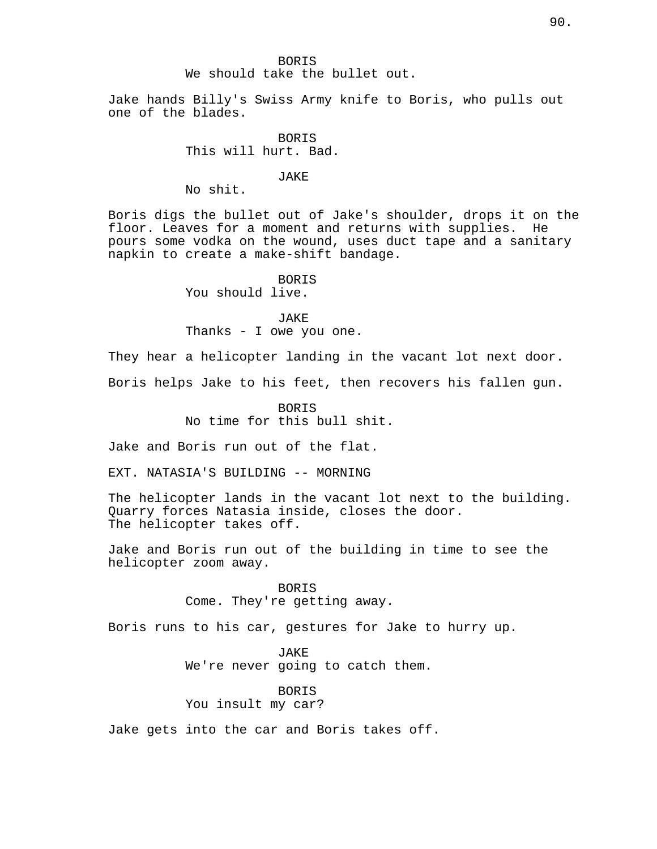#### **BORTS**

# We should take the bullet out.

Jake hands Billy's Swiss Army knife to Boris, who pulls out one of the blades.

> **BORTS** This will hurt. Bad.

# JAKE

No shit.

Boris digs the bullet out of Jake's shoulder, drops it on the floor. Leaves for a moment and returns with supplies. He pours some vodka on the wound, uses duct tape and a sanitary napkin to create a make-shift bandage.

> BORIS You should live.

JAKE Thanks - I owe you one.

They hear a helicopter landing in the vacant lot next door. Boris helps Jake to his feet, then recovers his fallen gun.

> BORIS No time for this bull shit.

Jake and Boris run out of the flat.

EXT. NATASIA'S BUILDING -- MORNING

The helicopter lands in the vacant lot next to the building. Quarry forces Natasia inside, closes the door. The helicopter takes off.

Jake and Boris run out of the building in time to see the helicopter zoom away.

> BORIS Come. They're getting away.

Boris runs to his car, gestures for Jake to hurry up.

JAKE We're never going to catch them.

BORIS You insult my car?

Jake gets into the car and Boris takes off.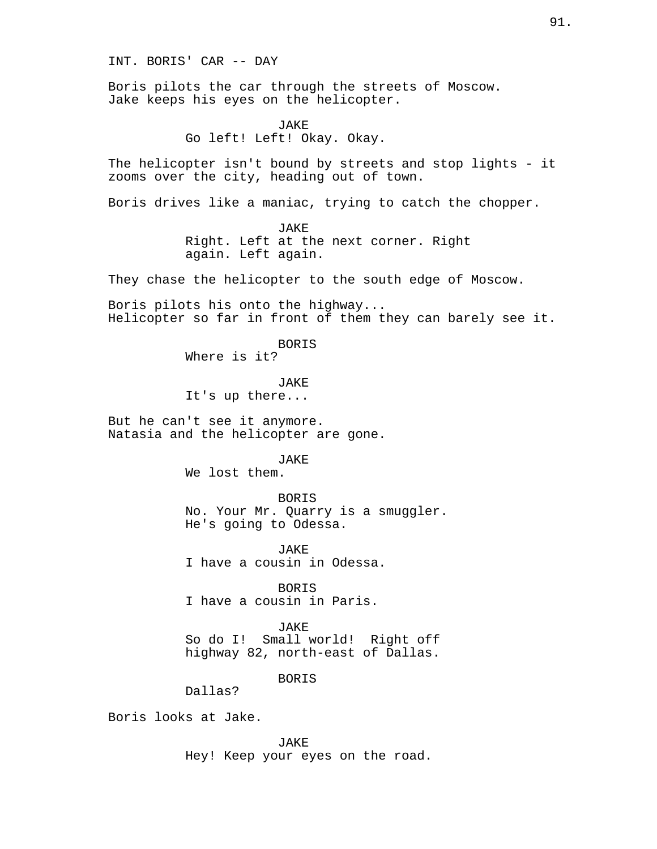INT. BORIS' CAR -- DAY

Boris pilots the car through the streets of Moscow. Jake keeps his eyes on the helicopter.

> JAKE Go left! Left! Okay. Okay.

The helicopter isn't bound by streets and stop lights - it zooms over the city, heading out of town.

Boris drives like a maniac, trying to catch the chopper.

JAKE Right. Left at the next corner. Right again. Left again.

They chase the helicopter to the south edge of Moscow.

Boris pilots his onto the highway... Helicopter so far in front of them they can barely see it.

BORIS

Where is it?

JAKE It's up there...

But he can't see it anymore. Natasia and the helicopter are gone.

# JAKE

We lost them.

**BORTS** No. Your Mr. Quarry is a smuggler. He's going to Odessa.

JAKE I have a cousin in Odessa.

BORIS I have a cousin in Paris.

**JAKE** So do I! Small world! Right off highway 82, north-east of Dallas.

BORIS

Dallas?

Boris looks at Jake.

JAKE Hey! Keep your eyes on the road.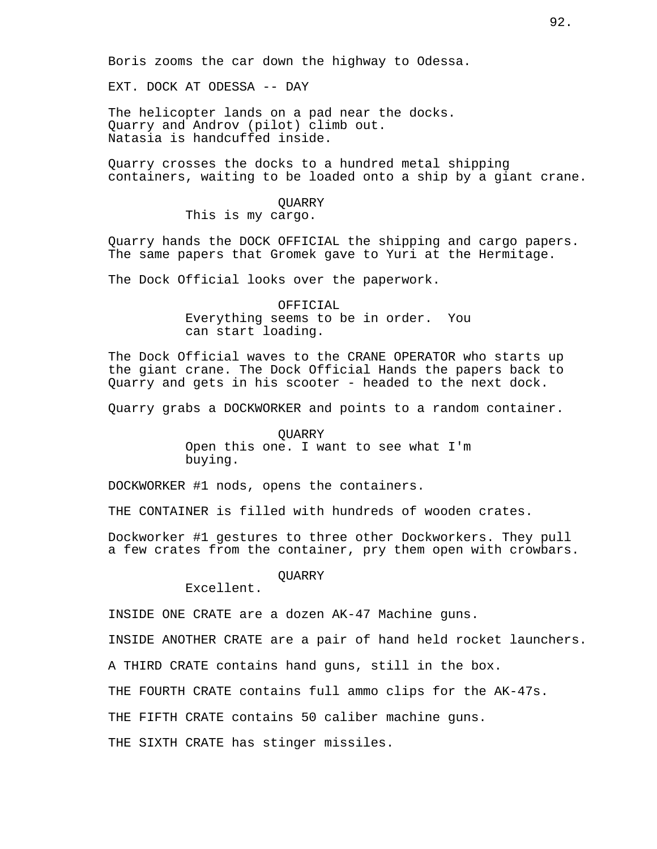Boris zooms the car down the highway to Odessa.

EXT. DOCK AT ODESSA -- DAY

The helicopter lands on a pad near the docks. Quarry and Androv (pilot) climb out. Natasia is handcuffed inside.

Quarry crosses the docks to a hundred metal shipping containers, waiting to be loaded onto a ship by a giant crane.

# QUARRY

This is my cargo.

Quarry hands the DOCK OFFICIAL the shipping and cargo papers. The same papers that Gromek gave to Yuri at the Hermitage.

The Dock Official looks over the paperwork.

OFFICIAL Everything seems to be in order. You can start loading.

The Dock Official waves to the CRANE OPERATOR who starts up the giant crane. The Dock Official Hands the papers back to Quarry and gets in his scooter - headed to the next dock.

Quarry grabs a DOCKWORKER and points to a random container.

**OUARRY** Open this one. I want to see what I'm buying.

DOCKWORKER #1 nods, opens the containers.

THE CONTAINER is filled with hundreds of wooden crates.

Dockworker #1 gestures to three other Dockworkers. They pull a few crates from the container, pry them open with crowbars.

**OUARRY** 

Excellent.

INSIDE ONE CRATE are a dozen AK-47 Machine guns.

INSIDE ANOTHER CRATE are a pair of hand held rocket launchers.

A THIRD CRATE contains hand guns, still in the box.

THE FOURTH CRATE contains full ammo clips for the AK-47s.

THE FIFTH CRATE contains 50 caliber machine guns.

THE SIXTH CRATE has stinger missiles.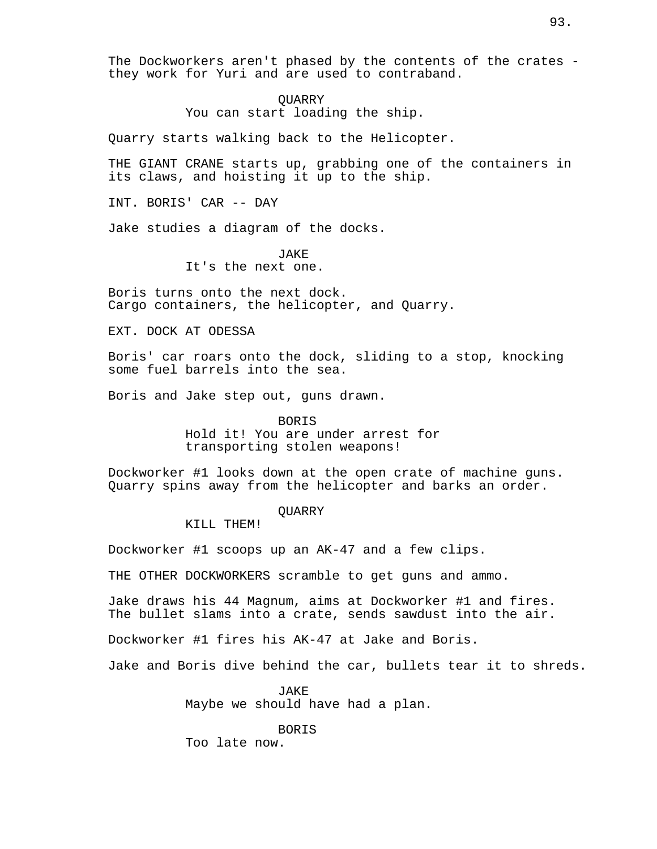The Dockworkers aren't phased by the contents of the crates they work for Yuri and are used to contraband.

# QUARRY

You can start loading the ship.

Quarry starts walking back to the Helicopter.

THE GIANT CRANE starts up, grabbing one of the containers in its claws, and hoisting it up to the ship.

INT. BORIS' CAR -- DAY

Jake studies a diagram of the docks.

JAKE It's the next one.

Boris turns onto the next dock. Cargo containers, the helicopter, and Quarry.

EXT. DOCK AT ODESSA

Boris' car roars onto the dock, sliding to a stop, knocking some fuel barrels into the sea.

Boris and Jake step out, guns drawn.

BORIS

Hold it! You are under arrest for transporting stolen weapons!

Dockworker #1 looks down at the open crate of machine guns. Quarry spins away from the helicopter and barks an order.

**OUARRY** 

KILL THEM!

Dockworker #1 scoops up an AK-47 and a few clips.

THE OTHER DOCKWORKERS scramble to get guns and ammo.

Jake draws his 44 Magnum, aims at Dockworker #1 and fires. The bullet slams into a crate, sends sawdust into the air.

Dockworker #1 fires his AK-47 at Jake and Boris.

Jake and Boris dive behind the car, bullets tear it to shreds.

JAKE Maybe we should have had a plan.

BORIS Too late now.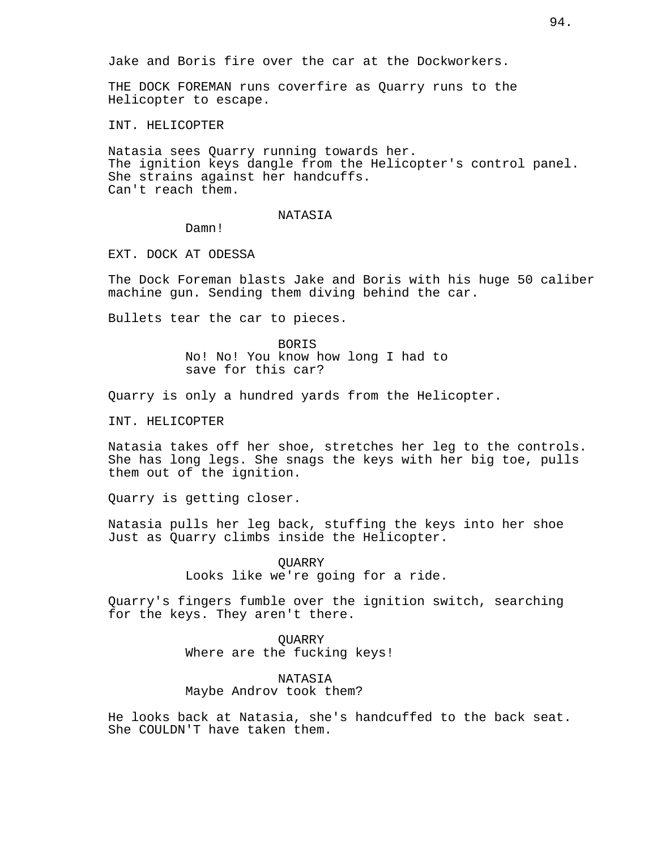Jake and Boris fire over the car at the Dockworkers.

THE DOCK FOREMAN runs coverfire as Quarry runs to the Helicopter to escape.

INT. HELICOPTER

Natasia sees Quarry running towards her. The ignition keys dangle from the Helicopter's control panel. She strains against her handcuffs. Can't reach them.

#### NATASIA

Damn!

EXT. DOCK AT ODESSA

The Dock Foreman blasts Jake and Boris with his huge 50 caliber machine gun. Sending them diving behind the car.

Bullets tear the car to pieces.

BORIS No! No! You know how long I had to save for this car?

Quarry is only a hundred yards from the Helicopter.

INT. HELICOPTER

Natasia takes off her shoe, stretches her leg to the controls. She has long legs. She snags the keys with her big toe, pulls them out of the ignition.

Quarry is getting closer.

Natasia pulls her leg back, stuffing the keys into her shoe Just as Quarry climbs inside the Helicopter.

> **OUARRY** Looks like we're going for a ride.

Quarry's fingers fumble over the ignition switch, searching for the keys. They aren't there.

> **OUARRY** Where are the fucking keys!

NATASIA Maybe Androv took them?

He looks back at Natasia, she's handcuffed to the back seat. She COULDN'T have taken them.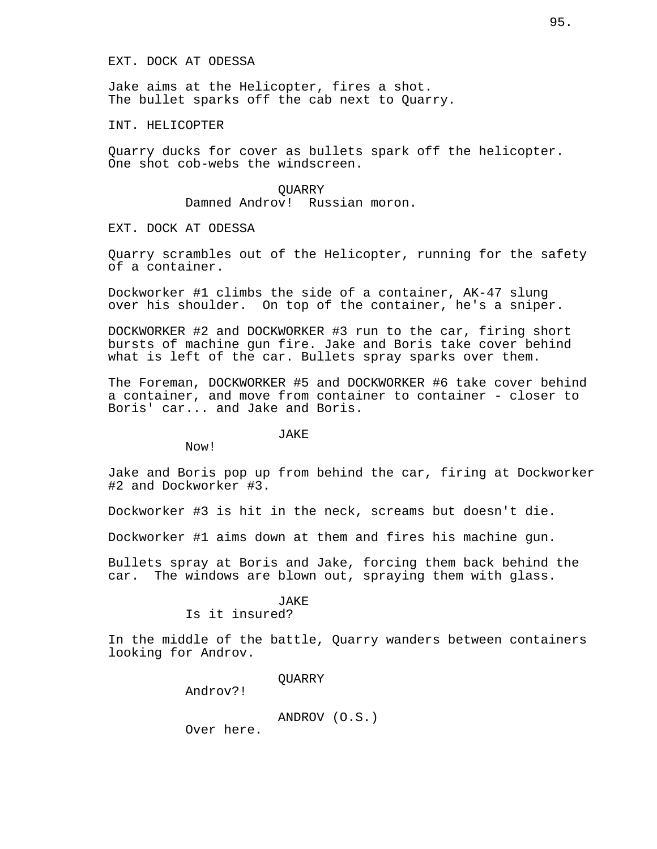### EXT. DOCK AT ODESSA

Jake aims at the Helicopter, fires a shot. The bullet sparks off the cab next to Quarry.

### INT. HELICOPTER

Quarry ducks for cover as bullets spark off the helicopter. One shot cob-webs the windscreen.

> QUARRY Damned Androv! Russian moron.

EXT. DOCK AT ODESSA

Quarry scrambles out of the Helicopter, running for the safety of a container.

Dockworker #1 climbs the side of a container, AK-47 slung over his shoulder. On top of the container, he's a sniper.

DOCKWORKER #2 and DOCKWORKER #3 run to the car, firing short bursts of machine gun fire. Jake and Boris take cover behind what is left of the car. Bullets spray sparks over them.

The Foreman, DOCKWORKER #5 and DOCKWORKER #6 take cover behind a container, and move from container to container - closer to Boris' car... and Jake and Boris.

#### JAKE

Now!

Jake and Boris pop up from behind the car, firing at Dockworker #2 and Dockworker #3.

Dockworker #3 is hit in the neck, screams but doesn't die.

Dockworker #1 aims down at them and fires his machine gun.

Bullets spray at Boris and Jake, forcing them back behind the car. The windows are blown out, spraying them with glass.

# JAKE

Is it insured?

In the middle of the battle, Quarry wanders between containers looking for Androv.

QUARRY

Androv?!

ANDROV (O.S.)

Over here.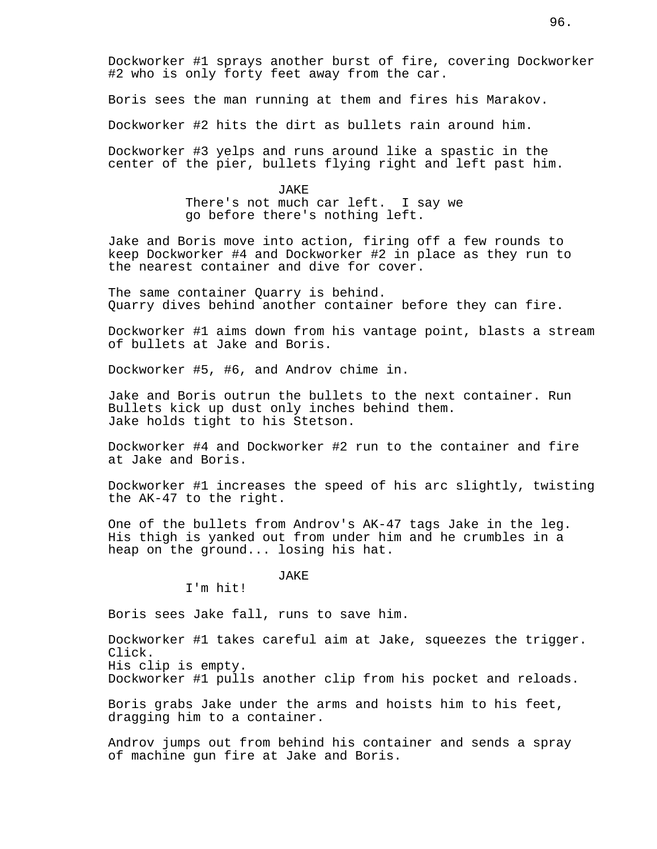Dockworker #1 sprays another burst of fire, covering Dockworker #2 who is only forty feet away from the car.

Boris sees the man running at them and fires his Marakov.

Dockworker #2 hits the dirt as bullets rain around him.

Dockworker #3 yelps and runs around like a spastic in the center of the pier, bullets flying right and left past him.

JAKE

There's not much car left. I say we go before there's nothing left.

Jake and Boris move into action, firing off a few rounds to keep Dockworker #4 and Dockworker #2 in place as they run to the nearest container and dive for cover.

The same container Quarry is behind. Quarry dives behind another container before they can fire.

Dockworker #1 aims down from his vantage point, blasts a stream of bullets at Jake and Boris.

Dockworker #5, #6, and Androv chime in.

Jake and Boris outrun the bullets to the next container. Run Bullets kick up dust only inches behind them. Jake holds tight to his Stetson.

Dockworker #4 and Dockworker #2 run to the container and fire at Jake and Boris.

Dockworker #1 increases the speed of his arc slightly, twisting the AK-47 to the right.

One of the bullets from Androv's AK-47 tags Jake in the leg. His thigh is yanked out from under him and he crumbles in a heap on the ground... losing his hat.

# JAKE

I'm hit!

Boris sees Jake fall, runs to save him.

Dockworker #1 takes careful aim at Jake, squeezes the trigger. Click. His clip is empty.

Dockworker #1 pulls another clip from his pocket and reloads.

Boris grabs Jake under the arms and hoists him to his feet, dragging him to a container.

Androv jumps out from behind his container and sends a spray of machine gun fire at Jake and Boris.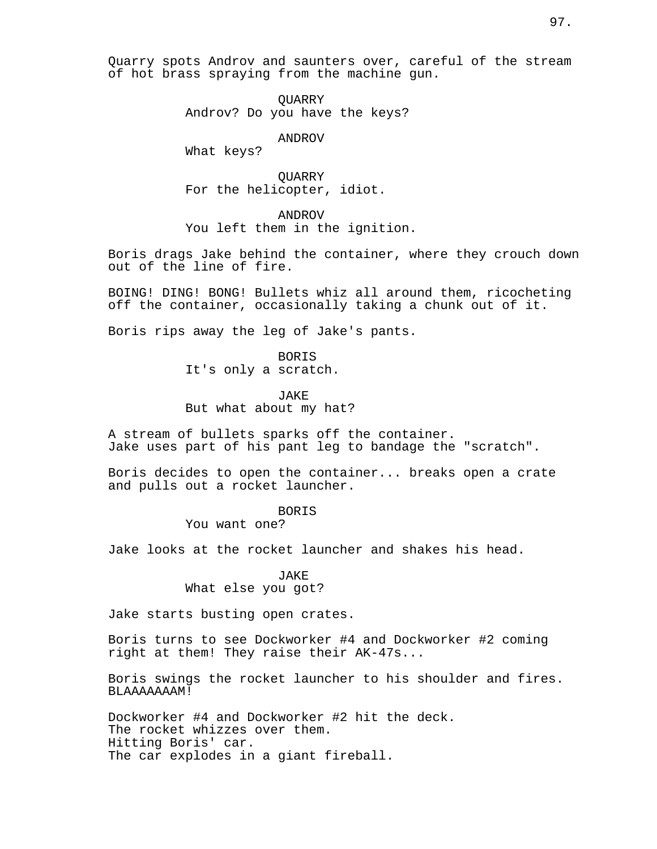Quarry spots Androv and saunters over, careful of the stream of hot brass spraying from the machine gun.

> QUARRY Androv? Do you have the keys?

> > ANDROV

What keys?

QUARRY For the helicopter, idiot.

ANDROV You left them in the ignition.

Boris drags Jake behind the container, where they crouch down out of the line of fire.

BOING! DING! BONG! Bullets whiz all around them, ricocheting off the container, occasionally taking a chunk out of it.

Boris rips away the leg of Jake's pants.

BORIS It's only a scratch.

JAKE But what about my hat?

A stream of bullets sparks off the container. Jake uses part of his pant leg to bandage the "scratch".

Boris decides to open the container... breaks open a crate and pulls out a rocket launcher.

BORIS

You want one?

Jake looks at the rocket launcher and shakes his head.

JAKE What else you got?

Jake starts busting open crates.

Boris turns to see Dockworker #4 and Dockworker #2 coming right at them! They raise their AK-47s...

Boris swings the rocket launcher to his shoulder and fires. BLAAAAAAAM!

Dockworker #4 and Dockworker #2 hit the deck. The rocket whizzes over them. Hitting Boris' car. The car explodes in a giant fireball.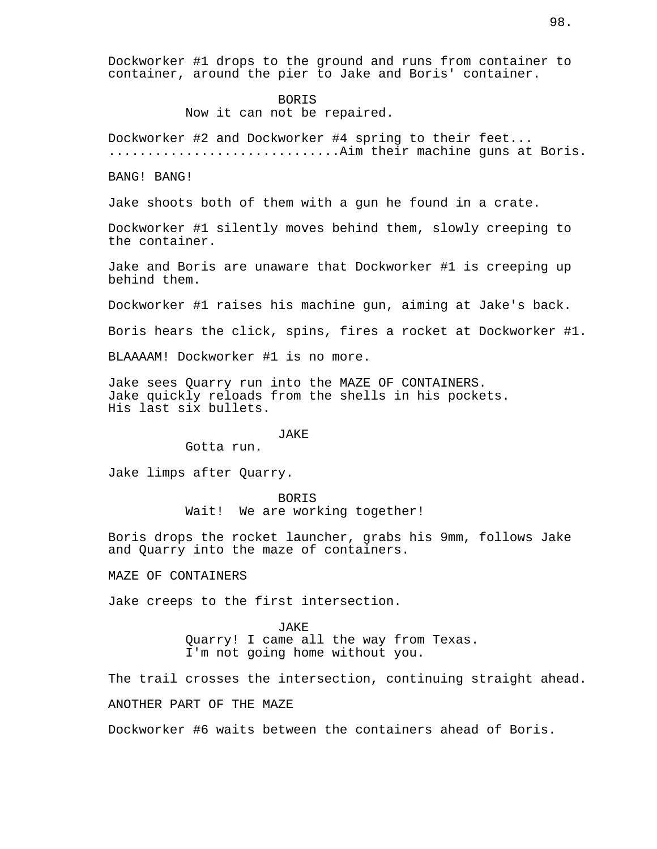Dockworker #1 drops to the ground and runs from container to container, around the pier to Jake and Boris' container.

BORIS

Now it can not be repaired.

Dockworker #2 and Dockworker #4 spring to their feet... ..............................Aim their machine guns at Boris.

BANG! BANG!

Jake shoots both of them with a gun he found in a crate.

Dockworker #1 silently moves behind them, slowly creeping to the container.

Jake and Boris are unaware that Dockworker #1 is creeping up behind them.

Dockworker #1 raises his machine gun, aiming at Jake's back.

Boris hears the click, spins, fires a rocket at Dockworker #1.

BLAAAAM! Dockworker #1 is no more.

Jake sees Quarry run into the MAZE OF CONTAINERS. Jake quickly reloads from the shells in his pockets. His last six bullets.

#### JAKE

Gotta run.

Jake limps after Quarry.

**BORTS** Wait! We are working together!

Boris drops the rocket launcher, grabs his 9mm, follows Jake and Quarry into the maze of containers.

MAZE OF CONTAINERS

Jake creeps to the first intersection.

JAKE Quarry! I came all the way from Texas. I'm not going home without you.

The trail crosses the intersection, continuing straight ahead.

ANOTHER PART OF THE MAZE

Dockworker #6 waits between the containers ahead of Boris.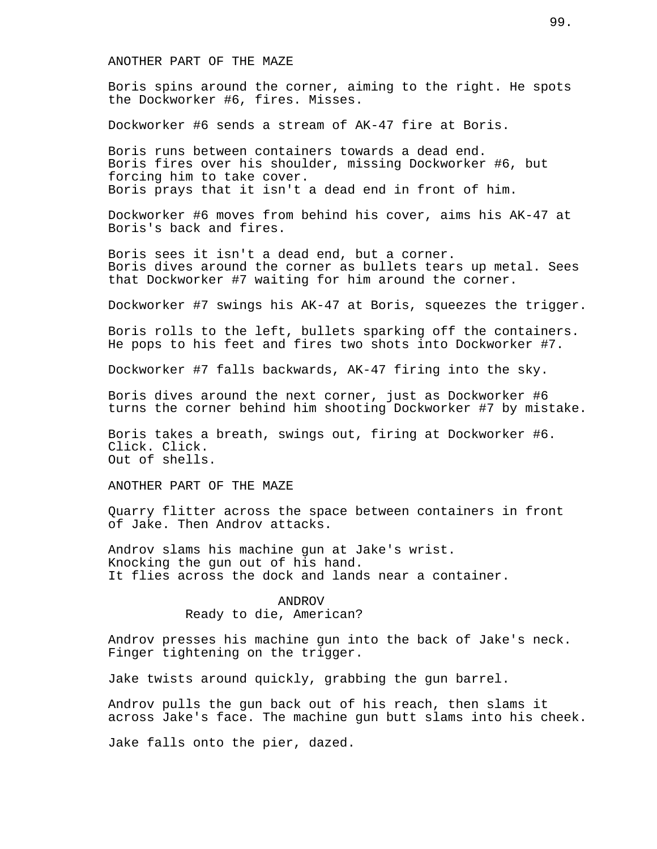# ANOTHER PART OF THE MAZE

Boris spins around the corner, aiming to the right. He spots the Dockworker #6, fires. Misses.

Dockworker #6 sends a stream of AK-47 fire at Boris.

Boris runs between containers towards a dead end. Boris fires over his shoulder, missing Dockworker #6, but forcing him to take cover. Boris prays that it isn't a dead end in front of him.

Dockworker #6 moves from behind his cover, aims his AK-47 at Boris's back and fires.

Boris sees it isn't a dead end, but a corner. Boris dives around the corner as bullets tears up metal. Sees that Dockworker #7 waiting for him around the corner.

Dockworker #7 swings his AK-47 at Boris, squeezes the trigger.

Boris rolls to the left, bullets sparking off the containers. He pops to his feet and fires two shots into Dockworker #7.

Dockworker #7 falls backwards, AK-47 firing into the sky.

Boris dives around the next corner, just as Dockworker #6 turns the corner behind him shooting Dockworker #7 by mistake.

Boris takes a breath, swings out, firing at Dockworker #6. Click. Click. Out of shells.

ANOTHER PART OF THE MAZE

Quarry flitter across the space between containers in front of Jake. Then Androv attacks.

Androv slams his machine gun at Jake's wrist. Knocking the gun out of his hand. It flies across the dock and lands near a container.

## ANDROV

# Ready to die, American?

Androv presses his machine gun into the back of Jake's neck. Finger tightening on the trigger.

Jake twists around quickly, grabbing the gun barrel.

Androv pulls the gun back out of his reach, then slams it across Jake's face. The machine gun butt slams into his cheek.

Jake falls onto the pier, dazed.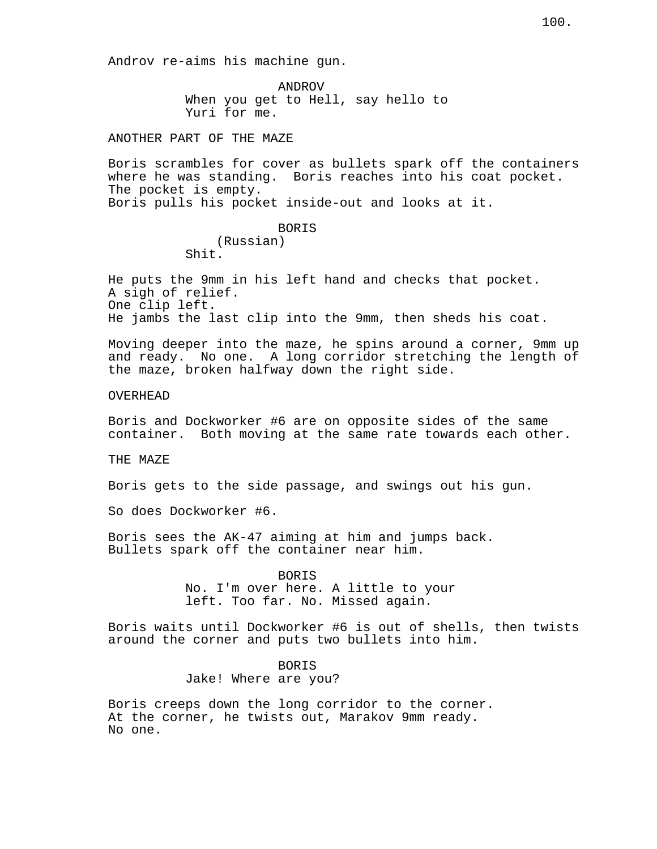Androv re-aims his machine gun.

ANDROV When you get to Hell, say hello to Yuri for me.

ANOTHER PART OF THE MAZE

Boris scrambles for cover as bullets spark off the containers where he was standing. Boris reaches into his coat pocket. The pocket is empty. Boris pulls his pocket inside-out and looks at it.

> BORIS (Russian) Shit.

He puts the 9mm in his left hand and checks that pocket. A sigh of relief. One clip left. He jambs the last clip into the 9mm, then sheds his coat.

Moving deeper into the maze, he spins around a corner, 9mm up and ready. No one. A long corridor stretching the length of the maze, broken halfway down the right side.

OVERHEAD

Boris and Dockworker #6 are on opposite sides of the same container. Both moving at the same rate towards each other.

THE MAZE

Boris gets to the side passage, and swings out his gun.

So does Dockworker #6.

Boris sees the AK-47 aiming at him and jumps back. Bullets spark off the container near him.

> BORIS No. I'm over here. A little to your left. Too far. No. Missed again.

Boris waits until Dockworker #6 is out of shells, then twists around the corner and puts two bullets into him.

BORIS

Jake! Where are you?

Boris creeps down the long corridor to the corner. At the corner, he twists out, Marakov 9mm ready. No one.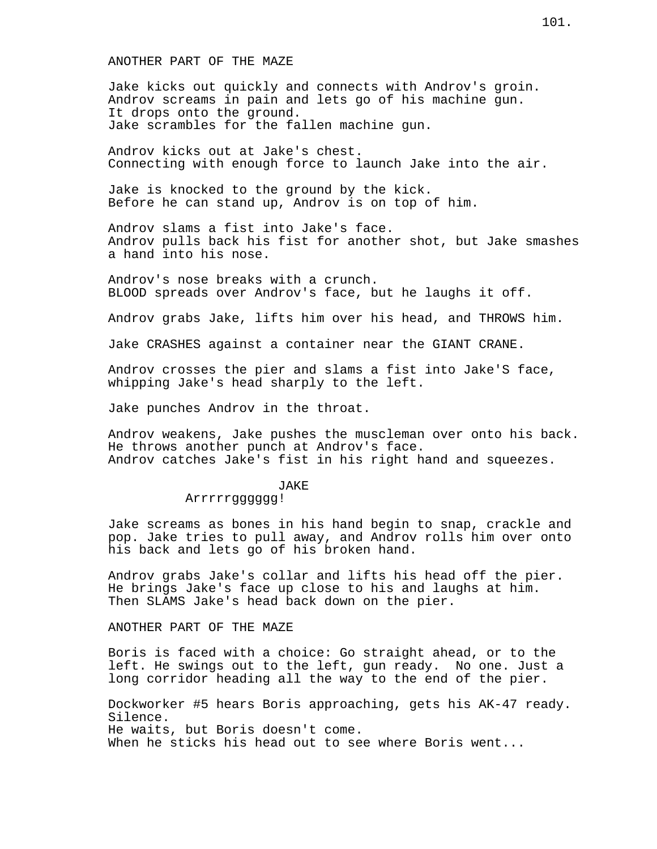ANOTHER PART OF THE MAZE

Jake kicks out quickly and connects with Androv's groin. Androv screams in pain and lets go of his machine gun. It drops onto the ground. Jake scrambles for the fallen machine gun.

Androv kicks out at Jake's chest. Connecting with enough force to launch Jake into the air.

Jake is knocked to the ground by the kick. Before he can stand up, Androv is on top of him.

Androv slams a fist into Jake's face. Androv pulls back his fist for another shot, but Jake smashes a hand into his nose.

Androv's nose breaks with a crunch. BLOOD spreads over Androv's face, but he laughs it off.

Androv grabs Jake, lifts him over his head, and THROWS him.

Jake CRASHES against a container near the GIANT CRANE.

Androv crosses the pier and slams a fist into Jake'S face, whipping Jake's head sharply to the left.

Jake punches Androv in the throat.

Androv weakens, Jake pushes the muscleman over onto his back. He throws another punch at Androv's face. Androv catches Jake's fist in his right hand and squeezes.

#### JAKE

# Arrrrrgggggg!

Jake screams as bones in his hand begin to snap, crackle and pop. Jake tries to pull away, and Androv rolls him over onto his back and lets go of his broken hand.

Androv grabs Jake's collar and lifts his head off the pier. He brings Jake's face up close to his and laughs at him. Then SLAMS Jake's head back down on the pier.

ANOTHER PART OF THE MAZE

Boris is faced with a choice: Go straight ahead, or to the left. He swings out to the left, gun ready. No one. Just a long corridor heading all the way to the end of the pier.

Dockworker #5 hears Boris approaching, gets his AK-47 ready. Silence. He waits, but Boris doesn't come. When he sticks his head out to see where Boris went...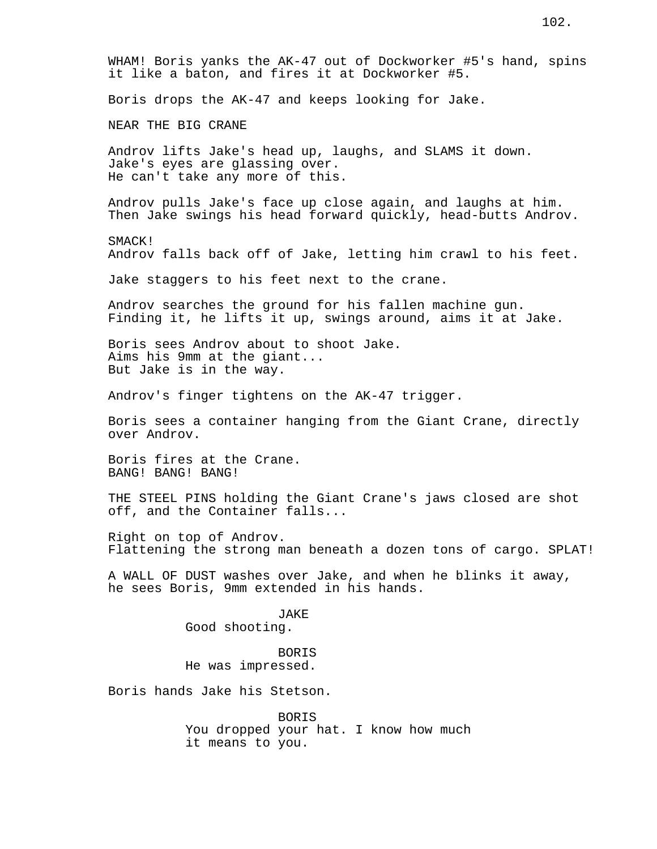WHAM! Boris yanks the AK-47 out of Dockworker #5's hand, spins it like a baton, and fires it at Dockworker #5. Boris drops the AK-47 and keeps looking for Jake. NEAR THE BIG CRANE Androv lifts Jake's head up, laughs, and SLAMS it down. Jake's eyes are glassing over. He can't take any more of this. Androv pulls Jake's face up close again, and laughs at him. Then Jake swings his head forward quickly, head-butts Androv. SMACK! Androv falls back off of Jake, letting him crawl to his feet. Jake staggers to his feet next to the crane. Androv searches the ground for his fallen machine gun. Finding it, he lifts it up, swings around, aims it at Jake. Boris sees Androv about to shoot Jake. Aims his 9mm at the giant... But Jake is in the way. Androv's finger tightens on the AK-47 trigger. Boris sees a container hanging from the Giant Crane, directly over Androv. Boris fires at the Crane. BANG! BANG! BANG! THE STEEL PINS holding the Giant Crane's jaws closed are shot off, and the Container falls... Right on top of Androv. Flattening the strong man beneath a dozen tons of cargo. SPLAT! A WALL OF DUST washes over Jake, and when he blinks it away, he sees Boris, 9mm extended in his hands. JAKE Good shooting. BORIS He was impressed. Boris hands Jake his Stetson. BORIS You dropped your hat. I know how much it means to you.

102.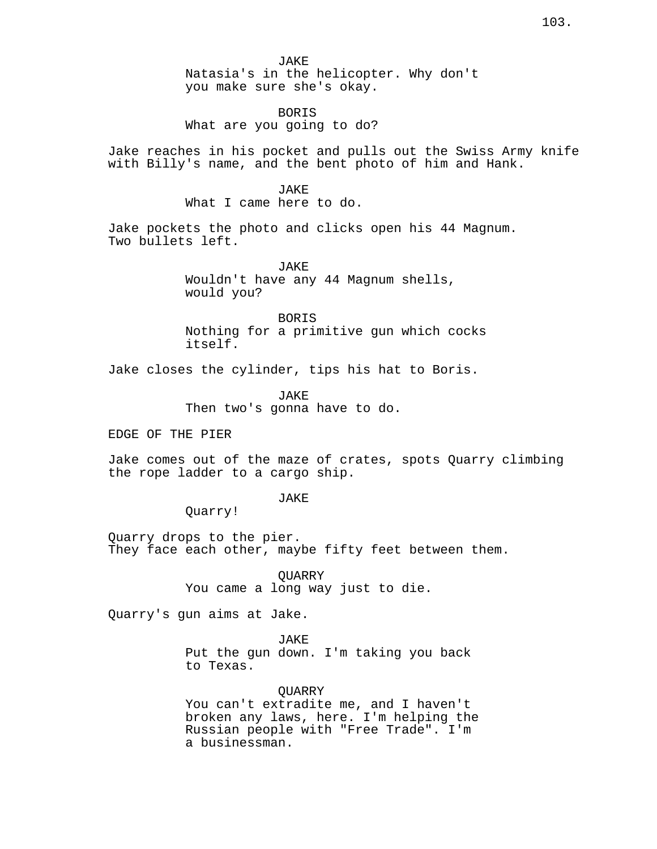# BORIS What are you going to do?

Jake reaches in his pocket and pulls out the Swiss Army knife with Billy's name, and the bent photo of him and Hank.

JAKE

What I came here to do.

Jake pockets the photo and clicks open his 44 Magnum. Two bullets left.

> JAKE Wouldn't have any 44 Magnum shells, would you?

BORIS Nothing for a primitive gun which cocks itself.

Jake closes the cylinder, tips his hat to Boris.

JAKE Then two's gonna have to do.

EDGE OF THE PIER

Jake comes out of the maze of crates, spots Quarry climbing the rope ladder to a cargo ship.

**JAKE** 

Quarry!

Quarry drops to the pier. They face each other, maybe fifty feet between them.

> QUARRY You came a long way just to die.

Quarry's gun aims at Jake.

JAKE Put the gun down. I'm taking you back to Texas.

QUARRY You can't extradite me, and I haven't broken any laws, here. I'm helping the Russian people with "Free Trade". I'm a businessman.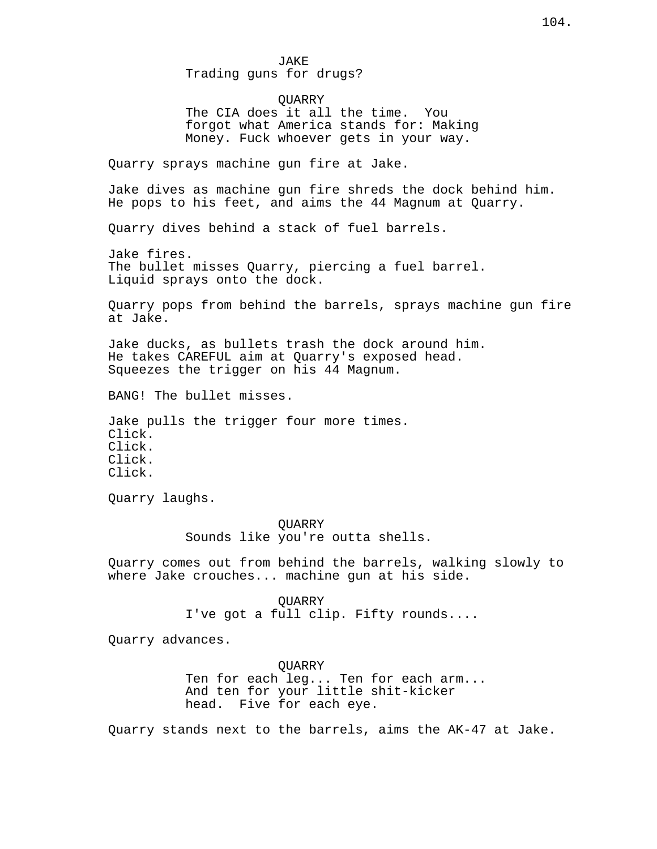JAKE Trading guns for drugs? **OUARRY** The CIA does it all the time. You forgot what America stands for: Making Money. Fuck whoever gets in your way. Quarry sprays machine gun fire at Jake. Jake dives as machine gun fire shreds the dock behind him. He pops to his feet, and aims the 44 Magnum at Quarry. Quarry dives behind a stack of fuel barrels. Jake fires. The bullet misses Quarry, piercing a fuel barrel. Liquid sprays onto the dock. Quarry pops from behind the barrels, sprays machine gun fire at Jake.

Jake ducks, as bullets trash the dock around him. He takes CAREFUL aim at Quarry's exposed head. Squeezes the trigger on his 44 Magnum.

BANG! The bullet misses.

Jake pulls the trigger four more times. Click. Click. Click. Click.

Quarry laughs.

**OUARRY** Sounds like you're outta shells.

Quarry comes out from behind the barrels, walking slowly to where Jake crouches... machine gun at his side.

> QUARRY I've got a full clip. Fifty rounds....

Quarry advances.

**OUARRY** Ten for each leg... Ten for each arm... And ten for your little shit-kicker head. Five for each eye.

Quarry stands next to the barrels, aims the AK-47 at Jake.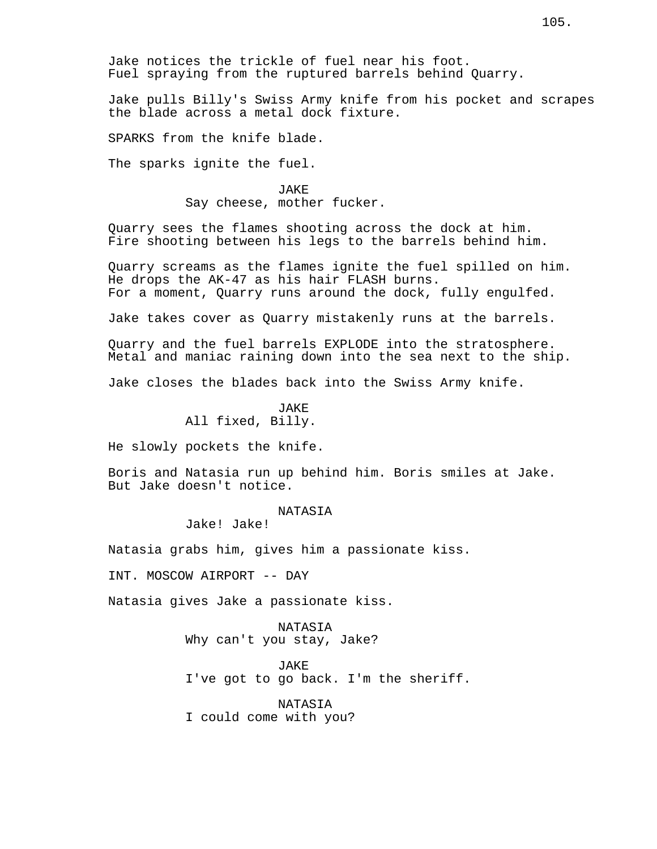Jake notices the trickle of fuel near his foot. Fuel spraying from the ruptured barrels behind Quarry.

Jake pulls Billy's Swiss Army knife from his pocket and scrapes the blade across a metal dock fixture.

SPARKS from the knife blade.

The sparks ignite the fuel.

JAKE Say cheese, mother fucker.

Quarry sees the flames shooting across the dock at him. Fire shooting between his legs to the barrels behind him.

Quarry screams as the flames ignite the fuel spilled on him. He drops the AK-47 as his hair FLASH burns. For a moment, Quarry runs around the dock, fully engulfed.

Jake takes cover as Quarry mistakenly runs at the barrels.

Quarry and the fuel barrels EXPLODE into the stratosphere. Metal and maniac raining down into the sea next to the ship.

Jake closes the blades back into the Swiss Army knife.

JAKE All fixed, Billy.

He slowly pockets the knife.

Boris and Natasia run up behind him. Boris smiles at Jake. But Jake doesn't notice.

#### NATASIA

Jake! Jake!

Natasia grabs him, gives him a passionate kiss.

INT. MOSCOW AIRPORT -- DAY

Natasia gives Jake a passionate kiss.

NATASIA Why can't you stay, Jake?

JAKE I've got to go back. I'm the sheriff.

NATASIA I could come with you?